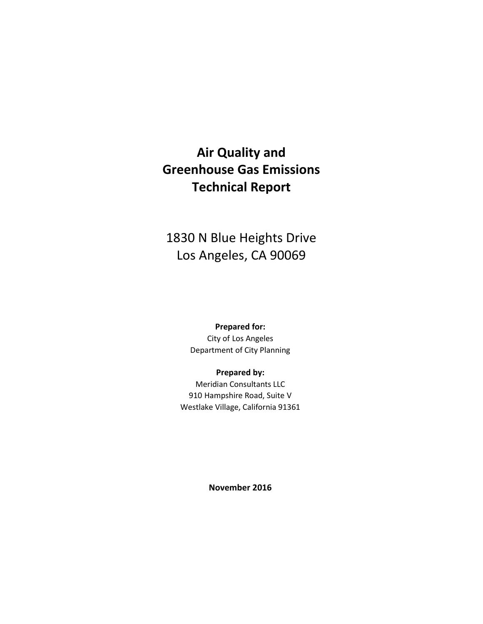# **Air Quality and Greenhouse Gas Emissions Technical Report**

# 1830 N Blue Heights Drive Los Angeles, CA 90069

## **Prepared for:**

City of Los Angeles Department of City Planning

#### **Prepared by:**

Meridian Consultants LLC 910 Hampshire Road, Suite V Westlake Village, California 91361

**November 2016**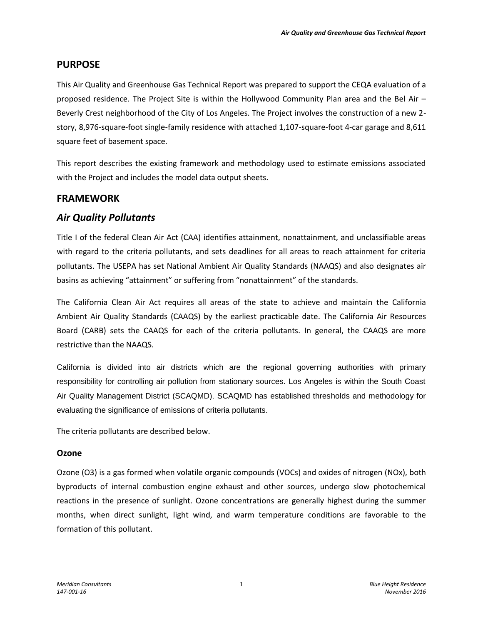## **PURPOSE**

This Air Quality and Greenhouse Gas Technical Report was prepared to support the CEQA evaluation of a proposed residence. The Project Site is within the Hollywood Community Plan area and the Bel Air – Beverly Crest neighborhood of the City of Los Angeles. The Project involves the construction of a new 2 story, 8,976-square-foot single-family residence with attached 1,107-square-foot 4-car garage and 8,611 square feet of basement space.

This report describes the existing framework and methodology used to estimate emissions associated with the Project and includes the model data output sheets.

## **FRAMEWORK**

## *Air Quality Pollutants*

Title I of the federal Clean Air Act (CAA) identifies attainment, nonattainment, and unclassifiable areas with regard to the criteria pollutants, and sets deadlines for all areas to reach attainment for criteria pollutants. The USEPA has set National Ambient Air Quality Standards (NAAQS) and also designates air basins as achieving "attainment" or suffering from "nonattainment" of the standards.

The California Clean Air Act requires all areas of the state to achieve and maintain the California Ambient Air Quality Standards (CAAQS) by the earliest practicable date. The California Air Resources Board (CARB) sets the CAAQS for each of the criteria pollutants. In general, the CAAQS are more restrictive than the NAAQS.

California is divided into air districts which are the regional governing authorities with primary responsibility for controlling air pollution from stationary sources. Los Angeles is within the South Coast Air Quality Management District (SCAQMD). SCAQMD has established thresholds and methodology for evaluating the significance of emissions of criteria pollutants.

The criteria pollutants are described below.

## **Ozone**

Ozone (O3) is a gas formed when volatile organic compounds (VOCs) and oxides of nitrogen (NOx), both byproducts of internal combustion engine exhaust and other sources, undergo slow photochemical reactions in the presence of sunlight. Ozone concentrations are generally highest during the summer months, when direct sunlight, light wind, and warm temperature conditions are favorable to the formation of this pollutant.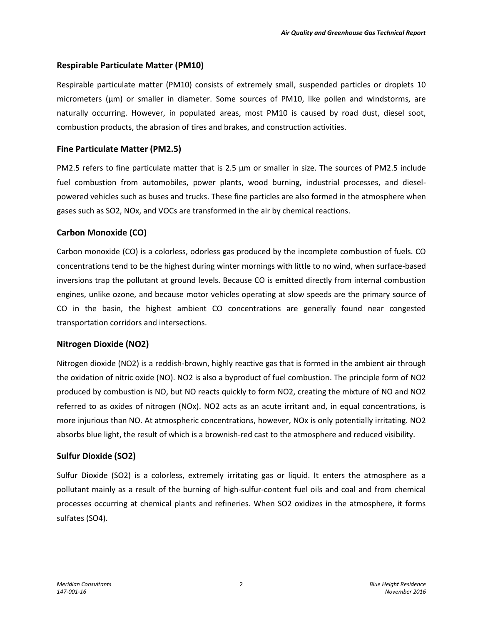## **Respirable Particulate Matter (PM10)**

Respirable particulate matter (PM10) consists of extremely small, suspended particles or droplets 10 micrometers (μm) or smaller in diameter. Some sources of PM10, like pollen and windstorms, are naturally occurring. However, in populated areas, most PM10 is caused by road dust, diesel soot, combustion products, the abrasion of tires and brakes, and construction activities.

#### **Fine Particulate Matter (PM2.5)**

PM2.5 refers to fine particulate matter that is 2.5 μm or smaller in size. The sources of PM2.5 include fuel combustion from automobiles, power plants, wood burning, industrial processes, and dieselpowered vehicles such as buses and trucks. These fine particles are also formed in the atmosphere when gases such as SO2, NOx, and VOCs are transformed in the air by chemical reactions.

## **Carbon Monoxide (CO)**

Carbon monoxide (CO) is a colorless, odorless gas produced by the incomplete combustion of fuels. CO concentrations tend to be the highest during winter mornings with little to no wind, when surface-based inversions trap the pollutant at ground levels. Because CO is emitted directly from internal combustion engines, unlike ozone, and because motor vehicles operating at slow speeds are the primary source of CO in the basin, the highest ambient CO concentrations are generally found near congested transportation corridors and intersections.

## **Nitrogen Dioxide (NO2)**

Nitrogen dioxide (NO2) is a reddish-brown, highly reactive gas that is formed in the ambient air through the oxidation of nitric oxide (NO). NO2 is also a byproduct of fuel combustion. The principle form of NO2 produced by combustion is NO, but NO reacts quickly to form NO2, creating the mixture of NO and NO2 referred to as oxides of nitrogen (NOx). NO2 acts as an acute irritant and, in equal concentrations, is more injurious than NO. At atmospheric concentrations, however, NOx is only potentially irritating. NO2 absorbs blue light, the result of which is a brownish-red cast to the atmosphere and reduced visibility.

## **Sulfur Dioxide (SO2)**

Sulfur Dioxide (SO2) is a colorless, extremely irritating gas or liquid. It enters the atmosphere as a pollutant mainly as a result of the burning of high-sulfur-content fuel oils and coal and from chemical processes occurring at chemical plants and refineries. When SO2 oxidizes in the atmosphere, it forms sulfates (SO4).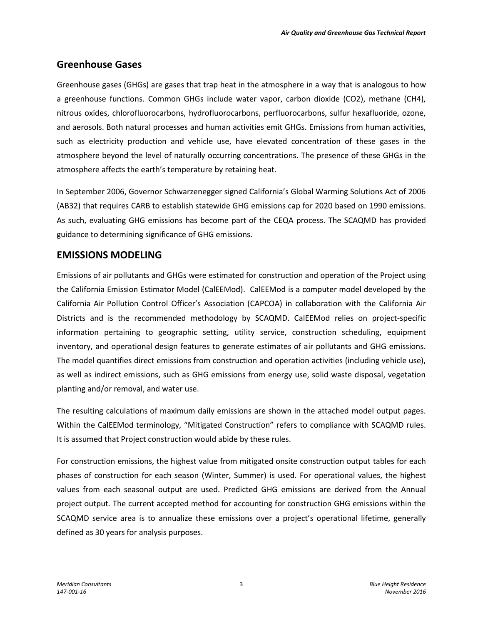## **Greenhouse Gases**

Greenhouse gases (GHGs) are gases that trap heat in the atmosphere in a way that is analogous to how a greenhouse functions. Common GHGs include water vapor, carbon dioxide (CO2), methane (CH4), nitrous oxides, chlorofluorocarbons, hydrofluorocarbons, perfluorocarbons, sulfur hexafluoride, ozone, and aerosols. Both natural processes and human activities emit GHGs. Emissions from human activities, such as electricity production and vehicle use, have elevated concentration of these gases in the atmosphere beyond the level of naturally occurring concentrations. The presence of these GHGs in the atmosphere affects the earth's temperature by retaining heat.

In September 2006, Governor Schwarzenegger signed California's Global Warming Solutions Act of 2006 (AB32) that requires CARB to establish statewide GHG emissions cap for 2020 based on 1990 emissions. As such, evaluating GHG emissions has become part of the CEQA process. The SCAQMD has provided guidance to determining significance of GHG emissions.

## **EMISSIONS MODELING**

Emissions of air pollutants and GHGs were estimated for construction and operation of the Project using the California Emission Estimator Model (CalEEMod). CalEEMod is a computer model developed by the California Air Pollution Control Officer's Association (CAPCOA) in collaboration with the California Air Districts and is the recommended methodology by SCAQMD. CalEEMod relies on project-specific information pertaining to geographic setting, utility service, construction scheduling, equipment inventory, and operational design features to generate estimates of air pollutants and GHG emissions. The model quantifies direct emissions from construction and operation activities (including vehicle use), as well as indirect emissions, such as GHG emissions from energy use, solid waste disposal, vegetation planting and/or removal, and water use.

The resulting calculations of maximum daily emissions are shown in the attached model output pages. Within the CalEEMod terminology, "Mitigated Construction" refers to compliance with SCAQMD rules. It is assumed that Project construction would abide by these rules.

For construction emissions, the highest value from mitigated onsite construction output tables for each phases of construction for each season (Winter, Summer) is used. For operational values, the highest values from each seasonal output are used. Predicted GHG emissions are derived from the Annual project output. The current accepted method for accounting for construction GHG emissions within the SCAQMD service area is to annualize these emissions over a project's operational lifetime, generally defined as 30 years for analysis purposes.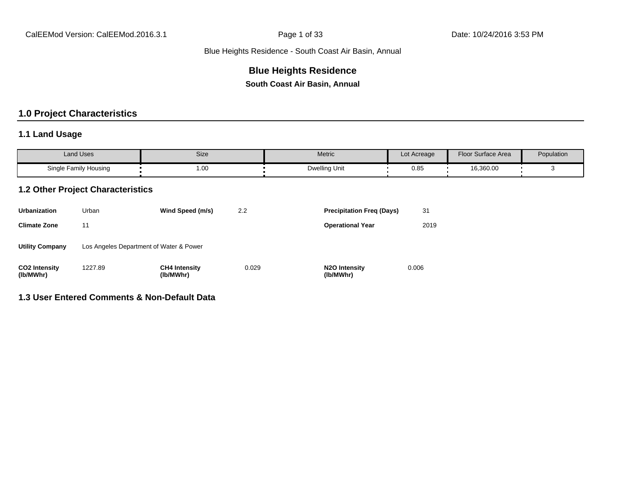## **Blue Heights Residence**

**South Coast Air Basin, Annual**

## **1.0 Project Characteristics**

## **1.1 Land Usage**

| <b>Land Uses</b>      | Size | Metric        | Lot Acreage | <b>Floor Surface Area</b> | Population |
|-----------------------|------|---------------|-------------|---------------------------|------------|
| Single Family Housing | 1.00 | Dwelling Unit | 0.85        | 16,360.00                 |            |

## **1.2 Other Project Characteristics**

| <b>Urbanization</b>               | Urban                                   | Wind Speed (m/s)                  | 2.2   | <b>Precipitation Freg (Days)</b>        | 31    |
|-----------------------------------|-----------------------------------------|-----------------------------------|-------|-----------------------------------------|-------|
| <b>Climate Zone</b>               | 11                                      |                                   |       | <b>Operational Year</b>                 | 2019  |
| <b>Utility Company</b>            | Los Angeles Department of Water & Power |                                   |       |                                         |       |
| <b>CO2 Intensity</b><br>(lb/MWhr) | 1227.89                                 | <b>CH4 Intensity</b><br>(lb/MWhr) | 0.029 | N <sub>2</sub> O Intensity<br>(lb/MWhr) | 0.006 |

## **1.3 User Entered Comments & Non-Default Data**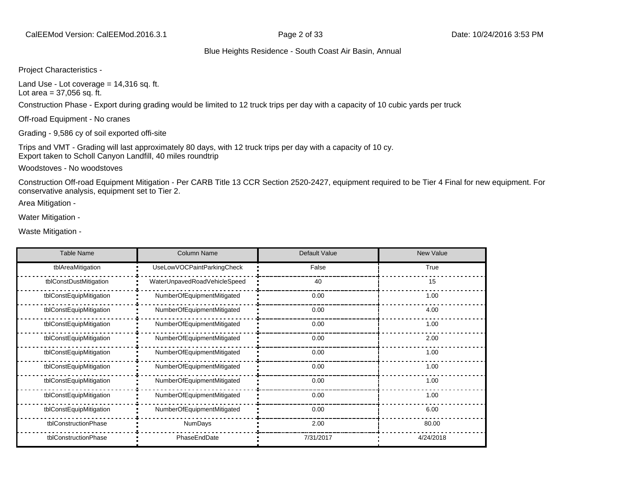Project Characteristics -

Land Use - Lot coverage  $= 14,316$  sq. ft. Lot area  $= 37,056$  sq. ft.

Construction Phase - Export during grading would be limited to 12 truck trips per day with a capacity of 10 cubic yards per truck

Off-road Equipment - No cranes

Grading - 9,586 cy of soil exported offi-site

Trips and VMT - Grading will last approximately 80 days, with 12 truck trips per day with a capacity of 10 cy. Export taken to Scholl Canyon Landfill, 40 miles roundtrip

Woodstoves - No woodstoves

Construction Off-road Equipment Mitigation - Per CARB Title 13 CCR Section 2520-2427, equipment required to be Tier 4 Final for new equipment. For conservative analysis, equipment set to Tier 2.

Area Mitigation -

Water Mitigation -

Waste Mitigation -

| <b>Table Name</b>       | <b>Column Name</b>           | Default Value | <b>New Value</b> |
|-------------------------|------------------------------|---------------|------------------|
| tblAreaMitigation       | UseLowVOCPaintParkingCheck   | False         | True             |
| tblConstDustMitigation  | WaterUnpavedRoadVehicleSpeed | 40            | 15               |
| tblConstEquipMitigation | NumberOfEquipmentMitigated   | 0.00          | 1.00             |
| tblConstEquipMitigation | NumberOfEquipmentMitigated   | 0.00          | 4.00             |
| tblConstEquipMitigation | NumberOfEquipmentMitigated   | 0.00          | 1.00             |
| tblConstEquipMitigation | NumberOfEquipmentMitigated   | 0.00          | 2.00             |
| tblConstEquipMitigation | NumberOfEquipmentMitigated   | 0.00          | 1.00             |
| tblConstEquipMitigation | NumberOfEquipmentMitigated   | 0.00          | 1.00             |
| tblConstEquipMitigation | NumberOfEquipmentMitigated   | 0.00          | 1.00             |
| tblConstEquipMitigation | NumberOfEquipmentMitigated   | 0.00          | 1.00             |
| tblConstEquipMitigation | NumberOfEquipmentMitigated   | 0.00          | 6.00             |
| tblConstructionPhase    | <b>NumDays</b>               | 2.00          | 80.00            |
| tblConstructionPhase    | PhaseEndDate                 | 7/31/2017     | 4/24/2018        |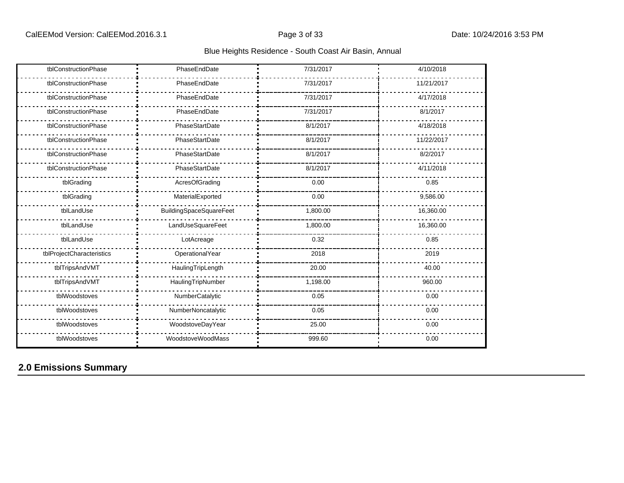| tblConstructionPhase      | PhaseEndDate            | 7/31/2017 | 4/10/2018  |
|---------------------------|-------------------------|-----------|------------|
| tblConstructionPhase      | PhaseEndDate            | 7/31/2017 | 11/21/2017 |
| tblConstructionPhase      | PhaseEndDate            | 7/31/2017 | 4/17/2018  |
| tblConstructionPhase      | PhaseEndDate            | 7/31/2017 | 8/1/2017   |
| tblConstructionPhase      | PhaseStartDate          | 8/1/2017  | 4/18/2018  |
| tblConstructionPhase      | PhaseStartDate          | 8/1/2017  | 11/22/2017 |
| tblConstructionPhase      | PhaseStartDate          | 8/1/2017  | 8/2/2017   |
| tblConstructionPhase      | PhaseStartDate          | 8/1/2017  | 4/11/2018  |
| tblGrading                | AcresOfGrading          | 0.00      | 0.85       |
| tblGrading                | MaterialExported        | 0.00      | 9,586.00   |
| tblLandUse                | BuildingSpaceSquareFeet | 1,800.00  | 16,360.00  |
| tblLandUse                | LandUseSquareFeet       | 1,800.00  | 16,360.00  |
| tblLandUse                | LotAcreage              | 0.32      | 0.85       |
| tblProjectCharacteristics | OperationalYear         | 2018      | 2019       |
| tblTripsAndVMT            | HaulingTripLength       | 20.00     | 40.00      |
| tblTripsAndVMT            | HaulingTripNumber       | 1,198.00  | 960.00     |
| tblWoodstoves             | NumberCatalytic         | 0.05      | 0.00       |
| tblWoodstoves             | NumberNoncatalytic      | 0.05      | 0.00       |
| tblWoodstoves             | WoodstoveDayYear        | 25.00     | 0.00       |
| tblWoodstoves             | WoodstoveWoodMass       | 999.60    | 0.00       |

## **2.0 Emissions Summary**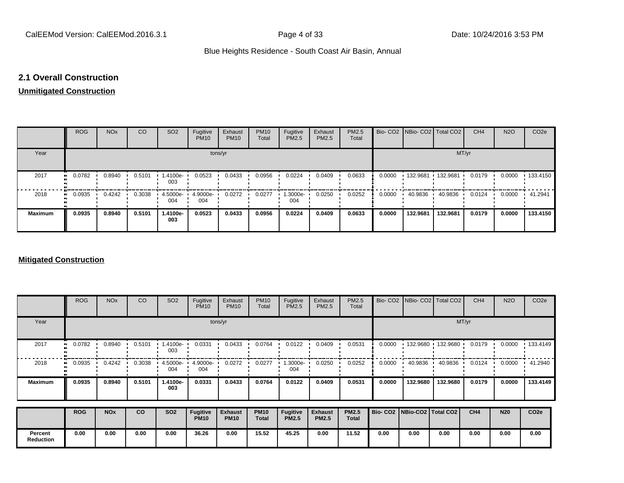## **2.1 Overall Construction**

## **Unmitigated Construction**

|                | <b>ROG</b>   | <b>NO<sub>x</sub></b> | <b>CO</b> | SO <sub>2</sub> | Fugitive<br><b>PM10</b> | Exhaust<br><b>PM10</b> | <b>PM10</b><br>Total | Fugitive<br>PM2.5 | Exhaust<br>PM2.5 | PM2.5<br>Total |        | Bio- CO2   NBio- CO2   Total CO2 |          | CH <sub>4</sub> | <b>N2O</b> | CO <sub>2e</sub> |
|----------------|--------------|-----------------------|-----------|-----------------|-------------------------|------------------------|----------------------|-------------------|------------------|----------------|--------|----------------------------------|----------|-----------------|------------|------------------|
| Year           | tons/yr      |                       |           |                 |                         |                        |                      |                   |                  |                | MT/yr  |                                  |          |                 |            |                  |
| 2017           | 0.0782<br>ш. | 0.8940                | 0.5101    | 1.4100e-<br>003 | 0.0523                  | 0.0433                 | 0.0956               | 0.0224            | 0.0409           | 0.0633         | 0.0000 | .132.9681                        | 132.9681 | 0.0179          | 0.0000     | $+133.4150$      |
| 2018           | 0.0935<br>   | 0.4242                | 0.3038    | 4.5000e-<br>004 | 4.9000e-<br>004         | 0.0272                 | 0.0277               | 1.3000e-<br>004   | 0.0250           | 0.0252         | 0.0000 | 40.9836                          | 40.9836  | 0.0124          | 0.0000     | 41.2941          |
| <b>Maximum</b> | 0.0935       | 0.8940                | 0.5101    | 1.4100e-<br>003 | 0.0523                  | 0.0433                 | 0.0956               | 0.0224            | 0.0409           | 0.0633         | 0.0000 | 132.9681                         | 132.9681 | 0.0179          | 0.0000     | 133,4150         |

#### **Mitigated Construction**

|                      | <b>ROG</b>          | <b>NO<sub>x</sub></b> | CO        | SO <sub>2</sub> | Fugitive<br><b>PM10</b>        | Exhaust<br><b>PM10</b>        | <b>PM10</b><br>Total | Fugitive<br>PM2.5               | Exhaust<br>PM2.5               | PM2.5<br>Total               |                                 |          | Bio- CO2 NBio- CO2 Total CO2 | CH <sub>4</sub> | <b>N2O</b> | CO <sub>2</sub> e |
|----------------------|---------------------|-----------------------|-----------|-----------------|--------------------------------|-------------------------------|----------------------|---------------------------------|--------------------------------|------------------------------|---------------------------------|----------|------------------------------|-----------------|------------|-------------------|
| Year                 |                     |                       |           |                 | tons/yr                        |                               | MT/yr                |                                 |                                |                              |                                 |          |                              |                 |            |                   |
| 2017                 | 0.0782<br>$\bullet$ | 0.8940                | 0.5101    | 1.4100e-<br>003 | 0.0331                         | 0.0433                        | 0.0764               | 0.0122                          | 0.0409                         | 0.0531                       | 0.0000                          |          | 132.9680 132.9680            | 0.0179          | 0.0000     | 133.4149          |
| 2018                 | 0.0935              | 0.4242                | 0.3038    | 4.5000e-<br>004 | 4.9000e-<br>004                | 0.0272                        | 0.0277               | .3000e-<br>004                  | 0.0250                         | 0.0252                       | 0.0000                          | 40.9836  | 40.9836                      | 0.0124          | 0.0000     | 41.2940           |
| <b>Maximum</b>       | 0.0935              | 0.8940                | 0.5101    | 1.4100e-<br>003 | 0.0331                         | 0.0433                        | 0.0764               | 0.0122                          | 0.0409                         | 0.0531                       | 0.0000                          | 132.9680 | 132.9680                     | 0.0179          | 0.0000     | 133.4149          |
|                      | <b>ROG</b>          | <b>NO<sub>x</sub></b> | <b>CO</b> | <b>SO2</b>      | <b>Fugitive</b><br><b>PM10</b> | <b>Exhaust</b><br><b>PM10</b> | <b>PM10</b><br>Total | <b>Fugitive</b><br><b>PM2.5</b> | <b>Exhaust</b><br><b>PM2.5</b> | <b>PM2.5</b><br><b>Total</b> | Bio- CO2   NBio-CO2   Total CO2 |          |                              | CH4             | <b>N20</b> | CO <sub>2e</sub>  |
| Percent<br>Reduction | 0.00                | 0.00                  | 0.00      | 0.00            | 36.26                          | 0.00                          | 15.52                | 45.25                           | 0.00                           | 11.52                        | 0.00                            | 0.00     | 0.00                         | 0.00            | 0.00       | 0.00              |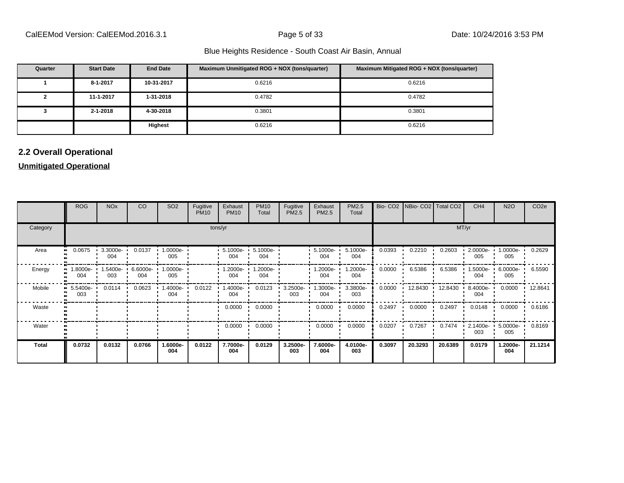| Quarter | <b>Start Date</b> | <b>End Date</b> | Maximum Unmitigated ROG + NOX (tons/quarter) | Maximum Mitigated ROG + NOX (tons/quarter) |
|---------|-------------------|-----------------|----------------------------------------------|--------------------------------------------|
|         | 8-1-2017          | 10-31-2017      | 0.6216                                       | 0.6216                                     |
|         | 11-1-2017         | 1-31-2018       | 0.4782                                       | 0.4782                                     |
|         | $2 - 1 - 2018$    | 4-30-2018       | 0.3801                                       | 0.3801                                     |
|         |                   | Highest         | 0.6216                                       | 0.6216                                     |

## **2.2 Overall Operational**

## **Unmitigated Operational**

|                      | <b>ROG</b>      | <b>NO<sub>x</sub></b> | CO              | SO <sub>2</sub>      | Fugitive<br><b>PM10</b> | Exhaust<br><b>PM10</b> | <b>PM10</b><br>Total | Fugitive<br>PM2.5 | Exhaust<br>PM2.5 | PM2.5<br>Total  |        | Bio- CO2   NBio- CO2   Total CO2 |         | CH <sub>4</sub> | <b>N2O</b>         | CO <sub>2e</sub> |
|----------------------|-----------------|-----------------------|-----------------|----------------------|-------------------------|------------------------|----------------------|-------------------|------------------|-----------------|--------|----------------------------------|---------|-----------------|--------------------|------------------|
| Category             |                 |                       |                 |                      | tons/yr                 |                        | MT/yr                |                   |                  |                 |        |                                  |         |                 |                    |                  |
| Area<br>$\mathbf{u}$ | 0.0675          | 3.3000e-<br>004       | 0.0137          | 1.0000e-<br>005      |                         | $5.1000e -$<br>004     | 5.1000e-<br>004      |                   | 5.1000e-<br>004  | 5.1000e-<br>004 | 0.0393 | 0.2210                           | 0.2603  | 2.0000e-<br>005 | 1.0000e-<br>005    | 0.2629           |
| Energy               | -8000e-<br>004  | -5400e-<br>003        | 6.6000e-<br>004 | $1.0000e - 1$<br>005 |                         | 1.2000e- •<br>004      | 1.2000e-<br>004      |                   | .2000e-<br>004   | 1.2000e-<br>004 | 0.0000 | 6.5386                           | 6.5386  | 1.5000e-<br>004 | 6.0000e-<br>005    | 6.5590           |
| Mobile               | 5.5400e-<br>003 | 0.0114                | 0.0623          | .4000e-<br>004       | 0.0122                  | --1.4000e<br>004       | 0.0123               | 3.2500e-<br>003   | .3000e-<br>004   | 3.3800e-<br>003 | 0.0000 | $12.8430$ $\cdot$                | 12.8430 | 8.4000e-<br>004 | 0.0000             | 12.8641          |
| Waste                |                 |                       |                 |                      |                         | 0.0000                 | 0.0000               |                   | 0.0000           | 0.0000          | 0.2497 | 0.0000                           | 0.2497  | 0.0148          | 0.0000             | 0.6186           |
| Water                |                 |                       |                 |                      |                         | 0.0000                 | 0.0000               |                   | 0.0000           | 0.0000          | 0.0207 | 0.7267                           | 0.7474  | 2.1400e-<br>003 | $5.0000e -$<br>005 | 0.8169           |
| <b>Total</b>         | 0.0732          | 0.0132                | 0.0766          | 1.6000e-<br>004      | 0.0122                  | 7.7000e-<br>004        | 0.0129               | 3.2500e-<br>003   | 7.6000e-<br>004  | 4.0100e-<br>003 | 0.3097 | 20.3293                          | 20.6389 | 0.0179          | 1.2000e-<br>004    | 21.1214          |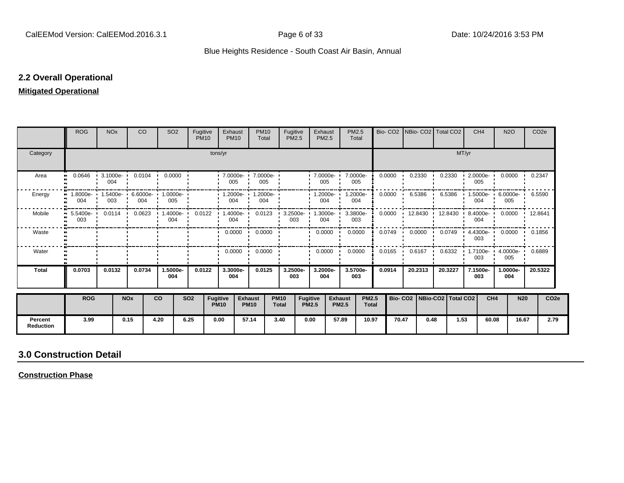## **2.2 Overall Operational**

## **Mitigated Operational**

|                             | <b>ROG</b>                                 | <b>NO<sub>x</sub></b> | <b>CO</b>  |           | SO <sub>2</sub>                                                                          | Fugitive<br><b>PM10</b> |                                | Exhaust<br><b>PM10</b>          | <b>PM10</b><br>Total                         | Fugitive<br><b>PM2.5</b>    |                                 | Exhaust<br><b>PM2.5</b>  |                                | PM2.5<br>Total               |        |                             |                  | Bio- CO2   NBio- CO2   Total CO2                                                        |      | CH <sub>4</sub> | <b>N2O</b>                           |            | CO <sub>2e</sub> |
|-----------------------------|--------------------------------------------|-----------------------|------------|-----------|------------------------------------------------------------------------------------------|-------------------------|--------------------------------|---------------------------------|----------------------------------------------|-----------------------------|---------------------------------|--------------------------|--------------------------------|------------------------------|--------|-----------------------------|------------------|-----------------------------------------------------------------------------------------|------|-----------------|--------------------------------------|------------|------------------|
| Category                    |                                            | tons/yr               |            |           |                                                                                          |                         |                                |                                 |                                              |                             |                                 |                          |                                |                              |        |                             | MT/yr            |                                                                                         |      |                 |                                      |            |                  |
| Area                        | $\bullet\bullet$                           | 004                   |            |           | $0.0646$ $\cdot$ 3.1000e 0.0104 0.0000 $\cdot$                                           |                         |                                | 005                             | 1 7.0000e- 1 7.0000e-<br>005<br>$\mathbf{r}$ |                             |                                 | 7.0000e- 7.0000e-<br>005 |                                | 005                          |        | $0.0000 \cdot 0.2330 \cdot$ |                  | 0.2330                                                                                  |      | 005             | 2.0000e- 0.0000 0.2347               |            |                  |
| Energy                      | 1.8000e- 1.5400e- 6.6000e- 1.0000e-<br>004 | 003                   |            | 004       | 005                                                                                      |                         |                                | $\frac{1}{1}$ 004 $\frac{1}{1}$ | $\cdot$ 1.2000e- $\cdot$ 1.2000e-<br>004     |                             |                                 | $1.2000e -$<br>004       |                                | 1.2000e-<br>004              | 0.0000 |                             |                  | $6.5386$ $6.5386$ $1.5000e$ $6.0000e$ $6.5590$                                          |      | 004             | 005                                  |            |                  |
| Mobile                      | 003                                        |                       |            |           | 5.5400e- 0.0114 0.0623 1.4000e- 0.0122 1.4000e- 0.0123 3.2500e- 1.3000e- 3.3800e-<br>004 |                         |                                | 004                             |                                              |                             | 003                             | 004                      |                                | 003                          |        |                             |                  | $0.0000$ $\cdot$ 12.8430 $\cdot$ 12.8430 $\cdot$ 8.4000e $\cdot$ 0.0000 $\cdot$ 12.8641 |      | 004             |                                      |            |                  |
| Waste                       |                                            |                       |            |           |                                                                                          |                         |                                |                                 | $0.0000 \cdot 0.0000$                        |                             |                                 | $0.0000$ $\blacksquare$  | 0.0000                         |                              |        |                             |                  | $0.0749$ 0.0000 0.0749 4.4300e 0.0000 0.1856                                            |      | 003             |                                      |            |                  |
| Water                       |                                            |                       |            |           |                                                                                          |                         |                                |                                 | $0.0000$ $\cdot$ 0.0000 $\cdot$              |                             |                                 | 0.0000                   |                                | 0.0000                       | 0.0165 | $\mathbf{L}$                | $0.6167$ $\cdot$ |                                                                                         |      | 003             | 0.6332 1.7100e 4.0000e 0.6889<br>005 |            |                  |
| <b>Total</b>                | 0.0703                                     | 0.0132                | 0.0734     |           | 1.5000e-<br>004                                                                          | 0.0122                  |                                | 3.3000e-<br>004                 | 0.0125                                       | 3.2500e-<br>003             |                                 | 3.2000e-<br>004          |                                | 3.5700e-<br>003              | 0.0914 |                             | 20.2313          | 20.3227                                                                                 |      | 7.1500e-<br>003 | 1.0000e-<br>004                      | 20.5322    |                  |
|                             | <b>ROG</b>                                 |                       | <b>NOx</b> | <b>CO</b> |                                                                                          | <b>SO2</b>              | <b>Fugitive</b><br><b>PM10</b> |                                 | <b>Exhaust</b><br><b>PM10</b>                | <b>PM10</b><br><b>Total</b> | <b>Fugitive</b><br><b>PM2.5</b> |                          | <b>Exhaust</b><br><b>PM2.5</b> | <b>PM2.5</b><br><b>Total</b> |        |                             |                  | Bio- CO2   NBio-CO2   Total CO2                                                         |      | CH <sub>4</sub> |                                      | <b>N20</b> | CO <sub>2e</sub> |
| Percent<br><b>Reduction</b> | 3.99                                       |                       | 0.15       | 4.20      |                                                                                          | 6.25                    | 0.00                           |                                 | 57.14                                        | 3.40                        | 0.00                            |                          | 57.89                          | 10.97                        |        | 70.47                       | 0.48             |                                                                                         | 1.53 | 60.08           |                                      | 16.67      | 2.79             |

## **3.0 Construction Detail**

**Construction Phase**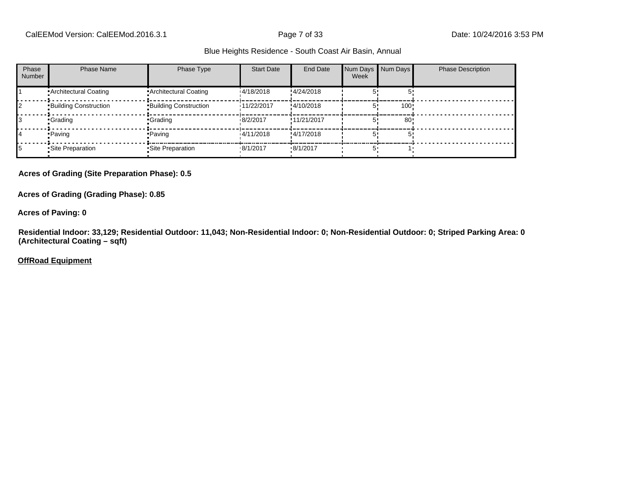| Phase<br><b>Number</b> | <b>Phase Name</b>            | Phase Type                   | <b>Start Date</b> | End Date    | Num Days Num Days<br>Week |      | <b>Phase Description</b> |
|------------------------|------------------------------|------------------------------|-------------------|-------------|---------------------------|------|--------------------------|
|                        | Architectural Coating        | Architectural Coating        | 14/18/2018        | !4/24/2018  |                           |      |                          |
|                        | <b>Building Construction</b> | <b>Building Construction</b> | 11/22/2017        | !4/10/2018  |                           | 100! |                          |
|                        | •Grading                     | •Grading                     | 8/2/2017          | !11/21/2017 |                           | 80   |                          |
| 14                     | • Paving                     | • Paving                     | 14/11/2018        | !4/17/2018  |                           |      |                          |
| 15                     | • Site Preparation           | •Site Preparation            | .8/1/2017         | .8/1/2017   | 5'                        |      |                          |

#### **Acres of Grading (Site Preparation Phase): 0.5**

#### **Acres of Grading (Grading Phase): 0.85**

#### **Acres of Paving: 0**

**Residential Indoor: 33,129; Residential Outdoor: 11,043; Non-Residential Indoor: 0; Non-Residential Outdoor: 0; Striped Parking Area: 0 (Architectural Coating – sqft)**

#### **OffRoad Equipment**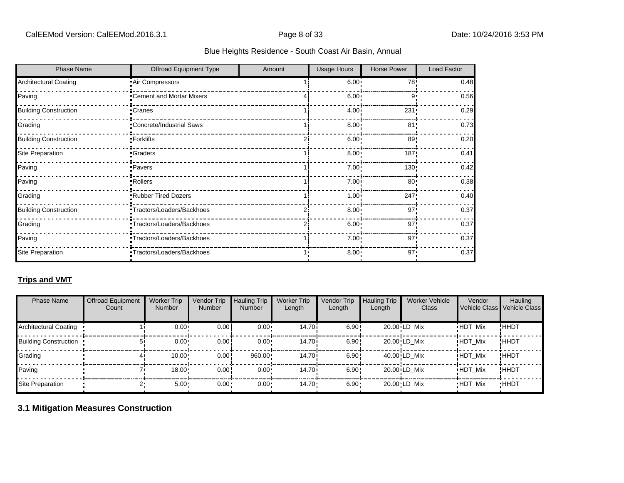| <b>Phase Name</b>            | Offroad Equipment Type     | Amount | <b>Usage Hours</b> | Horse Power | Load Factor |
|------------------------------|----------------------------|--------|--------------------|-------------|-------------|
| <b>Architectural Coating</b> | Air Compressors            |        | 6.00:              | 78'         | 0.48        |
| Paving                       | *Cement and Mortar Mixers  |        | 6.00               | 9           | 0.56        |
| <b>Building Construction</b> | •Cranes                    |        | 4.00               | 231         | 0.29        |
| Grading                      | *Concrete/Industrial Saws  |        | 8.00               | 81'         | 0.73        |
| <b>Building Construction</b> | •Forklifts                 |        | 6.00               | 89          | 0.20        |
| <b>Site Preparation</b>      | <b>Craders</b>             |        | 8.00               | 187         | 0.41        |
| Paving                       | Pavers                     |        | 7.00               | 130         | 0.42        |
| Paving                       | Rollers <sup>-</sup>       |        | 7.00               | 80          | 0.38        |
| Grading                      | Rubber Tired Dozers        |        | 1.00               | 247         | 0.40        |
| <b>Building Construction</b> | -Tractors/Loaders/Backhoes |        | 8.00               | 97'         | 0.37        |
| Grading                      | -Tractors/Loaders/Backhoes |        | 6.00               | 97          | 0.37        |
| Paving                       | *Tractors/Loaders/Backhoes |        | 7.00               | 97'         | 0.37        |
| Site Preparation             | *Tractors/Loaders/Backhoes |        | 8.00               | 97'         | 0.37        |

## **Trips and VMT**

| <b>Phase Name</b>            | <b>Offroad Equipment</b><br>Count | <b>Worker Trip</b><br><b>Number</b> | Vendor Trip<br><b>Number</b> | <b>Hauling Trip</b><br><b>Number</b> | <b>Worker Trip</b><br>Length | Vendor Trip<br>Length | <b>Hauling Trip</b><br>Length | <b>Worker Vehicle</b><br>Class | Vendor         | Hauling<br>Vehicle Class Vehicle Class |
|------------------------------|-----------------------------------|-------------------------------------|------------------------------|--------------------------------------|------------------------------|-----------------------|-------------------------------|--------------------------------|----------------|----------------------------------------|
| <b>Architectural Coating</b> |                                   | 0.00:                               | 0.00                         | $0.00 \cdot$                         | 14.70i                       | 6.90!                 |                               | 20.00 LD Mix                   | <b>HDT Mix</b> | !HHDT                                  |
| <b>Building Construction</b> |                                   | 0.00:                               | 0.00                         | $0.00 \cdot$                         | 14.70i                       | 6.90!                 |                               | 20.00 LD Mix                   | <b>HDT Mix</b> | !HHDT                                  |
| Grading                      |                                   | 10.00                               | 0.00                         | 960.00                               | 14.70i                       | 6.90!                 |                               | 40.00 LD Mix                   | <b>HDT Mix</b> | !HHDT                                  |
| Paving                       |                                   | 18.00                               | 0.00                         | 0.00                                 | 14.70i                       | 6.90!                 |                               | $20.00$ <sup>i</sup> LD Mix    | <b>HDT Mix</b> | <b>!HHDT</b>                           |
| Site Preparation             |                                   | $5.00 -$                            | $0.00 -$                     | $0.00 \cdot$                         | 14.70                        | $6.90 \cdot$          |                               | 20.00 LD Mix                   | <b>HDT Mix</b> | <b>HHDT</b>                            |

## **3.1 Mitigation Measures Construction**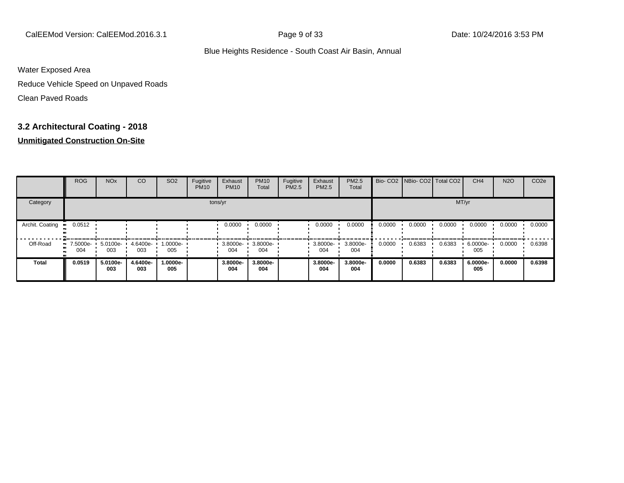CalEEMod Version: CalEEMod.2016.3.1 Page 9 of 33 Date: 10/24/2016 3:53 PM

#### Blue Heights Residence - South Coast Air Basin, Annual

Water Exposed Area

Reduce Vehicle Speed on Unpaved Roads

Clean Paved Roads

## **3.2 Architectural Coating - 2018**

## **Unmitigated Construction On-Site**

|                 | <b>ROG</b>                     | <b>NO<sub>x</sub></b> | CO              | SO <sub>2</sub> | Fugitive<br><b>PM10</b> | Exhaust<br><b>PM10</b> | <b>PM10</b><br>Total | Fugitive<br><b>PM2.5</b> | Exhaust<br>PM2.5 | <b>PM2.5</b><br>Total |        | Bio- CO2 NBio- CO2 Total CO2 |        | CH <sub>4</sub> | <b>N2O</b> | CO <sub>2e</sub> |
|-----------------|--------------------------------|-----------------------|-----------------|-----------------|-------------------------|------------------------|----------------------|--------------------------|------------------|-----------------------|--------|------------------------------|--------|-----------------|------------|------------------|
| Category        |                                |                       |                 |                 |                         | tons/yr                |                      |                          |                  |                       |        |                              | MT/yr  |                 |            |                  |
| Archit. Coating | 0.0512                         |                       |                 |                 |                         | 0.0000                 | 0.0000               |                          | 0.0000           | 0.0000                | 0.0000 | 0.0000                       | 0.0000 | 0.0000          | 0.0000     | 0.0000           |
| Off-Road        | $\blacksquare$ 7.5000e-<br>004 | 5.0100e-<br>003       | 4.6400e-<br>003 | 1.0000e-<br>005 |                         | 3.8000e-<br>004        | 3.8000e-<br>004      |                          | 3.8000e-<br>004  | 3.8000e-<br>004       | 0.0000 | 0.6383                       | 0.6383 | 6.0000e-<br>005 | 0.0000     | 0.6398           |
| Total           | 0.0519                         | 5.0100e-<br>003       | 4.6400e-<br>003 | -.0000e<br>005  |                         | 3.8000e-<br>004        | 3.8000e-<br>004      |                          | 3.8000e-<br>004  | 3.8000e-<br>004       | 0.0000 | 0.6383                       | 0.6383 | 6.0000e-<br>005 | 0.0000     | 0.6398           |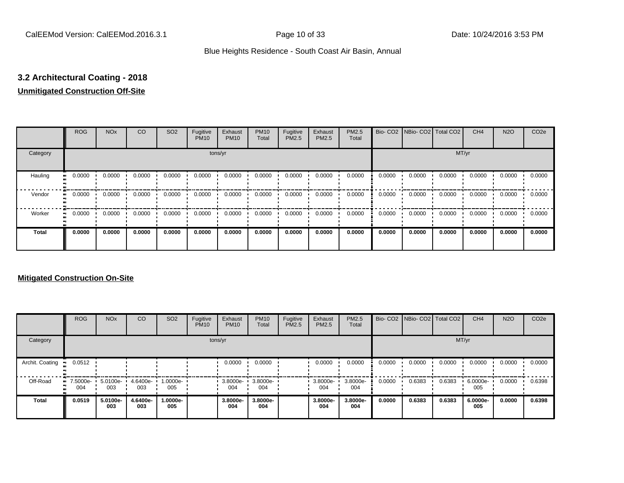## **3.2 Architectural Coating - 2018**

## **Unmitigated Construction Off-Site**

|              | <b>ROG</b>                 | <b>NO<sub>x</sub></b> | CO     | SO <sub>2</sub> | Fugitive<br><b>PM10</b> | Exhaust<br><b>PM10</b> | <b>PM10</b><br>Total | Fugitive<br>PM2.5 | Exhaust<br>PM2.5 | PM2.5<br>Total |        | Bio- CO2   NBio- CO2   Total CO2 |        | CH <sub>4</sub> | <b>N2O</b> | CO <sub>2e</sub> |
|--------------|----------------------------|-----------------------|--------|-----------------|-------------------------|------------------------|----------------------|-------------------|------------------|----------------|--------|----------------------------------|--------|-----------------|------------|------------------|
| Category     |                            |                       |        |                 | tons/yr                 |                        |                      |                   |                  |                |        |                                  | MT/yr  |                 |            |                  |
| Hauling      | 0.0000<br>$\bullet\bullet$ | 0.0000                | 0.0000 | 0.0000          | 0.0000                  | 0.0000                 | 0.0000               | 0.0000            | 0.0000           | 0.0000         | 0.0000 | 0.0000                           | 0.0000 | 0.0000          | 0.0000     | 0.0000           |
| Vendor       | 0.0000<br>$\bullet$        | 0.0000                | 0.0000 | 0.0000          | 0.0000                  | 0.0000                 | 0.0000               | 0.0000            | 0.0000           | 0.0000         | 0.0000 | 0.0000                           | 0.0000 | 0.0000          | 0.0000     | 0.0000           |
| Worker       | 0.0000<br>$\bullet$        | 0.0000                | 0.0000 | 0.0000          | 0.0000                  | 0.0000                 | 0.0000               | 0.0000            | 0.0000           | 0.0000         | 0.0000 | 0.0000                           | 0.0000 | 0.0000          | 0.0000     | 0.0000           |
| <b>Total</b> | 0.0000                     | 0.0000                | 0.0000 | 0.0000          | 0.0000                  | 0.0000                 | 0.0000               | 0.0000            | 0.0000           | 0.0000         | 0.0000 | 0.0000                           | 0.0000 | 0.0000          | 0.0000     | 0.0000           |

## **Mitigated Construction On-Site**

|                 | <b>ROG</b>         | <b>NO<sub>x</sub></b> | CO              | SO <sub>2</sub> | Fugitive<br><b>PM10</b> | Exhaust<br><b>PM10</b> | <b>PM10</b><br>Total | Fugitive<br>PM2.5 | Exhaust<br><b>PM2.5</b> | PM2.5<br>Total  |        | Bio- CO2 NBio- CO2 Total CO2 |        | CH <sub>4</sub> | <b>N2O</b> | CO <sub>2e</sub> |
|-----------------|--------------------|-----------------------|-----------------|-----------------|-------------------------|------------------------|----------------------|-------------------|-------------------------|-----------------|--------|------------------------------|--------|-----------------|------------|------------------|
| Category        |                    |                       |                 |                 |                         | tons/yr                |                      |                   |                         |                 |        |                              | MT/yr  |                 |            |                  |
| Archit. Coating | 0.0512             |                       |                 |                 |                         | 0.0000                 | 0.0000               |                   | 0.0000                  | 0.0000          | 0.0000 | 0.0000                       | 0.0000 | 0.0000          | 0.0000     | 0.0000           |
| Off-Road        | $-7.5000e-$<br>004 | 5.0100e-<br>003       | 4.6400e-<br>003 | 1.0000e-<br>005 |                         | $3.8000e -$<br>004     | 3.8000e-<br>004      |                   | 3.8000e-<br>004         | 3.8000e-<br>004 | 0.0000 | 0.6383                       | 0.6383 | 6.0000e-<br>005 | 0.0000     | 0.6398           |
| <b>Total</b>    | 0.0519             | 5.0100e-<br>003       | 4.6400e-<br>003 | 1.0000e-<br>005 |                         | 3.8000e-<br>004        | 3.8000e-<br>004      |                   | 3.8000e-<br>004         | 3.8000e-<br>004 | 0.0000 | 0.6383                       | 0.6383 | 6.0000e-<br>005 | 0.0000     | 0.6398           |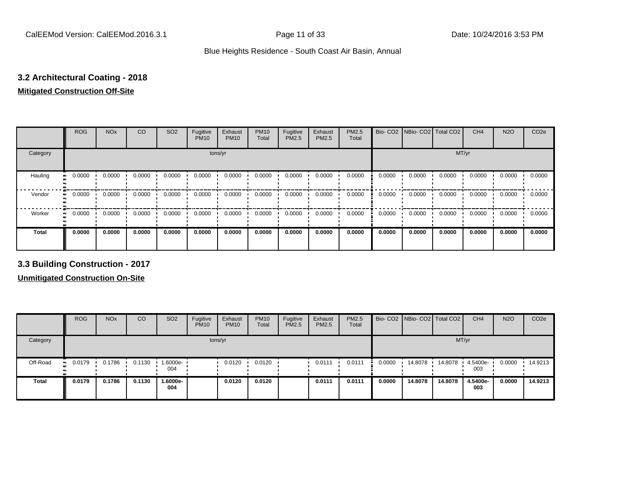## **3.2 Architectural Coating - 2018**

## **Mitigated Construction Off-Site**

|                      | <b>ROG</b>          | <b>NO<sub>x</sub></b> | CO     | SO <sub>2</sub> | Fugitive<br><b>PM10</b> | Exhaust<br><b>PM10</b> | <b>PM10</b><br>Total | Fugitive<br><b>PM2.5</b> | Exhaust<br>PM2.5 | PM2.5<br>Total |        | Bio- CO2   NBio- CO2   Total CO2 |        | CH <sub>4</sub> | <b>N2O</b> | CO <sub>2e</sub> |
|----------------------|---------------------|-----------------------|--------|-----------------|-------------------------|------------------------|----------------------|--------------------------|------------------|----------------|--------|----------------------------------|--------|-----------------|------------|------------------|
| Category             |                     |                       |        |                 | tons/yr                 |                        |                      |                          |                  |                |        |                                  | MT/yr  |                 |            |                  |
| Hauling<br>$\bullet$ | 0.0000              | 0.0000                | 0.0000 | 0.0000          | 0.0000                  | 0.0000                 | 0.0000               | 0.0000                   | 0.0000           | 0.0000         | 0.0000 | 0.0000                           | 0.0000 | 0.0000          | 0.0000     | 0.0000           |
| Vendor               | 0.0000<br>$\bullet$ | 0.0000                | 0.0000 | 0.0000          | 0.0000                  | 0.0000                 | 0.0000               | 0.0000                   | 0.0000           | 0.0000         | 0.0000 | 0.0000                           | 0.0000 | 0.0000          | 0.0000     | 0.0000           |
| Worker<br>$\bullet$  | 0.0000              | 0.0000                | 0.0000 | 0.0000          | 0.0000                  | 0.0000                 | 0.0000               | 0.0000                   | 0.0000           | 0.0000         | 0.0000 | 0.0000                           | 0.0000 | 0.0000          | 0.0000     | 0.0000           |
| <b>Total</b>         | 0.0000              | 0.0000                | 0.0000 | 0.0000          | 0.0000                  | 0.0000                 | 0.0000               | 0.0000                   | 0.0000           | 0.0000         | 0.0000 | 0.0000                           | 0.0000 | 0.0000          | 0.0000     | 0.0000           |

**3.3 Building Construction - 2017**

**Unmitigated Construction On-Site**

|          | <b>ROG</b>   | <b>NO<sub>x</sub></b> | CO     | SO <sub>2</sub> | Fugitive<br><b>PM10</b> | Exhaust<br><b>PM10</b> | <b>PM10</b><br>Total | Fugitive<br><b>PM2.5</b> | Exhaust<br>PM2.5 | <b>PM2.5</b><br>Total |        | Bio- CO2 NBio- CO2 Total CO2 |         | CH <sub>4</sub> | <b>N2O</b> | CO <sub>2e</sub> |
|----------|--------------|-----------------------|--------|-----------------|-------------------------|------------------------|----------------------|--------------------------|------------------|-----------------------|--------|------------------------------|---------|-----------------|------------|------------------|
| Category |              |                       |        |                 |                         | tons/yr                |                      |                          |                  |                       |        |                              |         | MT/yr           |            |                  |
| Off-Road | 0.0179<br>ш. | 0.1786                | 0.1130 | 1.6000e-<br>004 |                         | 0.0120                 | 0.0120               |                          | 0.0111           | 0.0111                | 0.0000 | 14.8078                      | 14.8078 | 4.5400e-<br>003 | 0.0000     | 14.9213          |
| Total    | 0.0179       | 0.1786                | 0.1130 | 1.6000e-<br>004 |                         | 0.0120                 | 0.0120               |                          | 0.0111           | 0.0111                | 0.0000 | 14.8078                      | 14.8078 | 4.5400e-<br>003 | 0.0000     | 14.9213          |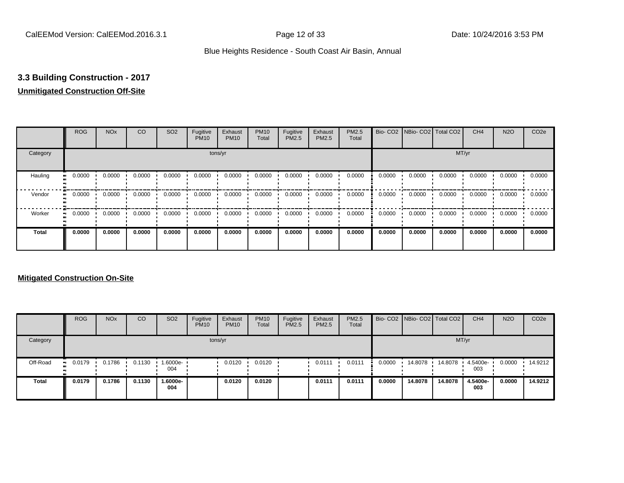## **3.3 Building Construction - 2017**

## **Unmitigated Construction Off-Site**

|              | <b>ROG</b>                 | <b>NO<sub>x</sub></b> | CO     | SO <sub>2</sub> | Fugitive<br><b>PM10</b> | Exhaust<br><b>PM10</b> | <b>PM10</b><br>Total | Fugitive<br>PM2.5 | Exhaust<br>PM2.5 | PM2.5<br>Total |        | Bio- CO2   NBio- CO2   Total CO2 |        | CH <sub>4</sub> | <b>N2O</b> | CO <sub>2e</sub> |
|--------------|----------------------------|-----------------------|--------|-----------------|-------------------------|------------------------|----------------------|-------------------|------------------|----------------|--------|----------------------------------|--------|-----------------|------------|------------------|
| Category     |                            |                       |        |                 |                         | tons/yr                |                      |                   |                  |                |        |                                  | MT/yr  |                 |            |                  |
| Hauling      | 0.0000<br>$\bullet\bullet$ | 0.0000                | 0.0000 | 0.0000          | 0.0000                  | 0.0000                 | 0.0000               | 0.0000            | 0.0000           | 0.0000         | 0.0000 | 0.0000                           | 0.0000 | 0.0000          | 0.0000     | 0.0000           |
| Vendor       | 0.0000<br>$\bullet\bullet$ | 0.0000                | 0.0000 | 0.0000          | 0.0000                  | 0.0000                 | 0.0000               | 0.0000            | 0.0000           | 0.0000         | 0.0000 | 0.0000                           | 0.0000 | 0.0000          | 0.0000     | 0.0000           |
| Worker       | 0.0000<br>$\bullet$        | 0.0000                | 0.0000 | 0.0000          | 0.0000                  | 0.0000                 | 0.0000               | 0.0000            | 0.0000           | 0.0000         | 0.0000 | 0.0000                           | 0.0000 | 0.0000          | 0.0000     | 0.0000           |
| <b>Total</b> | 0.0000                     | 0.0000                | 0.0000 | 0.0000          | 0.0000                  | 0.0000                 | 0.0000               | 0.0000            | 0.0000           | 0.0000         | 0.0000 | 0.0000                           | 0.0000 | 0.0000          | 0.0000     | 0.0000           |

## **Mitigated Construction On-Site**

|              | <b>ROG</b> | <b>NO<sub>x</sub></b> | CO     | SO <sub>2</sub>    | Fugitive<br><b>PM10</b> | Exhaust<br><b>PM10</b> | <b>PM10</b><br>Total | Fugitive<br><b>PM2.5</b> | Exhaust<br><b>PM2.5</b> | PM2.5<br>Total |        | Bio- CO2 NBio- CO2 Total CO2 |         | CH <sub>4</sub> | <b>N2O</b> | CO <sub>2</sub> e |
|--------------|------------|-----------------------|--------|--------------------|-------------------------|------------------------|----------------------|--------------------------|-------------------------|----------------|--------|------------------------------|---------|-----------------|------------|-------------------|
| Category     |            |                       |        |                    |                         | tons/yr                |                      |                          |                         |                |        |                              |         | MT/yr           |            |                   |
| Off-Road     | 0.0179     | 0.1786                | 0.1130 | $1.6000e -$<br>004 |                         | 0.0120                 | 0.0120               |                          | 0.0111                  | 0.0111         | 0.0000 | 14.8078                      | 14.8078 | 4.5400e-<br>003 | 0.0000     | 14.9212           |
| <b>Total</b> | 0.0179     | 0.1786                | 0.1130 | -.6000e<br>004     |                         | 0.0120                 | 0.0120               |                          | 0.0111                  | 0.0111         | 0.0000 | 14,8078                      | 14.8078 | 4.5400e-<br>003 | 0.0000     | 14.9212           |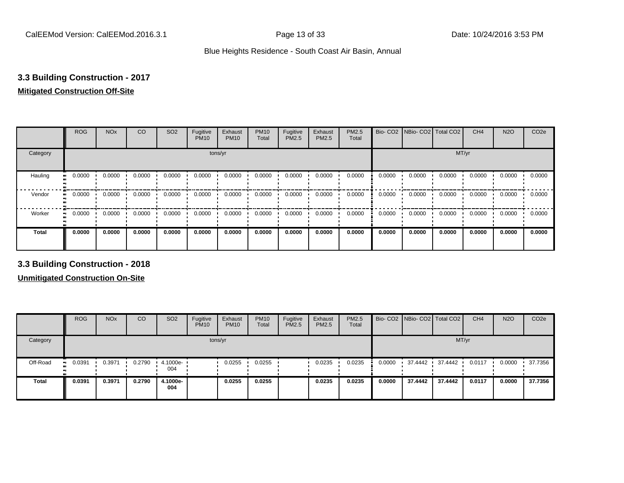## **3.3 Building Construction - 2017**

## **Mitigated Construction Off-Site**

|                     | <b>ROG</b> | <b>NO<sub>x</sub></b> | CO     | SO <sub>2</sub> | Fugitive<br><b>PM10</b> | Exhaust<br><b>PM10</b> | <b>PM10</b><br>Total | Fugitive<br>PM2.5 | Exhaust<br>PM2.5 | PM2.5<br>Total |        | Bio- CO2   NBio- CO2   Total CO2 |        | CH <sub>4</sub> | <b>N2O</b> | CO <sub>2e</sub> |
|---------------------|------------|-----------------------|--------|-----------------|-------------------------|------------------------|----------------------|-------------------|------------------|----------------|--------|----------------------------------|--------|-----------------|------------|------------------|
| Category            |            |                       |        |                 | tons/yr                 |                        |                      |                   |                  |                |        |                                  | MT/yr  |                 |            |                  |
| Hauling             | 0.0000     | 0.0000                | 0.0000 | 0.0000          | 0.0000                  | 0.0000                 | 0.0000               | 0.0000            | 0.0000           | 0.0000         | 0.0000 | 0.0000                           | 0.0000 | 0.0000          | 0.0000     | 0.0000           |
| Vendor<br>$\bullet$ | 0.0000     | 0.0000                | 0.0000 | 0.0000          | 0.0000                  | 0.0000                 | 0.0000               | 0.0000            | 0.0000           | 0.0000         | 0.0000 | 0.0000                           | 0.0000 | 0.0000          | 0.0000     | 0.0000           |
| Worker<br>$\bullet$ | 0.0000     | 0.0000                | 0.0000 | 0.0000          | 0.0000                  | 0.0000                 | 0.0000               | 0.0000            | 0.0000           | 0.0000         | 0.0000 | 0.0000                           | 0.0000 | 0.0000          | 0.0000     | 0.0000           |
| <b>Total</b>        | 0.0000     | 0.0000                | 0.0000 | 0.0000          | 0.0000                  | 0.0000                 | 0.0000               | 0.0000            | 0.0000           | 0.0000         | 0.0000 | 0.0000                           | 0.0000 | 0.0000          | 0.0000     | 0.0000           |

**3.3 Building Construction - 2018**

**Unmitigated Construction On-Site**

|          | <b>ROG</b>   | <b>NO<sub>x</sub></b> | CO     | SO <sub>2</sub> | Fugitive<br><b>PM10</b> | Exhaust<br><b>PM10</b> | <b>PM10</b><br>Total | Fugitive<br>PM2.5 | Exhaust<br>PM2.5 | <b>PM2.5</b><br>Total |        | Bio- CO2 NBio- CO2   Total CO2 |         | CH <sub>4</sub> | <b>N2O</b> | CO <sub>2e</sub> |
|----------|--------------|-----------------------|--------|-----------------|-------------------------|------------------------|----------------------|-------------------|------------------|-----------------------|--------|--------------------------------|---------|-----------------|------------|------------------|
| Category |              |                       |        |                 |                         | tons/yr                |                      |                   |                  |                       |        |                                |         | MT/yr           |            |                  |
| Off-Road | 0.0391<br>ш. | 0.3971                | 0.2790 | 4.1000e-<br>004 |                         | 0.0255                 | 0.0255               |                   | 0.0235           | 0.0235                | 0.0000 | 37.4442 .                      | 37.4442 | 0.0117          | 0.0000     | 37.7356          |
| Total    | 0.0391       | 0.3971                | 0.2790 | 4.1000e-<br>004 |                         | 0.0255                 | 0.0255               |                   | 0.0235           | 0.0235                | 0.0000 | 37.4442                        | 37.4442 | 0.0117          | 0.0000     | 37.7356          |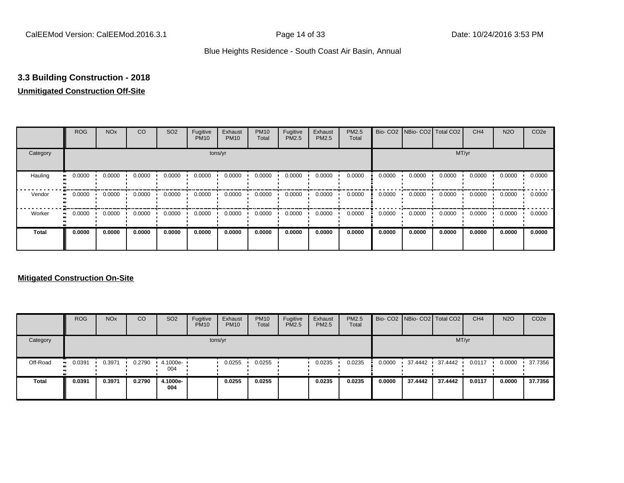## **3.3 Building Construction - 2018**

## **Unmitigated Construction Off-Site**

|                      | <b>ROG</b>          | <b>NO<sub>x</sub></b> | CO     | SO <sub>2</sub> | Fugitive<br><b>PM10</b> | Exhaust<br><b>PM10</b> | <b>PM10</b><br>Total | Fugitive<br><b>PM2.5</b> | Exhaust<br>PM2.5 | PM2.5<br>Total |        | Bio- CO2   NBio- CO2   Total CO2 |        | CH <sub>4</sub> | <b>N2O</b> | CO <sub>2e</sub> |
|----------------------|---------------------|-----------------------|--------|-----------------|-------------------------|------------------------|----------------------|--------------------------|------------------|----------------|--------|----------------------------------|--------|-----------------|------------|------------------|
| Category             |                     |                       |        |                 | tons/yr                 |                        |                      |                          |                  |                |        |                                  | MT/yr  |                 |            |                  |
| Hauling<br>$\bullet$ | 0.0000              | 0.0000                | 0.0000 | 0.0000          | 0.0000                  | 0.0000                 | 0.0000               | 0.0000                   | 0.0000           | 0.0000         | 0.0000 | 0.0000                           | 0.0000 | 0.0000          | 0.0000     | 0.0000           |
| Vendor               | 0.0000<br>$\bullet$ | 0.0000                | 0.0000 | 0.0000          | 0.0000                  | 0.0000                 | 0.0000               | 0.0000                   | 0.0000           | 0.0000         | 0.0000 | 0.0000                           | 0.0000 | 0.0000          | 0.0000     | 0.0000           |
| Worker<br>$\bullet$  | 0.0000              | 0.0000                | 0.0000 | 0.0000          | 0.0000                  | 0.0000                 | 0.0000               | 0.0000                   | 0.0000           | 0.0000         | 0.0000 | 0.0000                           | 0.0000 | 0.0000          | 0.0000     | 0.0000           |
| Total                | 0.0000              | 0.0000                | 0.0000 | 0.0000          | 0.0000                  | 0.0000                 | 0.0000               | 0.0000                   | 0.0000           | 0.0000         | 0.0000 | 0.0000                           | 0.0000 | 0.0000          | 0.0000     | 0.0000           |

## **Mitigated Construction On-Site**

|              | <b>ROG</b> | <b>NO<sub>x</sub></b> | CO     | SO <sub>2</sub>    | Fugitive<br><b>PM10</b> | Exhaust<br><b>PM10</b> | <b>PM10</b><br>Total | Fugitive<br><b>PM2.5</b> | Exhaust<br><b>PM2.5</b> | PM2.5<br>Total |        |         | Bio- CO2 NBio- CO2 Total CO2 | CH <sub>4</sub> | <b>N2O</b> | CO <sub>2</sub> e |
|--------------|------------|-----------------------|--------|--------------------|-------------------------|------------------------|----------------------|--------------------------|-------------------------|----------------|--------|---------|------------------------------|-----------------|------------|-------------------|
| Category     |            |                       |        |                    |                         | tons/yr                |                      |                          |                         |                |        |         |                              | MT/yr           |            |                   |
| Off-Road     | 0.0391     | 0.3971                | 0.2790 | $4.1000e -$<br>004 |                         | 0.0255                 | 0.0255               |                          | 0.0235                  | 0.0235         | 0.0000 |         | 37.4442 37.4442              | 0.0117          | 0.0000     | 37.7356           |
| <b>Total</b> | 0.0391     | 0.3971                | 0.2790 | 4.1000e-<br>004    |                         | 0.0255                 | 0.0255               |                          | 0.0235                  | 0.0235         | 0.0000 | 37.4442 | 37.4442                      | 0.0117          | 0.0000     | 37.7356           |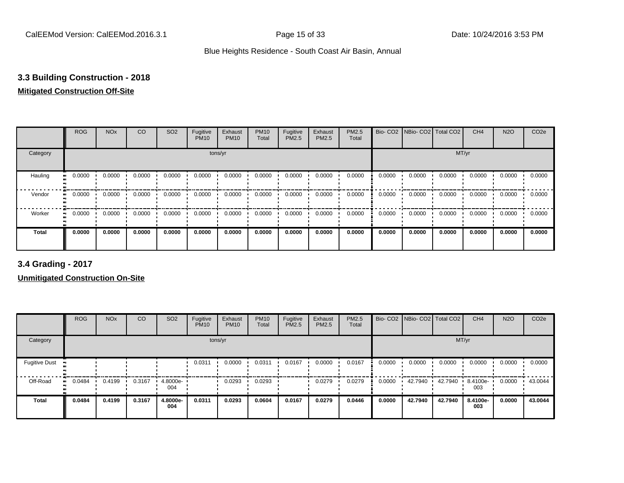## **3.3 Building Construction - 2018**

## **Mitigated Construction Off-Site**

|                             | <b>ROG</b>                 | <b>NO<sub>x</sub></b> | CO     | SO <sub>2</sub> | Fugitive<br><b>PM10</b> | Exhaust<br><b>PM10</b> | <b>PM10</b><br>Total | Fugitive<br>PM2.5 | Exhaust<br>PM2.5 | PM2.5<br>Total |        | Bio- CO2   NBio- CO2   Total CO2 |        | CH <sub>4</sub> | <b>N2O</b> | CO <sub>2e</sub> |
|-----------------------------|----------------------------|-----------------------|--------|-----------------|-------------------------|------------------------|----------------------|-------------------|------------------|----------------|--------|----------------------------------|--------|-----------------|------------|------------------|
| Category                    |                            |                       |        |                 | tons/yr                 |                        |                      |                   |                  |                |        |                                  | MT/yr  |                 |            |                  |
| Hauling<br>$\bullet\bullet$ | 0.0000                     | 0.0000                | 0.0000 | 0.0000          | 0.0000                  | 0.0000                 | 0.0000               | 0.0000            | 0.0000           | 0.0000         | 0.0000 | 0.0000                           | 0.0000 | 0.0000          | 0.0000     | 0.0000           |
| Vendor                      | 0.0000<br>$\bullet\bullet$ | 0.0000                | 0.0000 | 0.0000          | 0.0000                  | 0.0000                 | 0.0000               | 0.0000            | 0.0000           | 0.0000         | 0.0000 | 0.0000                           | 0.0000 | 0.0000          | 0.0000     | 0.0000           |
| Worker                      | 0.0000<br>$\bullet\bullet$ | 0.0000                | 0.0000 | 0.0000          | 0.0000                  | 0.0000                 | 0.0000               | 0.0000            | 0.0000           | 0.0000         | 0.0000 | 0.0000                           | 0.0000 | 0.0000          | 0.0000     | 0.0000           |
| <b>Total</b>                | 0.0000                     | 0.0000                | 0.0000 | 0.0000          | 0.0000                  | 0.0000                 | 0.0000               | 0.0000            | 0.0000           | 0.0000         | 0.0000 | 0.0000                           | 0.0000 | 0.0000          | 0.0000     | 0.0000           |

**3.4 Grading - 2017**

**Unmitigated Construction On-Site**

|                      | <b>ROG</b>       | <b>NO<sub>x</sub></b> | CO     | SO <sub>2</sub> | Fugitive<br><b>PM10</b> | Exhaust<br><b>PM10</b> | <b>PM10</b><br>Total | Fugitive<br><b>PM2.5</b> | Exhaust<br>PM2.5 | PM2.5<br>Total |        | Bio- CO2   NBio- CO2   Total CO2 |         | CH <sub>4</sub> | <b>N2O</b> | CO <sub>2e</sub> |
|----------------------|------------------|-----------------------|--------|-----------------|-------------------------|------------------------|----------------------|--------------------------|------------------|----------------|--------|----------------------------------|---------|-----------------|------------|------------------|
| Category             |                  |                       |        |                 |                         | tons/yr                |                      |                          |                  |                |        |                                  | MT/yr   |                 |            |                  |
| <b>Fugitive Dust</b> | $\bullet\bullet$ |                       |        |                 | 0.0311                  | 0.0000                 | 0.0311               | 0.0167                   | 0.0000           | 0.0167         | 0.0000 | 0.0000                           | 0.0000  | 0.0000          | 0.0000     | 0.0000           |
| Off-Road             | 0.0484<br>ш.     | 0.4199                | 0.3167 | 4.8000e-<br>004 |                         | 0.0293                 | 0.0293               |                          | 0.0279           | 0.0279         | 0.0000 | 42.7940                          | 42.7940 | 8.4100e-<br>003 | 0.0000     | 43.0044          |
| <b>Total</b>         | 0.0484           | 0.4199                | 0.3167 | 4.8000e-<br>004 | 0.0311                  | 0.0293                 | 0.0604               | 0.0167                   | 0.0279           | 0.0446         | 0.0000 | 42.7940                          | 42.7940 | 8.4100e-<br>003 | 0.0000     | 43.0044          |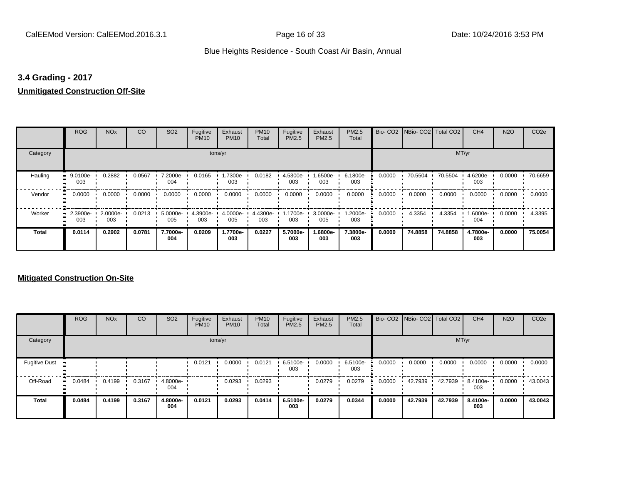## **3.4 Grading - 2017**

## **Unmitigated Construction Off-Site**

|              | <b>ROG</b>                 | <b>NO<sub>x</sub></b> | CO     | SO <sub>2</sub> | Fugitive<br><b>PM10</b> | Exhaust<br><b>PM10</b> | <b>PM10</b><br>Total | Fugitive<br>PM2.5 | Exhaust<br>PM2.5 | PM2.5<br>Total  |        | Bio- CO2   NBio- CO2   Total CO2 |         | CH <sub>4</sub> | <b>N2O</b> | CO <sub>2e</sub> |
|--------------|----------------------------|-----------------------|--------|-----------------|-------------------------|------------------------|----------------------|-------------------|------------------|-----------------|--------|----------------------------------|---------|-----------------|------------|------------------|
| Category     |                            |                       |        |                 |                         | tons/yr                |                      |                   |                  |                 |        |                                  | MT/yr   |                 |            |                  |
| Hauling      | 9.0100e-<br>003            | 0.2882                | 0.0567 | 7.2000e-<br>004 | 0.0165                  | 1.7300e-<br>003        | 0.0182               | 4.5300e-<br>003   | .6500e-<br>003   | 6.1800e-<br>003 | 0.0000 | 70.5504                          | 70.5504 | 4.6200e-<br>003 | 0.0000     | 70.6659          |
| Vendor       | 0.0000<br>$\bullet\bullet$ | 0.0000                | 0.0000 | 0.0000          | 0.0000                  | 0.0000                 | 0.0000               | 0.0000            | 0.0000           | 0.0000          | 0.0000 | 0.0000                           | 0.0000  | 0.0000          | 0.0000     | 0.0000           |
| Worker       | 2.3900e-<br>003            | 2.0000e-<br>003       | 0.0213 | 5.0000e-<br>005 | 4.3900e-<br>003         | 4.0000e-<br>005        | 4.4300e-<br>003      | 1.1700e-<br>003   | 3.0000e-<br>005  | 1.2000e-<br>003 | 0.0000 | 4.3354                           | 4.3354  | 1.6000e-<br>004 | 0.0000     | 4.3395           |
| <b>Total</b> | 0.0114                     | 0.2902                | 0.0781 | 7.7000e-<br>004 | 0.0209                  | 1.7700e-<br>003        | 0.0227               | 5.7000e-<br>003   | .6800e-<br>003   | 7.3800e-<br>003 | 0.0000 | 74.8858                          | 74.8858 | 4.7800e-<br>003 | 0.0000     | 75.0054          |

## **Mitigated Construction On-Site**

|                      | <b>ROG</b> | <b>NO<sub>x</sub></b> | CO     | SO <sub>2</sub> | Fugitive<br><b>PM10</b> | Exhaust<br><b>PM10</b> | <b>PM10</b><br>Total | Fugitive<br>PM2.5 | Exhaust<br>PM2.5 | PM2.5<br>Total  |        | Bio- CO2   NBio- CO2   Total CO2 |         | CH <sub>4</sub> | <b>N2O</b> | CO <sub>2e</sub> |
|----------------------|------------|-----------------------|--------|-----------------|-------------------------|------------------------|----------------------|-------------------|------------------|-----------------|--------|----------------------------------|---------|-----------------|------------|------------------|
| Category             |            |                       |        |                 |                         | tons/yr                |                      |                   |                  |                 |        |                                  | MT/yr   |                 |            |                  |
| <b>Fugitive Dust</b> |            |                       |        |                 | 0.0121                  | 0.0000                 | 0.0121               | 6.5100e-<br>003   | 0.0000           | 6.5100e-<br>003 | 0.0000 | 0.0000                           | 0.0000  | 0.0000          | 0.0000     | 0.0000           |
| Off-Road             | 0.0484     | 0.4199                | 0.3167 | 4.8000e-<br>004 |                         | 0.0293                 | 0.0293               |                   | 0.0279           | 0.0279          | 0.0000 | 42.7939                          | 42.7939 | 8.4100e-<br>003 | 0.0000     | 43.0043          |
| Total                | 0.0484     | 0.4199                | 0.3167 | 4.8000e-<br>004 | 0.0121                  | 0.0293                 | 0.0414               | 6.5100e-<br>003   | 0.0279           | 0.0344          | 0.0000 | 42.7939                          | 42.7939 | 8.4100e-<br>003 | 0.0000     | 43.0043          |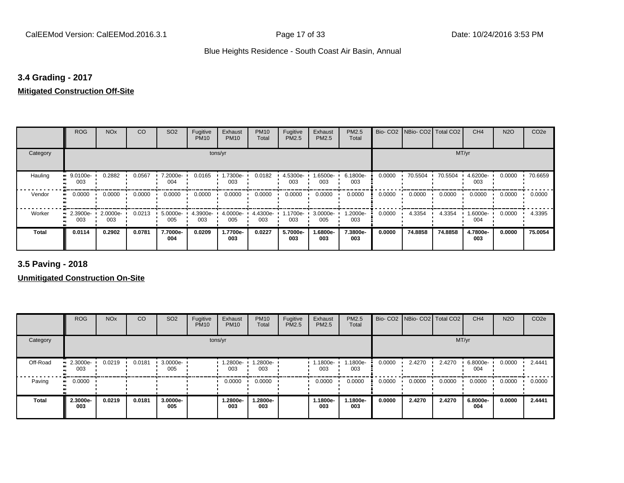## **3.4 Grading - 2017**

## **Mitigated Construction Off-Site**

|              | <b>ROG</b>           | <b>NO<sub>x</sub></b> | CO     | SO <sub>2</sub> | Fugitive<br><b>PM10</b> | Exhaust<br><b>PM10</b> | <b>PM10</b><br>Total | Fugitive<br>PM2.5 | Exhaust<br><b>PM2.5</b> | PM2.5<br>Total  |        | Bio- CO2 NBio- CO2 Total CO2 |         | CH <sub>4</sub> | <b>N2O</b> | CO <sub>2e</sub> |
|--------------|----------------------|-----------------------|--------|-----------------|-------------------------|------------------------|----------------------|-------------------|-------------------------|-----------------|--------|------------------------------|---------|-----------------|------------|------------------|
| Category     |                      |                       |        |                 |                         | tons/yr                |                      |                   |                         |                 |        |                              | MT/yr   |                 |            |                  |
| Hauling      | 9.0100e-<br>ш<br>003 | 0.2882                | 0.0567 | 7.2000e-<br>004 | 0.0165                  | 1.7300e-<br>003        | 0.0182               | 4.5300e-<br>003   | -6500e.<br>003          | 6.1800e-<br>003 | 0.0000 | 70.5504                      | 70.5504 | 4.6200e-<br>003 | 0.0000     | 70.6659          |
| Vendor       | 0.0000               | 0.0000                | 0.0000 | 0.0000          | 0.0000                  | 0.0000                 | 0.0000               | 0.0000            | 0.0000                  | 0.0000          | 0.0000 | 0.0000                       | 0.0000  | 0.0000          | 0.0000     | 0.0000           |
| Worker       | 2.3900e-<br>003      | 2.0000e-<br>003       | 0.0213 | 5.0000e-<br>005 | 4.3900e-<br>003         | 4.0000e-<br>005        | 4.4300e-<br>003      | .1700e-<br>003    | 3.0000e-<br>005         | 1.2000e-<br>003 | 0.0000 | 4.3354                       | 4.3354  | 1.6000e-<br>004 | 0.0000     | 4.3395           |
| <b>Total</b> | 0.0114               | 0.2902                | 0.0781 | 7.7000e-<br>004 | 0.0209                  | 1.7700e-<br>003        | 0.0227               | 5.7000e-<br>003   | .6800e-<br>003          | 7.3800e-<br>003 | 0.0000 | 74.8858                      | 74.8858 | 4.7800e-<br>003 | 0.0000     | 75.0054          |

**3.5 Paving - 2018**

**Unmitigated Construction On-Site**

|          | <b>ROG</b>         | <b>NO<sub>x</sub></b> | CO     | SO <sub>2</sub>    | Fugitive<br><b>PM10</b> | Exhaust<br><b>PM10</b> | <b>PM10</b><br>Total | Fugitive<br>PM2.5 | Exhaust<br><b>PM2.5</b> | PM2.5<br>Total  |        | Bio- CO2   NBio- CO2   Total CO2 |        | CH <sub>4</sub> | <b>N2O</b> | CO <sub>2e</sub> |
|----------|--------------------|-----------------------|--------|--------------------|-------------------------|------------------------|----------------------|-------------------|-------------------------|-----------------|--------|----------------------------------|--------|-----------------|------------|------------------|
| Category |                    |                       |        |                    |                         | tons/yr                |                      |                   |                         |                 |        |                                  | MT/yr  |                 |            |                  |
| Off-Road | $-2.3000e-$<br>003 | 0.0219                | 0.0181 | $3.0000e -$<br>005 |                         | 1.2800e-<br>003        | 1.2800e-<br>003      |                   | 1.1800e-<br>003         | 1.1800e-<br>003 | 0.0000 | 2.4270                           | 2.4270 | 6.8000e-<br>004 | 0.0000     | 2.4441           |
| Paving   | 0.0000             |                       |        |                    |                         | 0.0000                 | 0.0000               |                   | 0.0000                  | 0.0000          | 0.0000 | 0.0000                           | 0.0000 | 0.0000          | 0.0000     | 0.0000           |
| Total    | 2.3000e-<br>003    | 0.0219                | 0.0181 | 3.0000e-<br>005    |                         | 1.2800e-<br>003        | 1.2800e-<br>003      |                   | 1.1800e-<br>003         | 1.1800e-<br>003 | 0.0000 | 2.4270                           | 2.4270 | 6.8000e-<br>004 | 0.0000     | 2.4441           |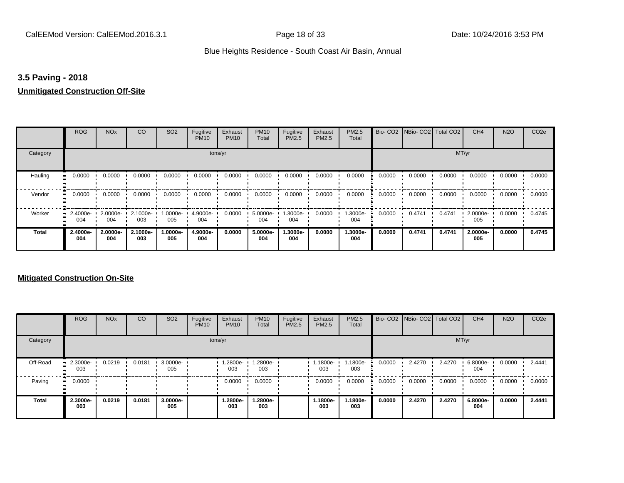## **3.5 Paving - 2018**

## **Unmitigated Construction Off-Site**

|               | <b>ROG</b>                 | <b>NO<sub>x</sub></b>    | CO              | SO <sub>2</sub> | Fugitive<br><b>PM10</b> | Exhaust<br><b>PM10</b> | <b>PM10</b><br>Total | Fugitive<br><b>PM2.5</b> | Exhaust<br>PM2.5 | <b>PM2.5</b><br>Total |        | Bio- CO2   NBio- CO2   Total CO2 |        | CH <sub>4</sub> | <b>N2O</b> | CO <sub>2e</sub> |
|---------------|----------------------------|--------------------------|-----------------|-----------------|-------------------------|------------------------|----------------------|--------------------------|------------------|-----------------------|--------|----------------------------------|--------|-----------------|------------|------------------|
| Category      |                            |                          |                 |                 | tons/yr                 |                        |                      |                          |                  |                       |        |                                  | MT/yr  |                 |            |                  |
| Hauling<br>ш, | 0.0000                     | 0.0000                   | 0.0000          | 0.0000          | 0.0000                  | 0.0000                 | 0.0000               | 0.0000                   | 0.0000           | 0.0000                | 0.0000 | 0.0000                           | 0.0000 | 0.0000          | 0.0000     | 0.0000           |
| Vendor        | 0.0000<br>$\bullet\bullet$ | 0.0000                   | 0.0000          | 0.0000          | 0.0000                  | 0.0000                 | 0.0000               | 0.0000                   | 0.0000           | 0.0000                | 0.0000 | 0.0000                           | 0.0000 | 0.0000          | 0.0000     | 0.0000           |
| Worker        | 2.4000e-<br>. .<br>004     | 2.0000e- 2.1000e-<br>004 | 003             | 1.0000e-<br>005 | 4.9000e-<br>004         | 0.0000                 | 5.0000e-<br>004      | 1.3000e-<br>004          | 0.0000           | 1.3000e-<br>004       | 0.0000 | 0.4741                           | 0.4741 | 2.0000e-<br>005 | 0.0000     | 0.4745           |
| <b>Total</b>  | 2.4000e-<br>004            | 2.0000e-<br>004          | 2.1000e-<br>003 | 1.0000e-<br>005 | 4.9000e-<br>004         | 0.0000                 | 5.0000e-<br>004      | 1.3000e-<br>004          | 0.0000           | 1.3000e-<br>004       | 0.0000 | 0.4741                           | 0.4741 | 2.0000e-<br>005 | 0.0000     | 0.4745           |

## **Mitigated Construction On-Site**

|              | <b>ROG</b>         | <b>NO<sub>x</sub></b> | CO     | SO <sub>2</sub> | Fugitive<br><b>PM10</b> | Exhaust<br><b>PM10</b> | <b>PM10</b><br>Total | Fugitive<br><b>PM2.5</b> | Exhaust<br>PM2.5 | PM2.5<br>Total  |        | Bio- CO2 NBio- CO2 Total CO2 |        | CH <sub>4</sub> | <b>N2O</b> | CO <sub>2e</sub> |
|--------------|--------------------|-----------------------|--------|-----------------|-------------------------|------------------------|----------------------|--------------------------|------------------|-----------------|--------|------------------------------|--------|-----------------|------------|------------------|
| Category     |                    |                       |        |                 | tons/yr                 |                        |                      |                          |                  |                 |        |                              |        | MT/yr           |            |                  |
| Off-Road     | $-2.3000e-$<br>003 | 0.0219                | 0.0181 | 3.0000e-<br>005 |                         | 1.2800e-<br>003        | 1.2800e-<br>003      |                          | 1.1800e-<br>003  | 1.1800e-<br>003 | 0.0000 | 2.4270                       | 2.4270 | 6.8000e-<br>004 | 0.0000     | 2.4441           |
| Paving       | 0.0000<br>. .      |                       |        |                 |                         | 0.0000                 | 0.0000               |                          | 0.0000           | 0.0000          | 0.0000 | 0.0000                       | 0.0000 | 0.0000          | 0.0000     | 0.0000           |
| <b>Total</b> | 2.3000e-<br>003    | 0.0219                | 0.0181 | 3.0000e-<br>005 |                         | 1.2800e-<br>003        | 1.2800e-<br>003      |                          | 1.1800e-<br>003  | 1.1800e-<br>003 | 0.0000 | 2.4270                       | 2.4270 | 6.8000e-<br>004 | 0.0000     | 2.4441           |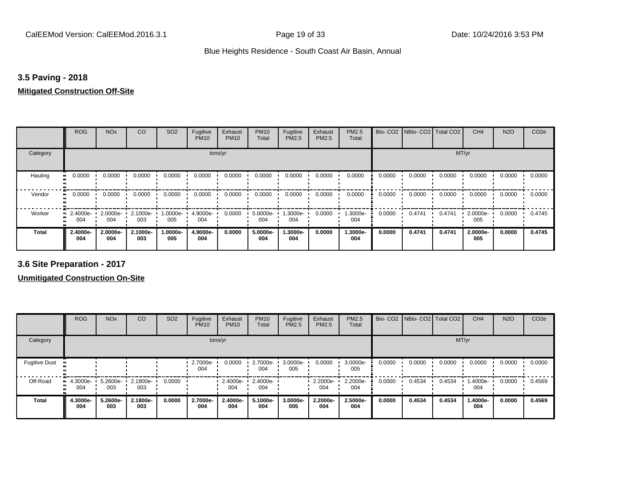## **3.5 Paving - 2018**

#### **Mitigated Construction Off-Site**

|                     | <b>ROG</b>         | <b>NO<sub>x</sub></b> | CO              | SO <sub>2</sub> | Fugitive<br><b>PM10</b> | Exhaust<br><b>PM10</b> | <b>PM10</b><br>Total | Fugitive<br><b>PM2.5</b> | Exhaust<br>PM2.5 | PM2.5<br>Total  |        | Bio- CO2 NBio- CO2 Total CO2 |        | CH <sub>4</sub> | <b>N2O</b> | CO <sub>2e</sub> |
|---------------------|--------------------|-----------------------|-----------------|-----------------|-------------------------|------------------------|----------------------|--------------------------|------------------|-----------------|--------|------------------------------|--------|-----------------|------------|------------------|
| Category            |                    |                       |                 |                 | tons/yr                 |                        |                      |                          |                  |                 |        |                              | MT/yr  |                 |            |                  |
| Hauling             | 0.0000             | 0.0000                | 0.0000          | 0.0000          | 0.0000                  | 0.0000                 | 0.0000               | 0.0000                   | 0.0000           | 0.0000          | 0.0000 | 0.0000                       | 0.0000 | 0.0000          | 0.0000     | 0.0000           |
| Vendor<br>$\bullet$ | 0.0000             | 0.0000                | 0.0000          | 0.0000          | 0.0000                  | 0.0000                 | 0.0000               | 0.0000                   | 0.0000           | 0.0000          | 0.0000 | 0.0000                       | 0.0000 | 0.0000          | 0.0000     | 0.0000           |
| Worker              | $2.4000e -$<br>004 | $2.0000e -$<br>004    | 2.1000e-<br>003 | -0000e-<br>005  | 4.9000e-<br>004         | 0.0000                 | 5.0000e-<br>004      | 1.3000e-<br>004          | 0.0000           | 1.3000e-<br>004 | 0.0000 | 0.4741                       | 0.4741 | 2.0000e-<br>005 | 0.0000     | 0.4745           |
| <b>Total</b>        | 2.4000e-<br>004    | 2.0000e-<br>004       | 2.1000e-<br>003 | -.0000e<br>005  | 4.9000e-<br>004         | 0.0000                 | 5.0000e-<br>004      | 1.3000e-<br>004          | 0.0000           | 1.3000e-<br>004 | 0.0000 | 0.4741                       | 0.4741 | 2.0000e-<br>005 | 0.0000     | 0.4745           |

**3.6 Site Preparation - 2017**

**Unmitigated Construction On-Site**

|                      | <b>ROG</b>         | <b>NO<sub>x</sub></b> | CO              | SO <sub>2</sub> | Fugitive<br><b>PM10</b> | Exhaust<br><b>PM10</b> | <b>PM10</b><br>Total | Fugitive<br>PM2.5 | Exhaust<br><b>PM2.5</b> | PM2.5<br>Total  |        | Bio- CO2   NBio- CO2   Total CO2 |        | CH <sub>4</sub> | <b>N2O</b> | CO <sub>2e</sub> |
|----------------------|--------------------|-----------------------|-----------------|-----------------|-------------------------|------------------------|----------------------|-------------------|-------------------------|-----------------|--------|----------------------------------|--------|-----------------|------------|------------------|
| Category             |                    |                       |                 |                 |                         | tons/yr                |                      |                   |                         |                 |        |                                  | MT/yr  |                 |            |                  |
| <b>Fugitive Dust</b> |                    |                       |                 |                 | 2.7000e-<br>004         | 0.0000                 | 2.7000e-<br>004      | 3.0000e-<br>005   | 0.0000                  | 3.0000e-<br>005 | 0.0000 | 0.0000                           | 0.0000 | 0.0000          | 0.0000     | 0.0000           |
| Off-Road             | $-4.3000e-$<br>004 | 5.2600e-<br>003       | 2.1800e-<br>003 | 0.0000          |                         | 2.4000e-<br>004        | 2.4000e-<br>004      |                   | 2.2000e-<br>004         | 2.2000e-<br>004 | 0.0000 | 0.4534                           | 0.4534 | 1.4000e-<br>004 | 0.0000     | 0.4569           |
| <b>Total</b>         | 4.3000e-<br>004    | 5.2600e-<br>003       | 2.1800e-<br>003 | 0.0000          | 2.7000e-<br>004         | 2.4000e-<br>004        | 5.1000e-<br>004      | 3.0000e-<br>005   | 2.2000e-<br>004         | 2.5000e-<br>004 | 0.0000 | 0.4534                           | 0.4534 | 1.4000e-<br>004 | 0.0000     | 0.4569           |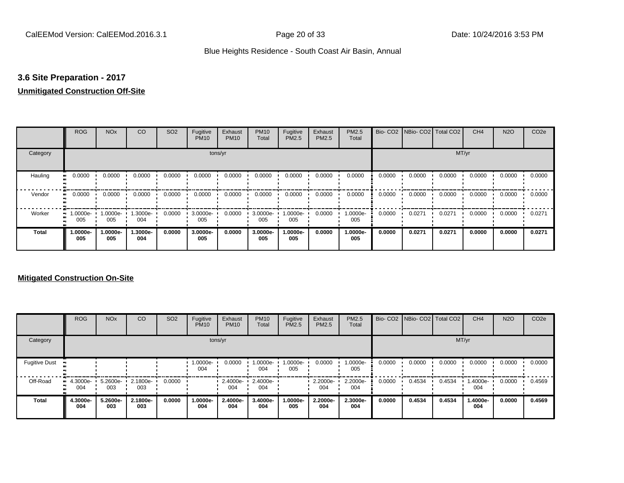## **3.6 Site Preparation - 2017**

## **Unmitigated Construction Off-Site**

|                      | <b>ROG</b>                 | <b>NO<sub>x</sub></b> | CO              | SO <sub>2</sub> | Fugitive<br><b>PM10</b> | Exhaust<br><b>PM10</b> | <b>PM10</b><br>Total | Fugitive<br>PM2.5 | Exhaust<br>PM2.5 | PM2.5<br>Total  |        | Bio- CO2   NBio- CO2   Total CO2 |        | CH <sub>4</sub> | <b>N2O</b> | CO <sub>2e</sub> |
|----------------------|----------------------------|-----------------------|-----------------|-----------------|-------------------------|------------------------|----------------------|-------------------|------------------|-----------------|--------|----------------------------------|--------|-----------------|------------|------------------|
| Category             |                            |                       |                 |                 | tons/yr                 |                        |                      |                   |                  |                 |        |                                  | MT/yr  |                 |            |                  |
| Hauling<br>$\bullet$ | 0.0000                     | 0.0000                | 0.0000          | 0.0000          | 0.0000                  | 0.0000                 | 0.0000               | 0.0000            | 0.0000           | 0.0000          | 0.0000 | 0.0000                           | 0.0000 | 0.0000          | 0.0000     | 0.0000           |
| Vendor               | 0.0000<br>$\bullet\bullet$ | 0.0000                | 0.0000          | 0.0000          | 0.0000                  | 0.0000                 | 0.0000               | 0.0000            | 0.0000           | 0.0000          | 0.0000 | 0.0000                           | 0.0000 | 0.0000          | 0.0000     | 0.0000           |
| Worker               | 1.0000e-<br>. .<br>005     | 1.0000e-<br>005       | 1.3000e-<br>004 | 0.0000          | 3.0000e-<br>005         | 0.0000                 | 3.0000e-<br>005      | 1.0000e-<br>005   | 0.0000           | 1.0000e-<br>005 | 0.0000 | 0.0271                           | 0.0271 | 0.0000          | 0.0000     | 0.0271           |
| <b>Total</b>         | 1.0000e-<br>005            | 1.0000e-<br>005       | 1.3000e-<br>004 | 0.0000          | 3.0000e-<br>005         | 0.0000                 | 3.0000e-<br>005      | 1.0000e-<br>005   | 0.0000           | 1.0000e-<br>005 | 0.0000 | 0.0271                           | 0.0271 | 0.0000          | 0.0000     | 0.0271           |

## **Mitigated Construction On-Site**

|                      | <b>ROG</b>         | <b>NO<sub>x</sub></b>      | CO              | SO <sub>2</sub> | Fugitive<br><b>PM10</b> | Exhaust<br><b>PM10</b> | <b>PM10</b><br>Total | Fugitive<br><b>PM2.5</b> | Exhaust<br><b>PM2.5</b> | PM2.5<br>Total  |        | Bio- CO2   NBio- CO2   Total CO2 |        | CH <sub>4</sub> | <b>N2O</b> | CO <sub>2e</sub> |
|----------------------|--------------------|----------------------------|-----------------|-----------------|-------------------------|------------------------|----------------------|--------------------------|-------------------------|-----------------|--------|----------------------------------|--------|-----------------|------------|------------------|
| Category             |                    |                            |                 |                 |                         | tons/yr                |                      |                          |                         |                 |        |                                  | MT/yr  |                 |            |                  |
| <b>Fugitive Dust</b> |                    |                            |                 |                 | 1.0000e-<br>004         | 0.0000                 | 1.0000e-<br>004      | 1.0000e-<br>005          | 0.0000                  | 1.0000e-<br>005 | 0.0000 | 0.0000                           | 0.0000 | 0.0000          | 0.0000     | 0.0000           |
| Off-Road             | $-4.3000e-$<br>004 | $5.2600e - 2.1800e$<br>003 | 003             | 0.0000          |                         | 2.4000e-<br>004        | 2.4000e-<br>004      |                          | 2.2000e-<br>004         | 2.2000e-<br>004 | 0.0000 | 0.4534                           | 0.4534 | 1.4000e-<br>004 | 0.0000     | 0.4569           |
| <b>Total</b>         | 4.3000e-<br>004    | 5.2600e-<br>003            | 2.1800e-<br>003 | 0.0000          | 1.0000e-<br>004         | 2.4000e-<br>004        | 3.4000e-<br>004      | 1.0000e-<br>005          | 2.2000e-<br>004         | 2.3000e-<br>004 | 0.0000 | 0.4534                           | 0.4534 | 1.4000e-<br>004 | 0.0000     | 0.4569           |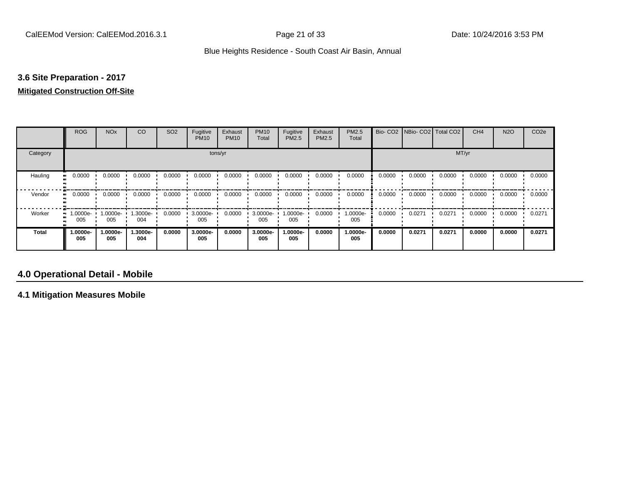## **3.6 Site Preparation - 2017**

#### **Mitigated Construction Off-Site**

|                             | <b>ROG</b>                   | <b>NO<sub>x</sub></b> | CO              | SO <sub>2</sub> | Fugitive<br><b>PM10</b> | Exhaust<br><b>PM10</b> | <b>PM10</b><br>Total | Fugitive<br>PM2.5 | Exhaust<br>PM2.5 | PM2.5<br>Total  |        | Bio- CO2   NBio- CO2   Total CO2 |        | CH <sub>4</sub> | <b>N2O</b> | CO <sub>2e</sub> |
|-----------------------------|------------------------------|-----------------------|-----------------|-----------------|-------------------------|------------------------|----------------------|-------------------|------------------|-----------------|--------|----------------------------------|--------|-----------------|------------|------------------|
| Category                    |                              |                       |                 |                 | tons/yr                 |                        |                      |                   |                  |                 |        |                                  | MT/yr  |                 |            |                  |
| Hauling<br>$\bullet\bullet$ | 0.0000                       | 0.0000                | 0.0000          | 0.0000          | 0.0000                  | 0.0000                 | 0.0000               | 0.0000            | 0.0000           | 0.0000          | 0.0000 | 0.0000                           | 0.0000 | 0.0000          | 0.0000     | 0.0000           |
| Vendor                      | 0.0000<br>$\bullet$          | 0.0000                | 0.0000          | 0.0000          | 0.0000                  | 0.0000                 | 0.0000               | 0.0000            | 0.0000           | 0.0000          | 0.0000 | 0.0000                           | 0.0000 | 0.0000          | 0.0000     | 0.0000           |
| Worker                      | 1.0000e-<br>$\bullet$<br>005 | 1.0000e-<br>005       | 1.3000e-<br>004 | 0.0000          | 3.0000e-<br>005         | 0.0000                 | 3.0000e-<br>005      | 1.0000e-<br>005   | 0.0000           | 1.0000e-<br>005 | 0.0000 | 0.0271                           | 0.0271 | 0.0000          | 0.0000     | 0.0271           |
| <b>Total</b>                | -.0000e<br>005               | 1.0000e-<br>005       | 1.3000e-<br>004 | 0.0000          | 3.0000e-<br>005         | 0.0000                 | 3.0000e-<br>005      | -.0000e<br>005    | 0.0000           | 1.0000e-<br>005 | 0.0000 | 0.0271                           | 0.0271 | 0.0000          | 0.0000     | 0.0271           |

## **4.0 Operational Detail - Mobile**

**4.1 Mitigation Measures Mobile**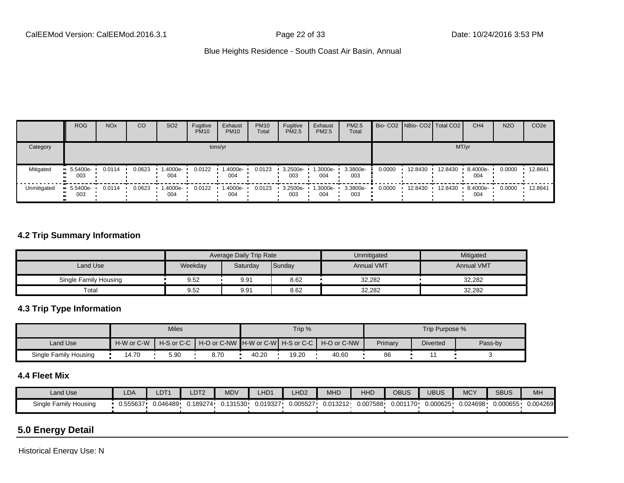|             | <b>ROG</b>                     | <b>NO<sub>x</sub></b> | CO     | SO <sub>2</sub> | Fugitive<br><b>PM10</b> | Exhaust<br><b>PM10</b> | <b>PM10</b><br>Total | Fugitive<br><b>PM2.5</b> | Exhaust<br>PM2.5 | <b>PM2.5</b><br>Total |        | Bio- CO2   NBio- CO2   Total CO2 |         | CH <sub>4</sub>    | <b>N2O</b> | CO <sub>2e</sub> |
|-------------|--------------------------------|-----------------------|--------|-----------------|-------------------------|------------------------|----------------------|--------------------------|------------------|-----------------------|--------|----------------------------------|---------|--------------------|------------|------------------|
| Category    |                                |                       |        |                 |                         | tons/yr                |                      |                          |                  |                       |        |                                  | MT/yr   |                    |            |                  |
| Mitigated   | $\blacksquare$ 5.5400e-<br>003 | 0.0114                | 0.0623 | .4000e-<br>004  | 0.0122                  | 1.4000e-<br>004        | 0.0123               | 3.2500e-<br>003          | --3000e.<br>004  | 3.3800e-<br>003       | 0.0000 | 12.8430                          | 12.8430 | 8.4000e-<br>004    | 0.0000     | 12.8641          |
| Unmitigated | $\blacksquare$ 5.5400e-<br>003 | 0.0114                | 0.0623 | .4000e-<br>004  | 0.0122                  | 1.4000e-<br>004        | 0.0123               | 3.2500e-<br>003          | .3000e-<br>004   | 3.3800e-<br>003       | 0.0000 | 12.8430                          | 12.8430 | $-8.4000e-$<br>004 | 0.0000     | 12.8641          |

## **4.2 Trip Summary Information**

|                       |         | <b>Average Daily Trip Rate</b> |        | Unmitigated       | Mitigated         |
|-----------------------|---------|--------------------------------|--------|-------------------|-------------------|
| Land Use              | Weekday | Saturday                       | Sunday | <b>Annual VMT</b> | <b>Annual VMT</b> |
| Single Family Housing | 9.52    | 9.91                           | 8.62   | 32,282            | 32,282            |
| Total                 | 9.52    | 9.91                           | 8.62   | 32,282            | 32,282            |

## **4.3 Trip Type Information**

|                       |            | <b>Miles</b>               |                                                     |       | Trip % |       |         | Trip Purpose %  |         |
|-----------------------|------------|----------------------------|-----------------------------------------------------|-------|--------|-------|---------|-----------------|---------|
| Land Use              | H-W or C-W | $H-S$ or $C-C$ $\parallel$ | │ H-O or C-NW ┃H-W or C-W┃ H-S or C-C ┃ H-O or C-NW |       |        |       | Primary | <b>Diverted</b> | Pass-by |
| Single Family Housing | 4.70       | 5.90                       | 8.70                                                | 40.20 | 19.20  | 40.60 | 86      |                 |         |

## **4.4 Fleet Mix**

| Land Use                     | LDA      | LDT1     | LDT <sub>2</sub> | <b>MDV</b> | HD <sup>2</sup> | LHD <sub>2</sub> | AA1<br>MHD | HHD      | OBUS      | <b>UBUS</b> | <b>MCY</b> | <b>SBUS</b> | MH       |
|------------------------------|----------|----------|------------------|------------|-----------------|------------------|------------|----------|-----------|-------------|------------|-------------|----------|
| Single Family I<br>/ Housing | J.555637 | 0.046489 | 0.189274         | .131530    | 0.019327        | 0.005527         | J.013212   | 0.007588 | י0.001170 | 0.000625    | 024698.ر   | 0.000655    | 0.004269 |

## **5.0 Energy Detail**

Historical Energy Use: N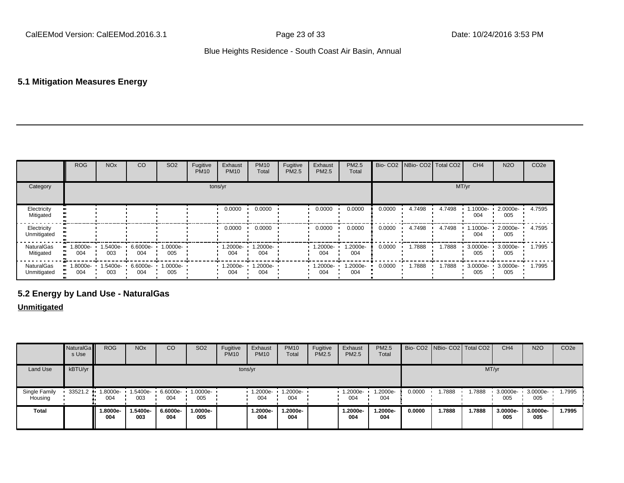## **5.1 Mitigation Measures Energy**

|                            | <b>ROG</b>         | <b>NO<sub>x</sub></b> | CO              | SO <sub>2</sub>    | Fugitive<br><b>PM10</b> | Exhaust<br><b>PM10</b> | <b>PM10</b><br>Total | Fugitive<br>PM2.5 | Exhaust<br><b>PM2.5</b> | <b>PM2.5</b><br>Total |        | Bio- CO2 NBio- CO2 Total CO2 |        | CH <sub>4</sub> | <b>N2O</b>      | CO <sub>2e</sub> |
|----------------------------|--------------------|-----------------------|-----------------|--------------------|-------------------------|------------------------|----------------------|-------------------|-------------------------|-----------------------|--------|------------------------------|--------|-----------------|-----------------|------------------|
| Category                   |                    |                       |                 |                    |                         | tons/yr                |                      |                   |                         |                       |        |                              |        | MT/yr           |                 |                  |
| Electricity<br>Mitigated   |                    |                       |                 |                    |                         | 0.0000                 | 0.0000               |                   | 0.0000                  | 0.0000                | 0.0000 | 4.7498                       | 4.7498 | 1.1000e-<br>004 | 2.0000e-<br>005 | 4.7595           |
| Electricity<br>Unmitigated |                    |                       |                 |                    |                         | 0.0000                 | 0.0000               |                   | 0.0000                  | 0.0000                | 0.0000 | 4.7498                       | 4.7498 | 1.1000e-<br>004 | 2.0000e-<br>005 | 4.7595           |
| NaturalGas<br>Mitigated    | $-1.8000e-$<br>004 | 1.5400e-<br>003       | 6.6000e-<br>004 | 1.0000e-<br>005    |                         | 1.2000e-<br>004        | 1.2000e-<br>004      |                   | $.2000e-$<br>004        | 1.2000e-<br>004       | 0.0000 | 1.7888                       | 1.7888 | 3.0000e-<br>005 | 3.0000e-<br>005 | 1.7995           |
| NaturalGas<br>Unmitigated  | $-1.8000e-$<br>004 | 1.5400e-<br>003       | 6.6000e-<br>004 | $1.0000e -$<br>005 |                         | 1.2000e-<br>004        | 1.2000e-<br>004      |                   | -2000e.<br>004          | 1.2000e-<br>004       | 0.0000 | 1.7888                       | 1.7888 | 3.0000e-<br>005 | 3.0000e-<br>005 | 1.7995           |

## **5.2 Energy by Land Use - NaturalGas**

## **Unmitigated**

|                          | NaturalGa<br>s Use | <b>ROG</b>      | <b>NO<sub>x</sub></b> | CO              | SO <sub>2</sub> | Fugitive<br><b>PM10</b> | Exhaust<br><b>PM10</b> | <b>PM10</b><br>Total | Fugitive<br><b>PM2.5</b> | Exhaust<br><b>PM2.5</b> | PM2.5<br>Total |        | Bio- CO2   NBio- CO2   Total CO2 |        | CH <sub>4</sub> | <b>N2O</b>      | CO <sub>2e</sub> |
|--------------------------|--------------------|-----------------|-----------------------|-----------------|-----------------|-------------------------|------------------------|----------------------|--------------------------|-------------------------|----------------|--------|----------------------------------|--------|-----------------|-----------------|------------------|
| Land Use                 | kBTU/yr            |                 |                       |                 |                 |                         | tons/yr                |                      |                          |                         |                |        |                                  | MT/yr  |                 |                 |                  |
| Single Family<br>Housing | 33521.2            | 1.8000e-<br>004 | 1.5400e-<br>003       | 6.6000e-<br>004 | 1.0000e-<br>005 |                         | $1.2000e-$<br>004      | $1.2000e-$<br>004    |                          | 1.2000e-<br>004         | .2000e-<br>004 | 0.0000 | .7888                            | 1.7888 | 3.0000e-<br>005 | 3.0000e-<br>005 | 1.7995           |
| <b>Total</b>             |                    | 1.8000e-<br>004 | 1.5400e-<br>003       | 6.6000e-<br>004 | 1.0000e-<br>005 |                         | 1.2000e-<br>004        | 1.2000e-<br>004      |                          | 1.2000e-<br>004         | .2000e-<br>004 | 0.0000 | 1.7888                           | 1.7888 | 3.0000e-<br>005 | 3.0000e-<br>005 | 1.7995           |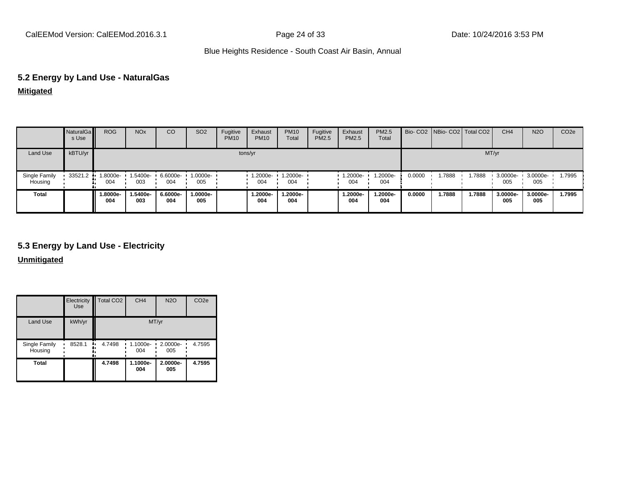## **5.2 Energy by Land Use - NaturalGas**

**Mitigated**

|                          | NaturalGa<br>s Use | <b>ROG</b>     | <b>NO<sub>x</sub></b> | CO              | SO <sub>2</sub> | Fugitive<br><b>PM10</b> | Exhaust<br><b>PM10</b> | <b>PM10</b><br>Total | Fugitive<br>PM2.5 | Exhaust<br>PM2.5 | PM2.5<br>Total  |        | Bio- CO2   NBio- CO2   Total CO2 |        | CH <sub>4</sub> | <b>N2O</b>      | CO <sub>2e</sub> |
|--------------------------|--------------------|----------------|-----------------------|-----------------|-----------------|-------------------------|------------------------|----------------------|-------------------|------------------|-----------------|--------|----------------------------------|--------|-----------------|-----------------|------------------|
| Land Use                 | kBTU/yr            |                |                       |                 |                 | tons/yr                 |                        |                      |                   |                  |                 |        |                                  | MT/yr  |                 |                 |                  |
| Single Family<br>Housing | 33521.2            | --8000e<br>004 | 5400e-<br>003         | 6.6000e-<br>004 | 1.0000e-<br>005 |                         | 1.2000e-<br>004        | 1.2000e-<br>004      |                   | 1.2000e-<br>004  | 1.2000e-<br>004 | 0.0000 | 1.7888                           | 1.7888 | 3.0000e-<br>005 | 3.0000e-<br>005 | 1.7995           |
| <b>Total</b>             |                    | -.8000e<br>004 | -5400e.<br>003        | 6.6000e-<br>004 | 1.0000e-<br>005 |                         | 1.2000e-<br>004        | 1.2000e-<br>004      |                   | 1.2000e-<br>004  | 1.2000e-<br>004 | 0.0000 | 1.7888                           | 1.7888 | 3.0000e-<br>005 | 3.0000e-<br>005 | 1.7995           |

## **5.3 Energy by Land Use - Electricity**

**Unmitigated**

|                          | Electricity<br><b>Use</b> | Total CO <sub>2</sub> | CH <sub>4</sub> | <b>N2O</b>         | CO <sub>2e</sub> |
|--------------------------|---------------------------|-----------------------|-----------------|--------------------|------------------|
| Land Use                 | kWh/yr                    |                       |                 | MT/yr              |                  |
| Single Family<br>Housing | 8528.1<br>٠.              | 4.7498                | 1.1000e-<br>004 | $-2.0000e-$<br>005 | 4.7595           |
| <b>Total</b>             |                           | 4.7498                | 1.1000e-<br>004 | 2.0000e-<br>005    | 4.7595           |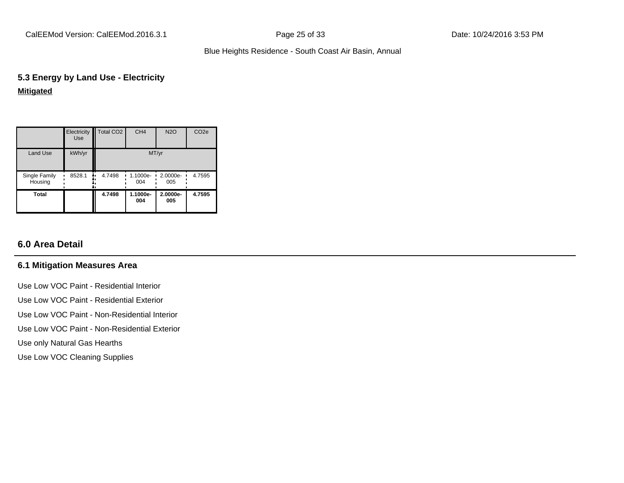CalEEMod Version: CalEEMod.2016.3.1 Page 25 of 33 Date: 10/24/2016 3:53 PM

## Blue Heights Residence - South Coast Air Basin, Annual

## **5.3 Energy by Land Use - Electricity**

## **Mitigated**

|                          | Electricity<br><b>Use</b> | Total CO <sub>2</sub> | CH <sub>4</sub> | <b>N2O</b>      | CO <sub>2e</sub> |
|--------------------------|---------------------------|-----------------------|-----------------|-----------------|------------------|
| Land Use                 | kWh/yr                    |                       |                 | MT/yr           |                  |
| Single Family<br>Housing | 8528.1                    | 4.7498<br>۰.          | 1.1000e-<br>004 | 2.0000e-<br>005 | 4.7595           |
| <b>Total</b>             |                           | 4.7498                | 1.1000e-<br>004 | 2.0000e-<br>005 | 4.7595           |

## **6.0 Area Detail**

## **6.1 Mitigation Measures Area**

- Use Low VOC Paint Residential Interior Use Low VOC Paint - Residential Exterior Use Low VOC Paint - Non-Residential Interior
- Use Low VOC Paint Non-Residential Exterior
- Use only Natural Gas Hearths
- Use Low VOC Cleaning Supplies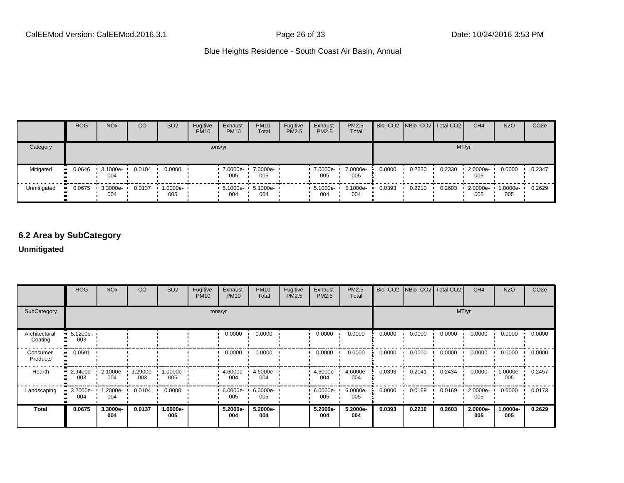|             | <b>ROG</b>            | <b>NO<sub>x</sub></b>   | CO     | SO <sub>2</sub>    | Fugitive<br><b>PM10</b> | Exhaust<br><b>PM10</b>                           | <b>PM10</b><br>Total | Fugitive<br>PM2.5 | Exhaust<br>PM2.5   | <b>PM2.5</b><br>Total |        | Bio- CO2   NBio- CO2   Total CO2 |        | CH <sub>4</sub> | <b>N2O</b>      | CO <sub>2e</sub> |
|-------------|-----------------------|-------------------------|--------|--------------------|-------------------------|--------------------------------------------------|----------------------|-------------------|--------------------|-----------------------|--------|----------------------------------|--------|-----------------|-----------------|------------------|
| Category    |                       |                         |        |                    |                         | tons/yr                                          |                      |                   |                    |                       |        |                                  | MT/yr  |                 |                 |                  |
| Mitigated   | $\blacksquare$ 0.0646 | 3.1000e-<br>004         | 0.0104 | 0.0000             |                         | 7.0000e-<br>005                                  | 7.0000e-<br>005      |                   | 7.0000e-<br>005    | 7.0000e-<br>005       | 0.0000 | 0.2330                           | 0.2330 | 2.0000e-<br>005 | 0.0000          | 0.2347           |
| Unmitigated | 0.0675<br>. .         | $\cdot$ 3.3000e-<br>004 | 0.0137 | $1.0000e -$<br>005 |                         | $\cdot$ 5.1000e- $\cdot$ 5.1000e- $\cdot$<br>004 | 004                  |                   | $-5.1000e-$<br>004 | 5.1000e-<br>004       | 0.0393 | 0.2210                           | 0.2603 | 2.0000e-<br>005 | 1.0000e-<br>005 | 0.2629           |

## **6.2 Area by SubCategory**

## **Unmitigated**

|                          | <b>ROG</b>                     | <b>NO<sub>x</sub></b> | CO              | SO <sub>2</sub> | Fugitive<br><b>PM10</b> | Exhaust<br><b>PM10</b> | <b>PM10</b><br>Total | Fugitive<br>PM2.5 | Exhaust<br>PM2.5 | PM2.5<br>Total  |        | Bio- CO2   NBio- CO2   Total CO2 |        | CH <sub>4</sub> | <b>N2O</b>      | CO <sub>2e</sub> |
|--------------------------|--------------------------------|-----------------------|-----------------|-----------------|-------------------------|------------------------|----------------------|-------------------|------------------|-----------------|--------|----------------------------------|--------|-----------------|-----------------|------------------|
| SubCategory              |                                |                       |                 |                 |                         | tons/yr                |                      |                   |                  |                 |        |                                  |        | MT/yr           |                 |                  |
| Architectural<br>Coating | $\blacksquare$ 5.1200e-<br>003 |                       |                 |                 |                         | 0.0000                 | 0.0000               |                   | 0.0000           | 0.0000          | 0.0000 | 0.0000                           | 0.0000 | 0.0000          | 0.0000          | 0.0000           |
| Consumer<br>Products     | 0.0591                         |                       |                 |                 |                         | 0.0000                 | 0.0000               |                   | 0.0000           | 0.0000          | 0.0000 | 0.0000                           | 0.0000 | 0.0000          | 0.0000          | 0.0000           |
| Hearth                   | $\blacksquare$ 2.9400e-<br>003 | 2.1000e-<br>004       | 3.2900e-<br>003 | 1.0000e-<br>005 |                         | $4.6000e -$<br>004     | 4.6000e-<br>004      |                   | 4.6000e-<br>004  | 4.6000e-<br>004 | 0.0393 | 0.2041                           | 0.2434 | 0.0000          | 1.0000e-<br>005 | 0.2457           |
| Landscaping              | 3.2000e-<br>004                | 1.2000e-<br>004       | 0.0104          | 0.0000          |                         | $6.0000e -$<br>005     | 6.0000e-<br>005      |                   | 6.0000e-<br>005  | 6.0000e-<br>005 | 0.0000 | 0.0169                           | 0.0169 | 2.0000e-<br>005 | 0.0000          | 0.0173           |
| <b>Total</b>             | 0.0675                         | 3.3000e-<br>004       | 0.0137          | -.0000e<br>005  |                         | 5.2000e-<br>004        | 5.2000e-<br>004      |                   | 5.2000e-<br>004  | 5.2000e-<br>004 | 0.0393 | 0.2210                           | 0.2603 | 2.0000e-<br>005 | 1.0000e-<br>005 | 0.2629           |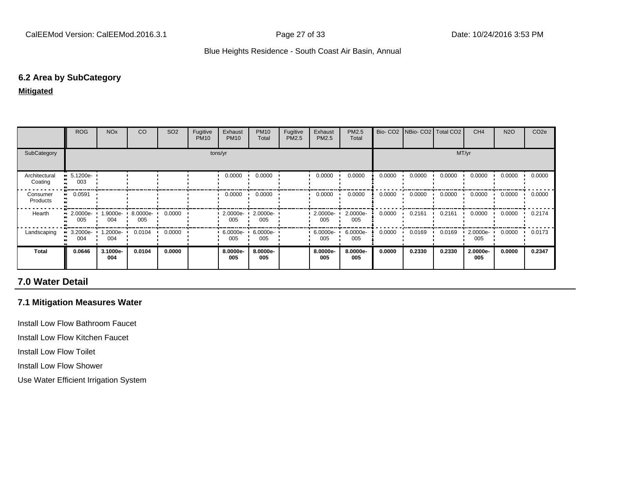#### **6.2 Area by SubCategory**

#### **Mitigated**

|                          | <b>ROG</b>                     | <b>NO<sub>x</sub></b> | CO              | SO <sub>2</sub> | Fugitive<br><b>PM10</b> | Exhaust<br><b>PM10</b> | <b>PM10</b><br>Total | Fugitive<br>PM2.5 | Exhaust<br>PM2.5 | <b>PM2.5</b><br>Total |        | Bio- CO2   NBio- CO2   Total CO2 |        | CH <sub>4</sub>   | <b>N2O</b> | CO <sub>2e</sub> |
|--------------------------|--------------------------------|-----------------------|-----------------|-----------------|-------------------------|------------------------|----------------------|-------------------|------------------|-----------------------|--------|----------------------------------|--------|-------------------|------------|------------------|
| SubCategory              | tons/yr                        |                       |                 |                 |                         |                        |                      | MT/yr             |                  |                       |        |                                  |        |                   |            |                  |
| Architectural<br>Coating | $-5.1200e-$<br>003             |                       |                 |                 |                         | 0.0000                 | 0.0000               |                   | 0.0000           | 0.0000                | 0.0000 | 0.0000                           | 0.0000 | 0.0000            | 0.0000     | 0.0000           |
| Consumer<br>Products     | 0.0591<br>                     |                       |                 |                 |                         | 0.0000                 | 0.0000               |                   | 0.0000           | 0.0000                | 0.0000 | 0.0000                           | 0.0000 | 0.0000            | 0.0000     | 0.0000           |
| Hearth                   | $\blacksquare$ 2.0000e-<br>005 | 1.9000e- ·<br>004     | 8.0000e-<br>005 | 0.0000          |                         | $2.0000e -$<br>005     | 2.0000e-<br>005      |                   | 2.0000e-<br>005  | 2.0000e-<br>005       | 0.0000 | 0.2161                           | 0.2161 | 0.0000            | 0.0000     | 0.2174           |
| Landscaping              | $3.2000e -$<br>004             | 1.2000e-<br>004       | 0.0104          | 0.0000          |                         | $6.0000e -$<br>005     | 6.0000e-<br>005      |                   | 6.0000e-<br>005  | 6.0000e-<br>005       | 0.0000 | 0.0169                           | 0.0169 | $2.0000e-$<br>005 | 0.0000     | 0.0173           |
| <b>Total</b>             | 0.0646                         | 3.1000e-<br>004       | 0.0104          | 0.0000          |                         | 8.0000e-<br>005        | 8.0000e-<br>005      |                   | 8.0000e-<br>005  | 8.0000e-<br>005       | 0.0000 | 0.2330                           | 0.2330 | 2.0000e-<br>005   | 0.0000     | 0.2347           |

## **7.0 Water Detail**

## **7.1 Mitigation Measures Water**

Install Low Flow Bathroom Faucet

Install Low Flow Kitchen Faucet

Install Low Flow Toilet

Install Low Flow Shower

Use Water Efficient Irrigation System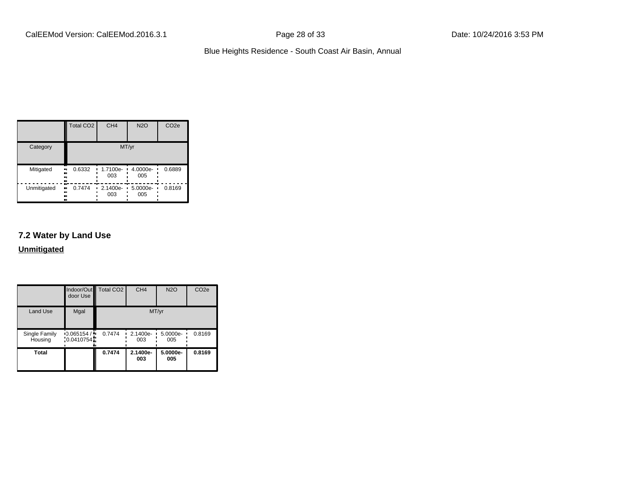|             | <b>Total CO2</b>                 | CH <sub>4</sub>         | <b>N2O</b>        | CO <sub>2e</sub> |  |  |
|-------------|----------------------------------|-------------------------|-------------------|------------------|--|--|
| Category    | MT/yr                            |                         |                   |                  |  |  |
| Mitigated   | 0.6332<br>$\blacksquare$<br><br> | $\cdot$ 1.7100e-<br>003 | $4.0000e-$<br>005 | 0.6889           |  |  |
| Unmitigated | 0.7474<br><br><br><br>           | 2.1400e-<br>003         | 5.0000e-<br>005   | 0.8169           |  |  |

## **7.2 Water by Land Use**

**Unmitigated**

|                          | door Use                                | Indoor/Out Total CO2 | CH <sub>4</sub>                   | N2O             | CO <sub>2e</sub> |
|--------------------------|-----------------------------------------|----------------------|-----------------------------------|-----------------|------------------|
| <b>Land Use</b>          | Mgal                                    |                      |                                   | MT/yr           |                  |
| Single Family<br>Housing | $\cdot$ 0.065154 / $\cdot$<br>0.0410754 | 0.7474               | 2.1400e-<br>$\blacksquare$<br>003 | 5.0000e-<br>005 | 0.8169           |
| <b>Total</b>             |                                         | 0.7474               | 2.1400e-<br>003                   | 5.0000e-<br>005 | 0.8169           |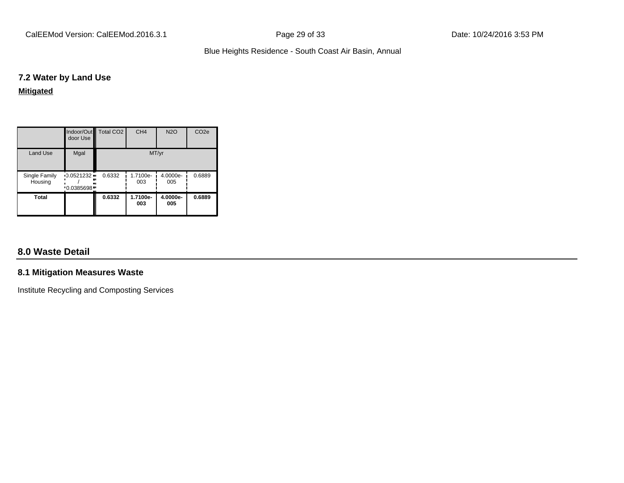CalEEMod Version: CalEEMod.2016.3.1 Page 29 of 33 Date: 10/24/2016 3:53 PM

## Blue Heights Residence - South Coast Air Basin, Annual

## **7.2 Water by Land Use**

**Mitigated**

|                          | door Use               | Indoor/Out Total CO2 | CH <sub>4</sub> | <b>N2O</b>      | CO <sub>2e</sub> |  |
|--------------------------|------------------------|----------------------|-----------------|-----------------|------------------|--|
| Land Use                 | Mgal                   | MT/yr                |                 |                 |                  |  |
| Single Family<br>Housing | 0.0521232<br>0.0385698 | 0.6332               | 1.7100e-<br>003 | 4.0000e-<br>005 | 0.6889           |  |
| Total                    |                        | 0.6332               | 1.7100e-<br>003 | 4.0000e-<br>005 | 0.6889           |  |

## **8.0 Waste Detail**

## **8.1 Mitigation Measures Waste**

Institute Recycling and Composting Services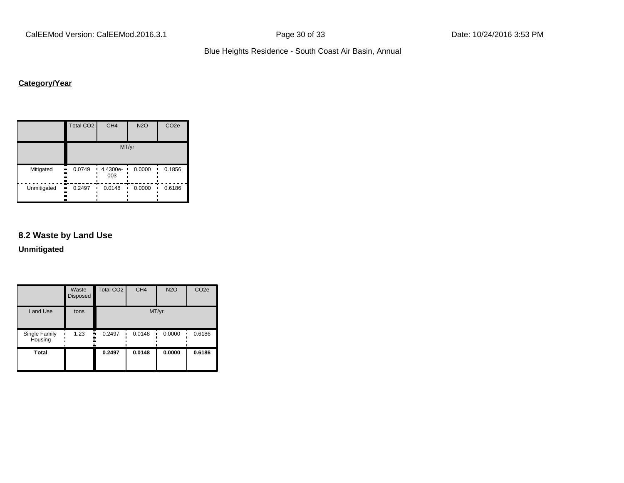CalEEMod Version: CalEEMod.2016.3.1 **Page 30 of 33** Date: 10/24/2016 3:53 PM

Blue Heights Residence - South Coast Air Basin, Annual

## **Category/Year**

|                         | Total CO <sub>2</sub> | CH <sub>4</sub> | <b>N2O</b> | CO <sub>2e</sub> |  |  |  |  |
|-------------------------|-----------------------|-----------------|------------|------------------|--|--|--|--|
|                         | MT/yr                 |                 |            |                  |  |  |  |  |
| Mitigated<br><br><br>   | 0.0749                | 4.4300e-<br>003 | 0.0000     | 0.1856           |  |  |  |  |
| Unmitigated<br><br><br> | 0.2497<br>            | 0.0148          | 0.0000     | 0.6186           |  |  |  |  |

## **8.2 Waste by Land Use**

**Unmitigated**

|                          | Waste<br>Disposed | Total CO <sub>2</sub> | CH <sub>4</sub> | <b>N2O</b> | CO <sub>2e</sub> |
|--------------------------|-------------------|-----------------------|-----------------|------------|------------------|
| Land Use                 | tons              |                       |                 | MT/yr      |                  |
| Single Family<br>Housing | 1.23              | 0.2497<br>            | 0.0148          | 0.0000     | 0.6186           |
| <b>Total</b>             |                   | 0.2497                | 0.0148          | 0.0000     | 0.6186           |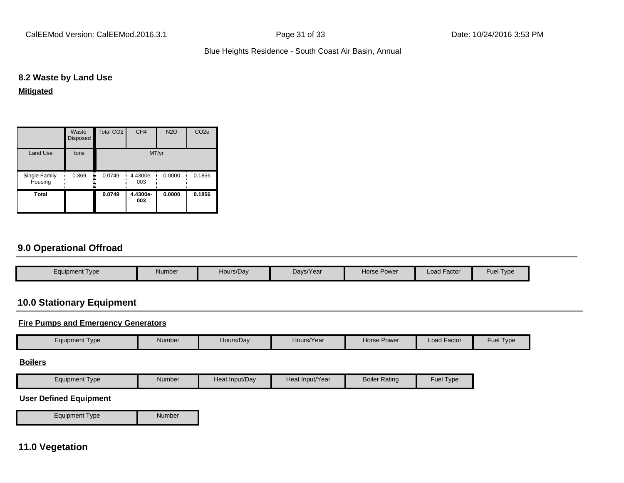CalEEMod Version: CalEEMod.2016.3.1 Page 31 of 33 Date: 10/24/2016 3:53 PM

#### Blue Heights Residence - South Coast Air Basin, Annual

## **8.2 Waste by Land Use**

## **Mitigated**

|                          | Waste<br>Disposed | Total CO <sub>2</sub> | CH <sub>4</sub> | <b>N2O</b> | CO <sub>2e</sub> |  |
|--------------------------|-------------------|-----------------------|-----------------|------------|------------------|--|
| <b>Land Use</b>          | tons              | MT/yr                 |                 |            |                  |  |
| Single Family<br>Housing | 0.369             | 0.0749                | 4.4300e-<br>003 | 0.0000     | 0.1856           |  |
| <b>Total</b>             |                   | 0.0749                | 4.4300e-<br>003 | 0.0000     | 0.1856           |  |

## **9.0 Operational Offroad**

| Equipment Type | Number | Hours/Day | Days/Year | <b>Horse Power</b> | Load Factor | $\overline{\phantom{0}}$<br>Fuel<br>Type |
|----------------|--------|-----------|-----------|--------------------|-------------|------------------------------------------|

## **10.0 Stationary Equipment**

## **Fire Pumps and Emergency Generators**

| Equipment Type | Number | Hours/Day | Hours/Year | Horse Power | Load Factor | <b>Fuel Type</b> |
|----------------|--------|-----------|------------|-------------|-------------|------------------|
|                |        |           |            |             |             |                  |

#### **Boilers**

| Equipment Type | Number | Heat Input/Dav | Heat Input/Year | <b>Boiler Rating</b> | $\sim$ $\sim$ $\sim$<br>Type |
|----------------|--------|----------------|-----------------|----------------------|------------------------------|

#### **User Defined Equipment**

Equipment Type Number

## **11.0 Vegetation**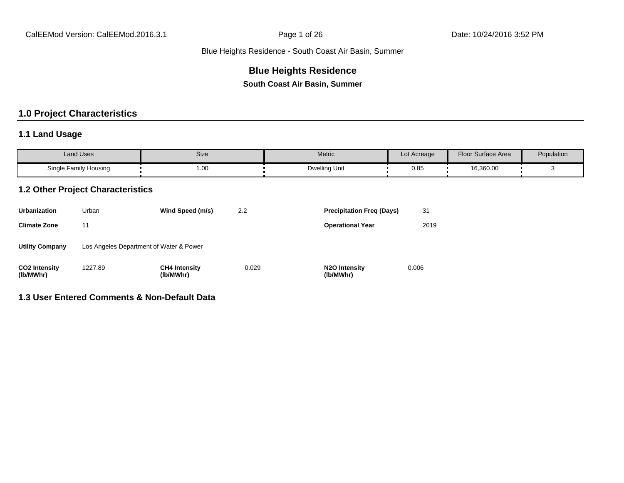# **Blue Heights Residence**

**South Coast Air Basin, Summer**

# **1.0 Project Characteristics**

## **1.1 Land Usage**

| <b>Land Uses</b>      | Size | Metric        | Lot Acreage | <b>Floor Surface Area</b> | Population |
|-----------------------|------|---------------|-------------|---------------------------|------------|
| Single Family Housing | 1.00 | Dwelling Unit | 0.85        | 16,360.00                 |            |

#### **1.2 Other Project Characteristics**

| <b>Urbanization</b>               | Urban                                   | Wind Speed (m/s)                  | 2.2   | <b>Precipitation Freg (Days)</b>        | 31    |
|-----------------------------------|-----------------------------------------|-----------------------------------|-------|-----------------------------------------|-------|
| <b>Climate Zone</b>               | 11                                      |                                   |       | <b>Operational Year</b>                 | 2019  |
| <b>Utility Company</b>            | Los Angeles Department of Water & Power |                                   |       |                                         |       |
| <b>CO2 Intensity</b><br>(lb/MWhr) | 1227.89                                 | <b>CH4 Intensity</b><br>(lb/MWhr) | 0.029 | N <sub>2</sub> O Intensity<br>(lb/MWhr) | 0.006 |

### **1.3 User Entered Comments & Non-Default Data**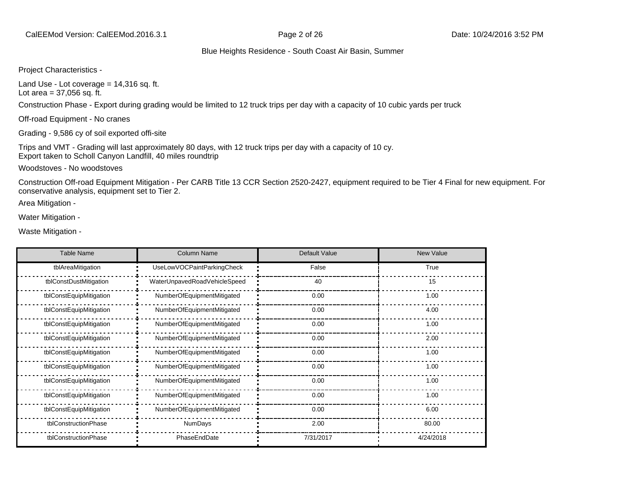Project Characteristics -

Land Use - Lot coverage  $= 14,316$  sq. ft. Lot area  $= 37,056$  sq. ft.

Construction Phase - Export during grading would be limited to 12 truck trips per day with a capacity of 10 cubic yards per truck

Off-road Equipment - No cranes

Grading - 9,586 cy of soil exported offi-site

Trips and VMT - Grading will last approximately 80 days, with 12 truck trips per day with a capacity of 10 cy. Export taken to Scholl Canyon Landfill, 40 miles roundtrip

Woodstoves - No woodstoves

Construction Off-road Equipment Mitigation - Per CARB Title 13 CCR Section 2520-2427, equipment required to be Tier 4 Final for new equipment. For conservative analysis, equipment set to Tier 2.

Area Mitigation -

Water Mitigation -

Waste Mitigation -

| <b>Table Name</b>       | <b>Column Name</b>           | Default Value | New Value |
|-------------------------|------------------------------|---------------|-----------|
| tblAreaMitigation       | UseLowVOCPaintParkingCheck   | False         | True      |
| tblConstDustMitigation  | WaterUnpavedRoadVehicleSpeed | 40            | 15        |
| tblConstEquipMitigation | NumberOfEquipmentMitigated   | 0.00          | 1.00      |
| tblConstEquipMitigation | NumberOfEquipmentMitigated   | 0.00          | 4.00      |
| tblConstEquipMitigation | NumberOfEquipmentMitigated   | 0.00          | 1.00      |
| tblConstEquipMitigation | NumberOfEquipmentMitigated   | 0.00          | 2.00      |
| tblConstEquipMitigation | NumberOfEquipmentMitigated   | 0.00          | 1.00      |
| tblConstEquipMitigation | NumberOfEquipmentMitigated   | 0.00          | 1.00      |
| tblConstEquipMitigation | NumberOfEquipmentMitigated   | 0.00          | 1.00      |
| tblConstEquipMitigation | NumberOfEquipmentMitigated   | 0.00          | 1.00      |
| tblConstEquipMitigation | NumberOfEquipmentMitigated   | 0.00          | 6.00      |
| tblConstructionPhase    | <b>NumDays</b>               | 2.00          | 80.00     |
| tblConstructionPhase    | PhaseEndDate                 | 7/31/2017     | 4/24/2018 |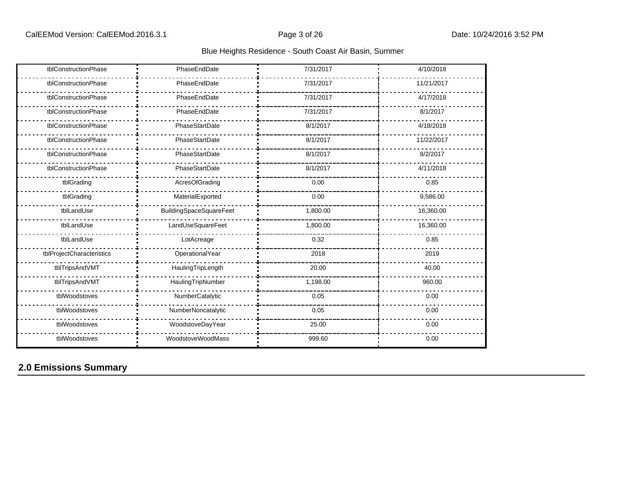| tblConstructionPhase      | PhaseEndDate                   | 7/31/2017 | 4/10/2018  |
|---------------------------|--------------------------------|-----------|------------|
| tblConstructionPhase      | PhaseEndDate                   | 7/31/2017 | 11/21/2017 |
| tblConstructionPhase      | PhaseEndDate                   | 7/31/2017 | 4/17/2018  |
| tblConstructionPhase      | PhaseEndDate                   | 7/31/2017 | 8/1/2017   |
| tblConstructionPhase      | PhaseStartDate                 | 8/1/2017  | 4/18/2018  |
| tblConstructionPhase      | PhaseStartDate                 | 8/1/2017  | 11/22/2017 |
| tblConstructionPhase      | PhaseStartDate                 | 8/1/2017  | 8/2/2017   |
| tblConstructionPhase      | PhaseStartDate                 | 8/1/2017  | 4/11/2018  |
| tblGrading                | AcresOfGrading                 | 0.00      | 0.85       |
| tblGrading                | MaterialExported               | 0.00      | 9,586.00   |
| tblLandUse                | <b>BuildingSpaceSquareFeet</b> | 1,800.00  | 16,360.00  |
| tblLandUse                | LandUseSquareFeet              | 1,800.00  | 16,360.00  |
| tblLandUse                | LotAcreage                     | 0.32      | 0.85       |
| tblProjectCharacteristics | OperationalYear                | 2018      | 2019       |
| tblTripsAndVMT            | HaulingTripLength              | 20.00     | 40.00      |
| tblTripsAndVMT            | HaulingTripNumber              | 1,198.00  | 960.00     |
| tblWoodstoves             | NumberCatalytic                | 0.05      | 0.00       |
| tblWoodstoves             | NumberNoncatalytic             | 0.05      | 0.00       |
| tblWoodstoves             | WoodstoveDayYear               | 25.00     | 0.00       |
| tblWoodstoves             | WoodstoveWoodMass              | 999.60    | 0.00       |

# **2.0 Emissions Summary**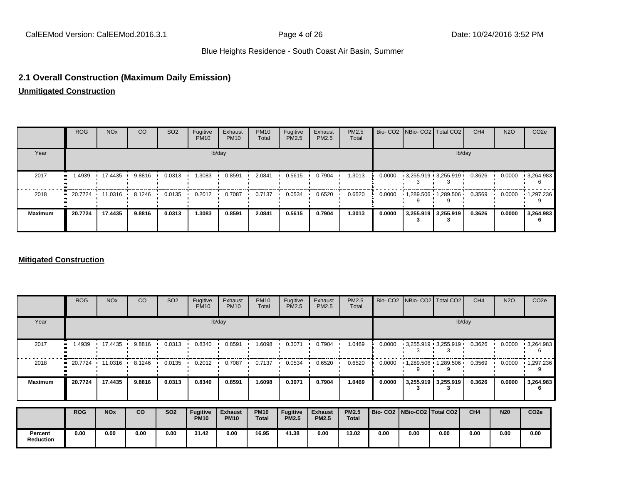## **2.1 Overall Construction (Maximum Daily Emission)**

**Unmitigated Construction**

|                | <b>ROG</b>                                                   | NO <sub>x</sub> | CO     | SO <sub>2</sub> | Fugitive<br><b>PM10</b> | Exhaust<br><b>PM10</b> | <b>PM10</b><br>Total | Fugitive<br>PM2.5 | Exhaust<br>PM2.5 | <b>PM2.5</b><br>Total |        | Bio- CO2   NBio- CO2   Total CO2 | CH <sub>4</sub> | <b>N2O</b> | CO <sub>2e</sub>  |
|----------------|--------------------------------------------------------------|-----------------|--------|-----------------|-------------------------|------------------------|----------------------|-------------------|------------------|-----------------------|--------|----------------------------------|-----------------|------------|-------------------|
| Year           |                                                              |                 |        |                 |                         | lb/day                 |                      |                   |                  |                       |        | lb/day                           |                 |            |                   |
| 2017           | 1.4939<br>                                                   | 17.4435         | 9.8816 | 0.0313          | 1.3083                  | 0.8591                 | 2.0841               | 0.5615            | 0.7904           | 1.3013                | 0.0000 | $-3,255.919 - 3,255.919$         | 0.3626          | 0.0000     | $\cdot$ 3,264.983 |
| 2018           | $\blacksquare$ 20.7724 $\blacksquare$ 11.0316 $\blacksquare$ |                 | 8.1246 | 0.0135          | 0.2012                  | 0.7087                 | 0.7137               | 0.0534            | 0.6520           | 0.6520                | 0.0000 | $1,289.506$ $1,289.506$          | 0.3569          | 0.0000     | 1,297.236         |
| <b>Maximum</b> | 20.7724                                                      | 17.4435         | 9.8816 | 0.0313          | 1.3083                  | 0.8591                 | 2.0841               | 0.5615            | 0.7904           | 1.3013                | 0.0000 | 3,255.919 3,255.919              | 0.3626          | 0.0000     | 3,264.983         |

#### **Mitigated Construction**

|                             | <b>ROG</b> | <b>NO<sub>x</sub></b> | CO        | SO <sub>2</sub> | Fugitive<br><b>PM10</b>        | Exhaust<br><b>PM10</b>        | <b>PM10</b><br>Total | Fugitive<br>PM2.5               | Exhaust<br>PM2.5               | PM2.5<br>Total               |        | Bio- CO2 NBio- CO2 Total CO2    |                                             | CH <sub>4</sub> | <b>N2O</b> | CO <sub>2</sub> e |
|-----------------------------|------------|-----------------------|-----------|-----------------|--------------------------------|-------------------------------|----------------------|---------------------------------|--------------------------------|------------------------------|--------|---------------------------------|---------------------------------------------|-----------------|------------|-------------------|
| Year                        |            |                       |           |                 |                                | lb/day                        |                      |                                 |                                |                              |        |                                 |                                             | lb/day          |            |                   |
| 2017                        | 1.4939     | 17.4435               | 9.8816    | 0.0313          | 0.8340                         | 0.8591                        | 1.6098               | 0.3071                          | 0.7904                         | 1.0469                       | 0.0000 |                                 | $\cdot$ 3,255.919 $\cdot$ 3,255.919 $\cdot$ | 0.3626          | 0.0000     | $\cdot$ 3,264.983 |
| 2018                        |            | 20.7724 11.0316       | 8.1246    | 0.0135          | 0.2012                         | 0.7087                        | 0.7137               | 0.0534                          | 0.6520                         | 0.6520                       | 0.0000 | $1,289.506$ $1,289.506$         |                                             | 0.3569          | 0.0000     | $\cdot$ 1,297.236 |
| <b>Maximum</b>              | 20.7724    | 17.4435               | 9.8816    | 0.0313          | 0.8340                         | 0.8591                        | 1.6098               | 0.3071                          | 0.7904                         | 1.0469                       | 0.0000 |                                 | 3,255.919 3,255.919                         | 0.3626          | 0.0000     | 3,264.983         |
|                             | <b>ROG</b> | <b>NO<sub>x</sub></b> | <b>CO</b> | <b>SO2</b>      | <b>Fugitive</b><br><b>PM10</b> | <b>Exhaust</b><br><b>PM10</b> | <b>PM10</b><br>Total | <b>Fugitive</b><br><b>PM2.5</b> | <b>Exhaust</b><br><b>PM2.5</b> | <b>PM2.5</b><br><b>Total</b> |        | Bio- CO2   NBio-CO2   Total CO2 |                                             | CH4             | <b>N20</b> | CO <sub>2e</sub>  |
| Percent<br><b>Reduction</b> | 0.00       | 0.00                  | 0.00      | 0.00            | 31.42                          | 0.00                          | 16.95                | 41.38                           | 0.00                           | 13.02                        | 0.00   | 0.00                            | 0.00                                        | 0.00            | 0.00       | 0.00              |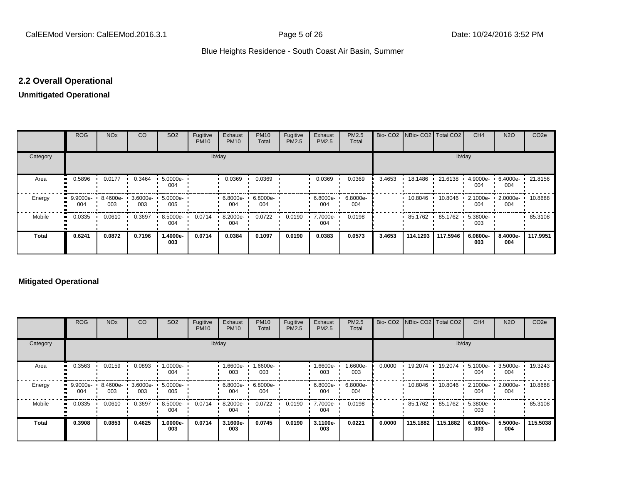# **2.2 Overall Operational**

# **Unmitigated Operational**

|              | <b>ROG</b>      | <b>NO<sub>x</sub></b> | CO                       | SO <sub>2</sub>  | Fugitive<br><b>PM10</b> | Exhaust<br><b>PM10</b> | <b>PM10</b><br>Total | Fugitive<br>PM2.5 | Exhaust<br>PM2.5   | PM2.5<br>Total  |        | Bio- CO2   NBio- CO2   Total CO2 |          | CH <sub>4</sub>    | <b>N2O</b>      | CO <sub>2e</sub> |
|--------------|-----------------|-----------------------|--------------------------|------------------|-------------------------|------------------------|----------------------|-------------------|--------------------|-----------------|--------|----------------------------------|----------|--------------------|-----------------|------------------|
| Category     |                 |                       |                          |                  | lb/day                  |                        |                      |                   |                    |                 |        |                                  | lb/day   |                    |                 |                  |
| Area         | 0.5896          | 0.0177                | 0.3464                   | 5.0000e-<br>004  |                         | 0.0369                 | 0.0369               |                   | 0.0369             | 0.0369          | 3.4653 | 18.1486 ·                        | 21.6138  | 4.9000e-<br>004    | 6.4000e-<br>004 | 21.8156          |
| Energy       | 9.9000e-<br>004 | 003                   | 8.4600e- 3.6000e-<br>003 | 5.0000e ·<br>005 |                         | 6.8000e- '<br>004      | 6.8000e-<br>004      |                   | $6.8000e -$<br>004 | 6.8000e-<br>004 |        | $10.8046$ $\cdot$                | 10.8046  | $2.1000e -$<br>004 | 2.0000e-<br>004 | 10.8688          |
| Mobile       | 0.0335          | 0.0610                | 0.3697                   | 8.5000e-<br>004  | 0.0714                  | 8.2000e-<br>004        | 0.0722               | 0.0190            | 7.7000e-<br>004    | 0.0198          |        | 85.1762                          | 85.1762  | $5.3800e -$<br>003 |                 | 85.3108          |
| <b>Total</b> | 0.6241          | 0.0872                | 0.7196                   | 1.4000e-<br>003  | 0.0714                  | 0.0384                 | 0.1097               | 0.0190            | 0.0383             | 0.0573          | 3.4653 | 114.1293                         | 117.5946 | 6.0800e-<br>003    | 8.4000e-<br>004 | 117.9951         |

# **Mitigated Operational**

|              | <b>ROG</b>         | <b>NO<sub>x</sub></b> | CO              | SO <sub>2</sub> | Fugitive<br><b>PM10</b> | Exhaust<br><b>PM10</b> | <b>PM10</b><br>Total | Fugitive<br>PM2.5 | Exhaust<br><b>PM2.5</b> | PM2.5<br>Total  |        |           | Bio- CO2 NBio- CO2 Total CO2 | CH <sub>4</sub> | <b>N2O</b>      | CO <sub>2e</sub> |
|--------------|--------------------|-----------------------|-----------------|-----------------|-------------------------|------------------------|----------------------|-------------------|-------------------------|-----------------|--------|-----------|------------------------------|-----------------|-----------------|------------------|
| Category     |                    |                       |                 |                 |                         | lb/day                 |                      |                   |                         |                 |        |           | lb/day                       |                 |                 |                  |
| Area         | 0.3563             | 0.0159                | 0.0893          | 1.0000e-<br>004 |                         | 1.6600e-<br>003        | -6600e-<br>003       |                   | 1.6600e-<br>003         | 1.6600e-<br>003 | 0.0000 | 19.2074   | 19.2074                      | 5.1000e-<br>004 | 3.5000e-<br>004 | 19.3243          |
| Energy       | $-9.9000e-$<br>004 | 8.4600e-<br>003       | 3.6000e-<br>003 | 5.0000e-<br>005 |                         | 6.8000e-<br>004        | 6.8000e-<br>004      |                   | 6.8000e-<br>004         | 6.8000e-<br>004 |        | 10.8046   | 10.8046                      | 2.1000e-<br>004 | 2.0000e-<br>004 | 10.8688          |
| Mobile       | 0.0335             | 0.0610                | 0.3697          | 8.5000e-<br>004 | 0.0714                  | 8.2000e-<br>004        | 0.0722               | 0.0190            | 7.7000e-<br>004         | 0.0198          |        | 85.1762 · | 85.1762                      | 5.3800e-<br>003 |                 | 85.3108          |
| <b>Total</b> | 0.3908             | 0.0853                | 0.4625          | 1.0000e-<br>003 | 0.0714                  | 3.1600e-<br>003        | 0.0745               | 0.0190            | 3.1100e-<br>003         | 0.0221          | 0.0000 | 115.1882  | 115.1882                     | 6.1000e-<br>003 | 5.5000e-<br>004 | 115.5038         |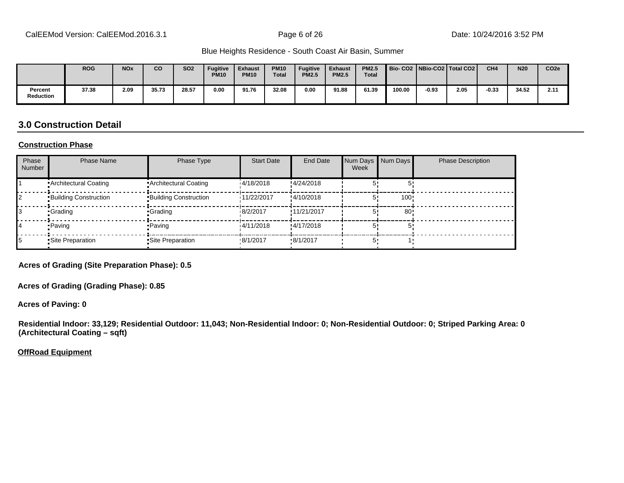|                      | <b>ROG</b> | <b>NO<sub>x</sub></b> | CO    | <b>SO2</b> | <b>Fugitive</b><br><b>PM10</b> | <b>Exhaust</b><br><b>PM10</b> | <b>PM10</b><br><b>Total</b> | <b>Fugitive</b><br><b>PM2.5</b> | <b>Exhaust</b><br><b>PM2.5</b> | <b>PM2.5</b><br><b>Total</b> |        |         | Bio-CO2 NBio-CO2 Total CO2 | CH <sub>4</sub> | <b>N20</b> | CO <sub>2e</sub> |
|----------------------|------------|-----------------------|-------|------------|--------------------------------|-------------------------------|-----------------------------|---------------------------------|--------------------------------|------------------------------|--------|---------|----------------------------|-----------------|------------|------------------|
| Percent<br>Reduction | 37.38      | 2.09                  | 35.73 | 28.57      | 0.00                           | 91.76                         | 32.08                       | 0.00                            | 91.88                          | 61.39                        | 100.00 | $-0.93$ | 2.05                       | $-0.33$         | 34.52      | 2.11             |

# **3.0 Construction Detail**

#### **Construction Phase**

| Phase<br><b>Number</b> | <b>Phase Name</b>            | Phase Type                   | <b>Start Date</b> | <b>End Date</b>  | Week | Num Days Num Days | <b>Phase Description</b> |
|------------------------|------------------------------|------------------------------|-------------------|------------------|------|-------------------|--------------------------|
|                        | • Architectural Coating      | • Architectural Coating      | 14/18/2018        | !4/24/2018       |      |                   |                          |
|                        | <b>Building Construction</b> | <b>Building Construction</b> | i11/22/2017       | !4/10/2018       |      | 100!              |                          |
|                        | •Grading                     | •Grading                     | 18/2/2017         | !11/21/2017      |      | 80 <sup>1</sup>   |                          |
|                        | • Paving                     | • Paving                     | 14/11/2018        | !4/17/2018       |      |                   |                          |
|                        | •Site Preparation            | • Site Preparation           | .8/1/2017         | $\cdot$ 8/1/2017 |      |                   |                          |

**Acres of Grading (Site Preparation Phase): 0.5**

**Acres of Grading (Grading Phase): 0.85**

**Acres of Paving: 0**

**Residential Indoor: 33,129; Residential Outdoor: 11,043; Non-Residential Indoor: 0; Non-Residential Outdoor: 0; Striped Parking Area: 0 (Architectural Coating – sqft)**

**OffRoad Equipment**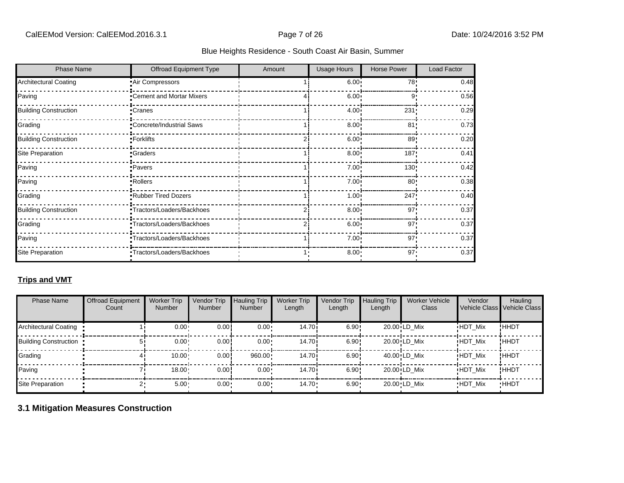| <b>Phase Name</b>            | Offroad Equipment Type     | Amount | <b>Usage Hours</b> | <b>Horse Power</b> | Load Factor |
|------------------------------|----------------------------|--------|--------------------|--------------------|-------------|
| <b>Architectural Coating</b> | Air Compressors            |        | $6.00 -$           | 78!                | 0.48        |
| Paving                       | Cement and Mortar Mixers   |        | 6.00               | 9'                 | 0.56        |
| <b>Building Construction</b> | •Cranes                    |        | $4.00 -$           | 231                | 0.29        |
| Grading                      | *Concrete/Industrial Saws  |        | $8.00 -$           | 81'                | 0.73        |
| <b>Building Construction</b> | •Forklifts                 |        | 6.00:              | 89                 | 0.20        |
| <b>Site Preparation</b>      | •Graders                   |        | $8.00 -$           | 187!               | 0.41        |
| Paving                       | ·Pavers                    |        | $7.00 -$           | 130!               | 0.42        |
| Paving                       | <b>Rollers</b>             |        | $7.00 -$           | 80                 | 0.38        |
| Grading                      | Rubber Tired Dozers        |        | $1.00 -$           | 247!               | 0.40        |
| <b>Building Construction</b> | -Tractors/Loaders/Backhoes |        | $8.00 -$           | 97'                | 0.37        |
| Grading                      | Tractors/Loaders/Backhoes  |        | $6.00 -$           | 97'                | 0.37        |
| Paving                       | "Tractors/Loaders/Backhoes |        | $7.00 \cdot$       | 97'                | 0.37        |
| Site Preparation             | *Tractors/Loaders/Backhoes |        | $8.00 -$           | 97'                | 0.37        |

# **Trips and VMT**

| <b>Phase Name</b>            | <b>Offroad Equipment</b><br>Count | <b>Worker Trip</b><br><b>Number</b> | Vendor Trip<br><b>Number</b> | <b>Hauling Trip</b><br><b>Number</b> | <b>Worker Trip</b><br>Length | Vendor Trip<br>Length | <b>Hauling Trip</b><br>Length | <b>Worker Vehicle</b><br>Class | Vendor         | Hauling<br>Vehicle Class Vehicle Class |
|------------------------------|-----------------------------------|-------------------------------------|------------------------------|--------------------------------------|------------------------------|-----------------------|-------------------------------|--------------------------------|----------------|----------------------------------------|
| <b>Architectural Coating</b> |                                   | 0.00                                | 0.00                         | $0.00 \cdot$                         | 14.70i                       | 6.90!                 |                               | 20.00 LD Mix                   | <b>HDT Mix</b> | !ннот                                  |
| <b>Building Construction</b> |                                   | 0.00                                | 0.00                         | $0.00 \cdot$                         | 14.70i                       | 6.90!                 |                               | 20.00 LD Mix                   | <b>HDT Mix</b> | !ннот                                  |
| Grading                      |                                   | 10.00                               | 0.00                         | 960.00                               | 14.70i                       | 6.90!                 |                               | 40.00 LD Mix                   | <b>HDT Mix</b> | !ннот                                  |
| Paving                       |                                   | 18.00                               | 0.00                         | 0.00                                 | 14.70i                       | 6.90!                 |                               | 20.00 LD Mix                   | <b>HDT Mix</b> | !ннот                                  |
| Site Preparation             |                                   | 5.00                                | $0.00 -$                     | $0.00 \cdot$                         | $14.70 \cdot$                | 6.90                  |                               | 20.00 LD Mix                   | <b>HDT Mix</b> | <b>HHDT</b>                            |

# **3.1 Mitigation Measures Construction**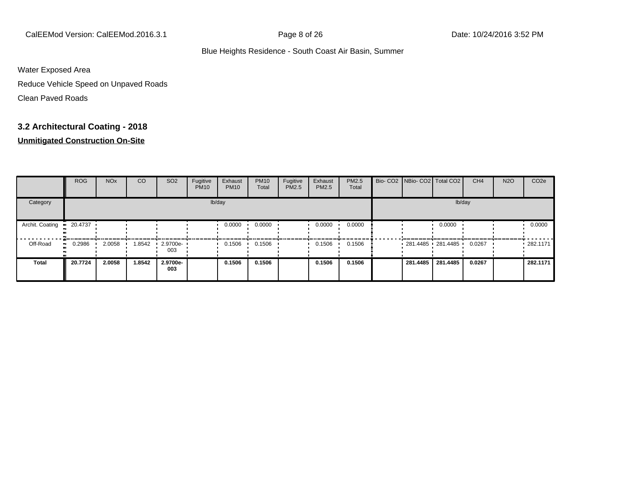CalEEMod Version: CalEEMod.2016.3.1 Page 8 of 26 Date: 10/24/2016 3:52 PM

#### Blue Heights Residence - South Coast Air Basin, Summer

Water Exposed Area

Reduce Vehicle Speed on Unpaved Roads

Clean Paved Roads

# **3.2 Architectural Coating - 2018**

|                 | <b>ROG</b>          | <b>NO<sub>x</sub></b> | CO     | SO <sub>2</sub>    | Fugitive<br><b>PM10</b> | Exhaust<br><b>PM10</b> | <b>PM10</b><br>Total | Fugitive<br><b>PM2.5</b> | Exhaust<br><b>PM2.5</b> | PM2.5<br>Total | Bio- CO2   NBio- CO2   Total CO2 |          | CH <sub>4</sub> | <b>N2O</b> | CO <sub>2e</sub> |
|-----------------|---------------------|-----------------------|--------|--------------------|-------------------------|------------------------|----------------------|--------------------------|-------------------------|----------------|----------------------------------|----------|-----------------|------------|------------------|
| Category        |                     |                       |        |                    |                         | lb/day                 |                      |                          |                         |                |                                  | lb/day   |                 |            |                  |
| Archit. Coating | $-20.4737$          |                       |        |                    |                         | 0.0000                 | 0.0000               |                          | 0.0000                  | 0.0000         |                                  | 0.0000   |                 |            | 0.0000           |
| Off-Road        | 0.2986<br>$\bullet$ | 2.0058                | 1.8542 | $-2.9700e-$<br>003 |                         | 0.1506                 | 0.1506               |                          | 0.1506                  | 0.1506         | $-281.4485 - 281.4485$           |          | 0.0267          |            | 282.1171         |
| <b>Total</b>    | 20.7724             | 2.0058                | 1.8542 | 2.9700e-<br>003    |                         | 0.1506                 | 0.1506               |                          | 0.1506                  | 0.1506         | 281.4485                         | 281.4485 | 0.0267          |            | 282.1171         |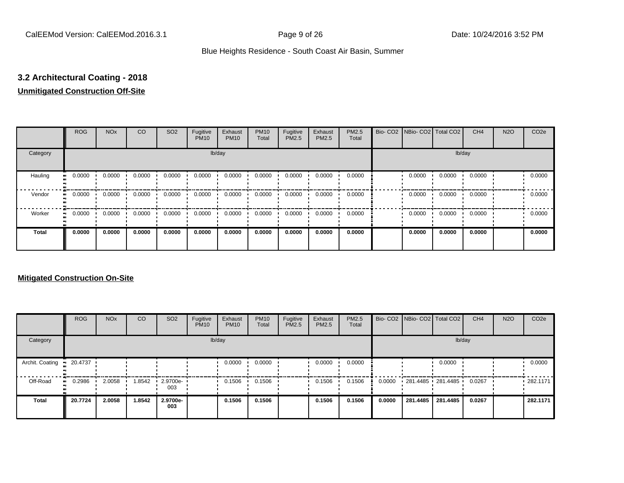# **3.2 Architectural Coating - 2018**

#### **Unmitigated Construction Off-Site**

|                      | <b>ROG</b>          | <b>NO<sub>x</sub></b> | CO     | SO <sub>2</sub> | Fugitive<br><b>PM10</b> | Exhaust<br><b>PM10</b> | <b>PM10</b><br>Total | Fugitive<br><b>PM2.5</b> | Exhaust<br>PM2.5 | PM2.5<br>Total | Bio- CO2   NBio- CO2   Total CO2 |        | CH <sub>4</sub> | <b>N2O</b> | CO <sub>2e</sub> |
|----------------------|---------------------|-----------------------|--------|-----------------|-------------------------|------------------------|----------------------|--------------------------|------------------|----------------|----------------------------------|--------|-----------------|------------|------------------|
| Category             |                     |                       |        |                 |                         | lb/day                 |                      |                          |                  |                |                                  |        | lb/day          |            |                  |
| Hauling<br>$\bullet$ | 0.0000              | 0.0000                | 0.0000 | 0.0000          | 0.0000                  | 0.0000                 | 0.0000               | 0.0000                   | 0.0000           | 0.0000         | 0.0000                           | 0.0000 | 0.0000          |            | 0.0000           |
| Vendor               | 0.0000<br>$\bullet$ | 0.0000                | 0.0000 | 0.0000          | 0.0000                  | 0.0000                 | 0.0000               | 0.0000                   | 0.0000           | 0.0000         | 0.0000                           | 0.0000 | 0.0000          |            | 0.0000           |
| Worker<br>$\bullet$  | 0.0000              | 0.0000                | 0.0000 | 0.0000          | 0.0000                  | 0.0000                 | 0.0000               | 0.0000                   | 0.0000           | 0.0000         | 0.0000                           | 0.0000 | 0.0000          |            | 0.0000           |
| Total                | 0.0000              | 0.0000                | 0.0000 | 0.0000          | 0.0000                  | 0.0000                 | 0.0000               | 0.0000                   | 0.0000           | 0.0000         | 0.0000                           | 0.0000 | 0.0000          |            | 0.0000           |

|                 | <b>ROG</b>   | <b>NO<sub>x</sub></b> | CO     | SO <sub>2</sub>         | Fugitive<br><b>PM10</b> | Exhaust<br><b>PM10</b> | <b>PM10</b><br>Total | Fugitive<br>PM2.5 | Exhaust<br><b>PM2.5</b> | PM2.5<br>Total |        | Bio- CO2   NBio- CO2   Total CO2 |          | CH <sub>4</sub> | <b>N2O</b> | CO <sub>2e</sub> |
|-----------------|--------------|-----------------------|--------|-------------------------|-------------------------|------------------------|----------------------|-------------------|-------------------------|----------------|--------|----------------------------------|----------|-----------------|------------|------------------|
| Category        |              |                       |        |                         |                         | lb/day                 |                      |                   |                         |                |        |                                  | lb/day   |                 |            |                  |
| Archit. Coating | 20.4737      |                       |        |                         |                         | 0.0000                 | 0.0000               |                   | 0.0000                  | 0.0000         |        |                                  | 0.0000   |                 |            | 0.0000           |
| Off-Road        | 0.2986<br>ш. | 2.0058                | 1.8542 | $\cdot$ 2.9700e-<br>003 |                         | 0.1506                 | 0.1506               |                   | 0.1506                  | 0.1506         | 0.0000 | 281.4485 281.4485                |          | 0.0267          |            | $-282.1171$      |
| Total           | 20.7724      | 2.0058                | 1.8542 | 2.9700e-<br>003         |                         | 0.1506                 | 0.1506               |                   | 0.1506                  | 0.1506         | 0.0000 | 281.4485                         | 281.4485 | 0.0267          |            | 282.1171         |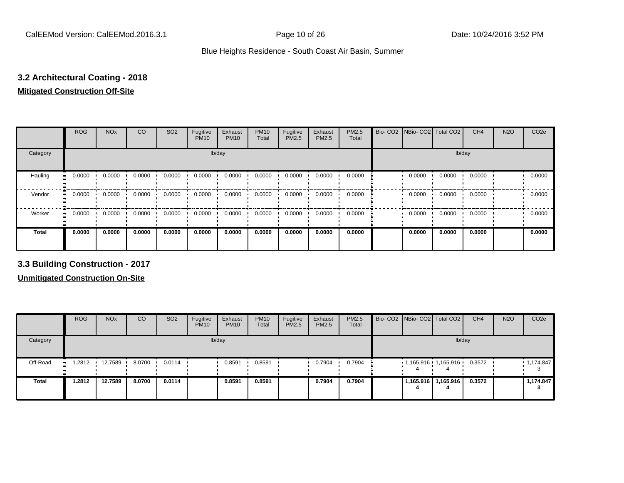# **3.2 Architectural Coating - 2018**

## **Mitigated Construction Off-Site**

|                             | <b>ROG</b>          | <b>NO<sub>x</sub></b> | CO     | SO <sub>2</sub> | Fugitive<br><b>PM10</b> | Exhaust<br><b>PM10</b> | <b>PM10</b><br>Total | Fugitive<br>PM2.5 | Exhaust<br>PM2.5 | PM2.5<br>Total | Bio- CO2   NBio- CO2   Total CO2 |        | CH <sub>4</sub> | <b>N2O</b> | CO <sub>2e</sub> |
|-----------------------------|---------------------|-----------------------|--------|-----------------|-------------------------|------------------------|----------------------|-------------------|------------------|----------------|----------------------------------|--------|-----------------|------------|------------------|
| Category                    |                     |                       |        |                 | lb/day                  |                        |                      |                   |                  |                |                                  | lb/day |                 |            |                  |
| Hauling<br>$\bullet\bullet$ | 0.0000              | 0.0000                | 0.0000 | 0.0000          | 0.0000                  | 0.0000                 | 0.0000               | 0.0000            | 0.0000           | 0.0000         | 0.0000                           | 0.0000 | 0.0000          |            | 0.0000           |
| Vendor<br>$\bullet\bullet$  | 0.0000              | 0.0000                | 0.0000 | 0.0000          | 0.0000                  | 0.0000                 | 0.0000               | 0.0000            | 0.0000           | 0.0000         | 0.0000                           | 0.0000 | 0.0000          |            | 0.0000           |
| Worker                      | 0.0000<br>$\bullet$ | 0.0000                | 0.0000 | 0.0000          | 0.0000                  | 0.0000                 | 0.0000               | 0.0000            | 0.0000           | 0.0000         | 0.0000                           | 0.0000 | 0.0000          |            | 0.0000           |
| <b>Total</b>                | 0.0000              | 0.0000                | 0.0000 | 0.0000          | 0.0000                  | 0.0000                 | 0.0000               | 0.0000            | 0.0000           | 0.0000         | 0.0000                           | 0.0000 | 0.0000          |            | 0.0000           |

**3.3 Building Construction - 2017**

|              | <b>ROG</b>   | <b>NO<sub>x</sub></b> | CO     | SO <sub>2</sub> | Fugitive<br><b>PM10</b> | Exhaust<br><b>PM10</b> | <b>PM10</b><br>Total | Fugitive<br>PM2.5 | Exhaust<br>PM2.5 | <b>PM2.5</b><br>Total |  | Bio- CO2   NBio- CO2   Total CO2 | CH <sub>4</sub> | <b>N2O</b> | CO <sub>2e</sub> |
|--------------|--------------|-----------------------|--------|-----------------|-------------------------|------------------------|----------------------|-------------------|------------------|-----------------------|--|----------------------------------|-----------------|------------|------------------|
| Category     |              |                       |        |                 |                         | lb/day                 |                      |                   |                  |                       |  |                                  | lb/day          |            |                  |
| Off-Road     | 1.2812<br>ш. | 12.7589               | 8.0700 | 0.0114          |                         | 0.8591                 | 0.8591               |                   | 0.7904           | 0.7904                |  | $1,165.916$ $1,165.916$          | 0.3572          |            | 1,174.847        |
| <b>Total</b> | 1.2812       | 12.7589               | 8.0700 | 0.0114          |                         | 0.8591                 | 0.8591               |                   | 0.7904           | 0.7904                |  | 1,165.916   1,165.916            | 0.3572          |            | 1,174.847        |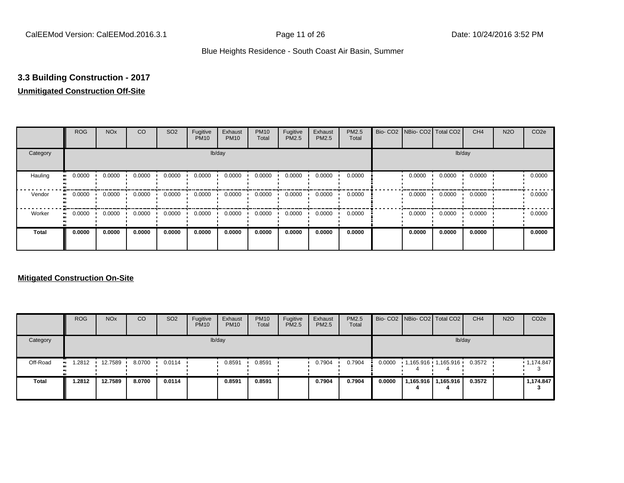# **3.3 Building Construction - 2017**

# **Unmitigated Construction Off-Site**

|                      | <b>ROG</b>          | <b>NO<sub>x</sub></b> | CO     | SO <sub>2</sub> | Fugitive<br><b>PM10</b> | Exhaust<br><b>PM10</b> | <b>PM10</b><br>Total | Fugitive<br><b>PM2.5</b> | Exhaust<br>PM2.5 | PM2.5<br>Total | Bio- CO2   NBio- CO2   Total CO2 |        | CH <sub>4</sub> | <b>N2O</b> | CO <sub>2e</sub> |
|----------------------|---------------------|-----------------------|--------|-----------------|-------------------------|------------------------|----------------------|--------------------------|------------------|----------------|----------------------------------|--------|-----------------|------------|------------------|
| Category             |                     |                       |        |                 |                         | lb/day                 |                      |                          |                  |                |                                  |        | lb/day          |            |                  |
| Hauling<br>$\bullet$ | 0.0000              | 0.0000                | 0.0000 | 0.0000          | 0.0000                  | 0.0000                 | 0.0000               | 0.0000                   | 0.0000           | 0.0000         | 0.0000                           | 0.0000 | 0.0000          |            | 0.0000           |
| Vendor               | 0.0000<br>$\bullet$ | 0.0000                | 0.0000 | 0.0000          | 0.0000                  | 0.0000                 | 0.0000               | 0.0000                   | 0.0000           | 0.0000         | 0.0000                           | 0.0000 | 0.0000          |            | 0.0000           |
| Worker<br>$\bullet$  | 0.0000              | 0.0000                | 0.0000 | 0.0000          | 0.0000                  | 0.0000                 | 0.0000               | 0.0000                   | 0.0000           | 0.0000         | 0.0000                           | 0.0000 | 0.0000          |            | 0.0000           |
| Total                | 0.0000              | 0.0000                | 0.0000 | 0.0000          | 0.0000                  | 0.0000                 | 0.0000               | 0.0000                   | 0.0000           | 0.0000         | 0.0000                           | 0.0000 | 0.0000          |            | 0.0000           |

|              | <b>ROG</b>          | <b>NO<sub>x</sub></b> | CO     | SO <sub>2</sub> | Fugitive<br><b>PM10</b> | Exhaust<br><b>PM10</b> | <b>PM10</b><br>Total | Fugitive<br><b>PM2.5</b> | Exhaust<br><b>PM2.5</b> | <b>PM2.5</b><br>Total |        | Bio- CO2 NBio- CO2 Total CO2 | CH <sub>4</sub> | <b>N2O</b> | CO <sub>2e</sub> |
|--------------|---------------------|-----------------------|--------|-----------------|-------------------------|------------------------|----------------------|--------------------------|-------------------------|-----------------------|--------|------------------------------|-----------------|------------|------------------|
| Category     |                     |                       |        |                 |                         | lb/day                 |                      |                          |                         |                       |        |                              | lb/day          |            |                  |
| Off-Road     | 1.2812<br>$\bullet$ | 12.7589               | 8.0700 | 0.0114          |                         | 0.8591                 | 0.8591               |                          | 0.7904                  | 0.7904                | 0.0000 | 1,165.916 1,165.916          | 0.3572          |            | 1,174.847        |
| <b>Total</b> | 1.2812              | 12.7589               | 8.0700 | 0.0114          |                         | 0.8591                 | 0.8591               |                          | 0.7904                  | 0.7904                | 0.0000 | 1,165.916   1,165.916        | 0.3572          |            | 1,174.847        |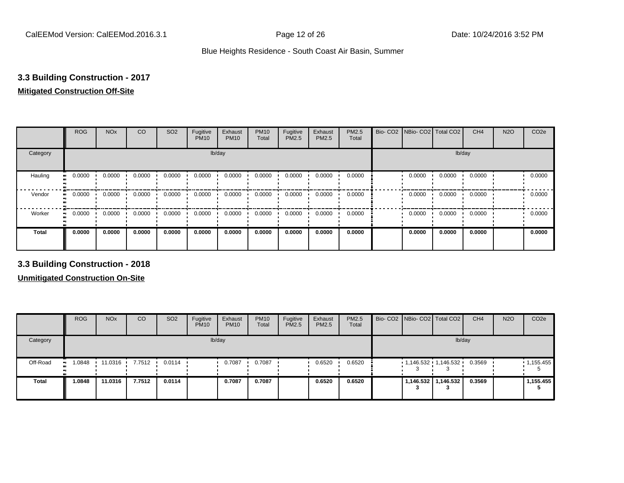# **3.3 Building Construction - 2017**

#### **Mitigated Construction Off-Site**

|              | <b>ROG</b>          | <b>NO<sub>x</sub></b> | CO     | SO <sub>2</sub> | Fugitive<br><b>PM10</b> | Exhaust<br><b>PM10</b> | <b>PM10</b><br>Total | Fugitive<br>PM2.5 | Exhaust<br>PM2.5 | PM2.5<br>Total | Bio- CO2   NBio- CO2   Total CO2 |        | CH <sub>4</sub> | <b>N2O</b> | CO <sub>2e</sub> |
|--------------|---------------------|-----------------------|--------|-----------------|-------------------------|------------------------|----------------------|-------------------|------------------|----------------|----------------------------------|--------|-----------------|------------|------------------|
| Category     |                     |                       |        |                 | lb/day                  |                        |                      |                   |                  |                |                                  | lb/day |                 |            |                  |
| Hauling      | 0.0000<br>ш.        | 0.0000                | 0.0000 | 0.0000          | 0.0000                  | 0.0000                 | 0.0000               | 0.0000            | 0.0000           | 0.0000         | 0.0000                           | 0.0000 | 0.0000          |            | 0.0000           |
| Vendor       | 0.0000<br>$\bullet$ | 0.0000                | 0.0000 | 0.0000          | 0.0000                  | 0.0000                 | 0.0000               | 0.0000            | 0.0000           | 0.0000         | 0.0000                           | 0.0000 | 0.0000          |            | 0.0000           |
| Worker       | 0.0000<br>ш.        | 0.0000                | 0.0000 | 0.0000          | 0.0000                  | 0.0000                 | 0.0000               | 0.0000            | 0.0000           | 0.0000         | 0.0000                           | 0.0000 | 0.0000          |            | 0.0000           |
| <b>Total</b> | 0.0000              | 0.0000                | 0.0000 | 0.0000          | 0.0000                  | 0.0000                 | 0.0000               | 0.0000            | 0.0000           | 0.0000         | 0.0000                           | 0.0000 | 0.0000          |            | 0.0000           |

**3.3 Building Construction - 2018**

|              | <b>ROG</b>   | <b>NO<sub>x</sub></b> | <b>CO</b> | SO <sub>2</sub> | Fugitive<br><b>PM10</b> | Exhaust<br><b>PM10</b> | <b>PM10</b><br>Total | Fugitive<br>PM2.5 | Exhaust<br>PM2.5 | <b>PM2.5</b><br>Total | Bio- CO2 NBio- CO2 Total CO2 |                     | CH <sub>4</sub> | <b>N2O</b> | CO <sub>2e</sub> |
|--------------|--------------|-----------------------|-----------|-----------------|-------------------------|------------------------|----------------------|-------------------|------------------|-----------------------|------------------------------|---------------------|-----------------|------------|------------------|
| Category     |              |                       |           |                 |                         | lb/day                 |                      |                   |                  |                       |                              | lb/day              |                 |            |                  |
| Off-Road     | 1.0848<br>ш. | 11.0316               | 7.7512    | 0.0114          |                         | 0.7087                 | 0.7087               |                   | 0.6520           | 0.6520                | $1,146.532$ $1,146.532$      |                     | 0.3569          |            | 1,155.455        |
| <b>Total</b> | 1.0848       | 11.0316               | 7.7512    | 0.0114          |                         | 0.7087                 | 0.7087               |                   | 0.6520           | 0.6520                |                              | 1,146.532 1,146.532 | 0.3569          |            | 1,155.455        |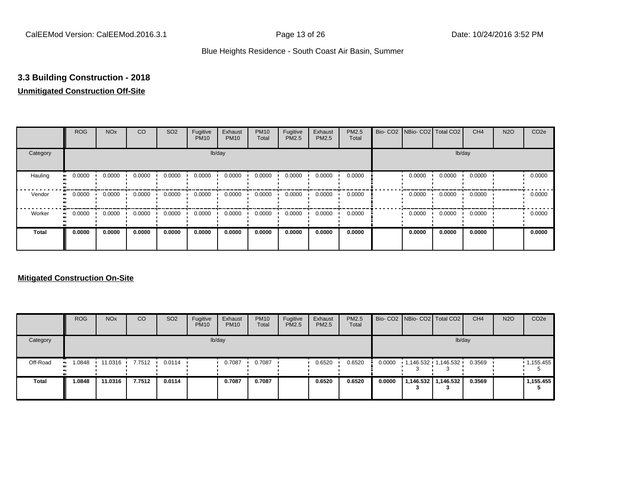# **3.3 Building Construction - 2018**

# **Unmitigated Construction Off-Site**

|                      | <b>ROG</b>          | <b>NO<sub>x</sub></b> | CO     | SO <sub>2</sub> | Fugitive<br><b>PM10</b> | Exhaust<br><b>PM10</b> | <b>PM10</b><br>Total | Fugitive<br><b>PM2.5</b> | Exhaust<br>PM2.5 | PM2.5<br>Total | Bio- CO2   NBio- CO2   Total CO2 |        | CH <sub>4</sub> | <b>N2O</b> | CO <sub>2e</sub> |
|----------------------|---------------------|-----------------------|--------|-----------------|-------------------------|------------------------|----------------------|--------------------------|------------------|----------------|----------------------------------|--------|-----------------|------------|------------------|
| Category             |                     |                       |        |                 |                         | lb/day                 |                      |                          |                  |                |                                  |        | lb/day          |            |                  |
| Hauling<br>$\bullet$ | 0.0000              | 0.0000                | 0.0000 | 0.0000          | 0.0000                  | 0.0000                 | 0.0000               | 0.0000                   | 0.0000           | 0.0000         | 0.0000                           | 0.0000 | 0.0000          |            | 0.0000           |
| Vendor               | 0.0000<br>$\bullet$ | 0.0000                | 0.0000 | 0.0000          | 0.0000                  | 0.0000                 | 0.0000               | 0.0000                   | 0.0000           | 0.0000         | 0.0000                           | 0.0000 | 0.0000          |            | 0.0000           |
| Worker<br>$\bullet$  | 0.0000              | 0.0000                | 0.0000 | 0.0000          | 0.0000                  | 0.0000                 | 0.0000               | 0.0000                   | 0.0000           | 0.0000         | 0.0000                           | 0.0000 | 0.0000          |            | 0.0000           |
| Total                | 0.0000              | 0.0000                | 0.0000 | 0.0000          | 0.0000                  | 0.0000                 | 0.0000               | 0.0000                   | 0.0000           | 0.0000         | 0.0000                           | 0.0000 | 0.0000          |            | 0.0000           |

|              | <b>ROG</b> | <b>NO<sub>x</sub></b> | CO               | SO <sub>2</sub>  | Fugitive<br><b>PM10</b> | Exhaust<br><b>PM10</b> | <b>PM10</b><br>Total | Fugitive<br>PM2.5 | Exhaust<br><b>PM2.5</b> | <b>PM2.5</b><br>Total |        | Bio- CO2 NBio- CO2 Total CO2 | CH <sub>4</sub> | <b>N2O</b> | CO <sub>2e</sub> |
|--------------|------------|-----------------------|------------------|------------------|-------------------------|------------------------|----------------------|-------------------|-------------------------|-----------------------|--------|------------------------------|-----------------|------------|------------------|
| Category     |            |                       |                  |                  |                         | lb/day                 |                      |                   |                         |                       |        | lb/day                       |                 |            |                  |
| Off-Road     | 1.0848     | 11.0316               | $7.7512$ $\cdot$ | $0.0114$ $\cdot$ |                         | 0.7087                 | 0.7087               |                   | 0.6520                  | 0.6520                | 0.0000 | 1,146.532 1,146.532          | 0.3569          |            | 1,155.455        |
| <b>Total</b> | 1.0848     | 11.0316               | 7.7512           | 0.0114           |                         | 0.7087                 | 0.7087               |                   | 0.6520                  | 0.6520                | 0.0000 | 1,146.532   1,146.532        | 0.3569          |            | 1.155.455        |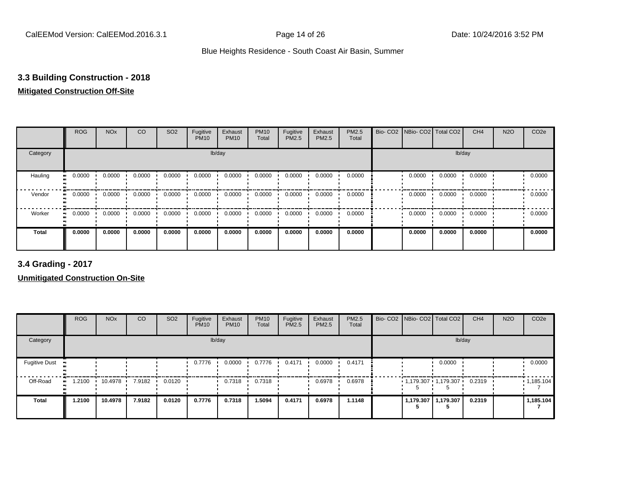## **3.3 Building Construction - 2018**

# **Mitigated Construction Off-Site**

|              | <b>ROG</b>                 | <b>NO<sub>x</sub></b> | CO     | SO <sub>2</sub> | Fugitive<br><b>PM10</b> | Exhaust<br><b>PM10</b> | <b>PM10</b><br>Total | Fugitive<br>PM2.5 | Exhaust<br>PM2.5 | PM2.5<br>Total | Bio- CO2   NBio- CO2   Total CO2 |        | CH <sub>4</sub> | <b>N2O</b> | CO <sub>2e</sub> |
|--------------|----------------------------|-----------------------|--------|-----------------|-------------------------|------------------------|----------------------|-------------------|------------------|----------------|----------------------------------|--------|-----------------|------------|------------------|
| Category     |                            |                       |        |                 | lb/day                  |                        |                      |                   |                  |                |                                  |        | lb/day          |            |                  |
| Hauling      | 0.0000<br>$\bullet\bullet$ | 0.0000                | 0.0000 | 0.0000          | 0.0000                  | 0.0000                 | 0.0000               | 0.0000            | 0.0000           | 0.0000         | 0.0000                           | 0.0000 | 0.0000          |            | 0.0000           |
| Vendor       | 0.0000<br>$\bullet\bullet$ | 0.0000                | 0.0000 | 0.0000          | 0.0000                  | 0.0000                 | 0.0000               | 0.0000            | 0.0000           | 0.0000         | 0.0000                           | 0.0000 | 0.0000          |            | 0.0000           |
| Worker       | 0.0000<br>$\bullet$        | 0.0000                | 0.0000 | 0.0000          | 0.0000                  | 0.0000                 | 0.0000               | 0.0000            | 0.0000           | 0.0000         | 0.0000                           | 0.0000 | 0.0000          |            | 0.0000           |
| <b>Total</b> | 0.0000                     | 0.0000                | 0.0000 | 0.0000          | 0.0000                  | 0.0000                 | 0.0000               | 0.0000            | 0.0000           | 0.0000         | 0.0000                           | 0.0000 | 0.0000          |            | 0.0000           |

**3.4 Grading - 2017**

|                      | <b>ROG</b>       | <b>NO<sub>x</sub></b> | CO     | SO <sub>2</sub> | Fugitive<br><b>PM10</b> | Exhaust<br><b>PM10</b> | <b>PM10</b><br>Total | Fugitive<br>PM2.5 | Exhaust<br><b>PM2.5</b> | PM2.5<br>Total |  | Bio- CO2   NBio- CO2   Total CO2 | CH <sub>4</sub> | <b>N2O</b> | CO <sub>2e</sub> |
|----------------------|------------------|-----------------------|--------|-----------------|-------------------------|------------------------|----------------------|-------------------|-------------------------|----------------|--|----------------------------------|-----------------|------------|------------------|
| Category             |                  |                       |        |                 |                         | lb/day                 |                      |                   |                         |                |  |                                  | lb/day          |            |                  |
| <b>Fugitive Dust</b> | $\bullet\bullet$ |                       |        |                 | 0.7776                  | 0.0000                 | 0.7776               | 0.4171            | 0.0000                  | 0.4171         |  | 0.0000                           |                 |            | 0.0000           |
| Off-Road             | 1.2100<br>ш.     | 10.4978 7.9182        |        | 0.0120          |                         | 0.7318                 | 0.7318               |                   | 0.6978                  | 0.6978         |  | $1,179.307$ 1,179.307            | 0.2319          |            | 1,185.104        |
| <b>Total</b>         | 1.2100           | 10.4978               | 7.9182 | 0.0120          | 0.7776                  | 0.7318                 | .5094                | 0.4171            | 0.6978                  | 1.1148         |  | 1,179.307   1,179.307            | 0.2319          |            | 1,185.104        |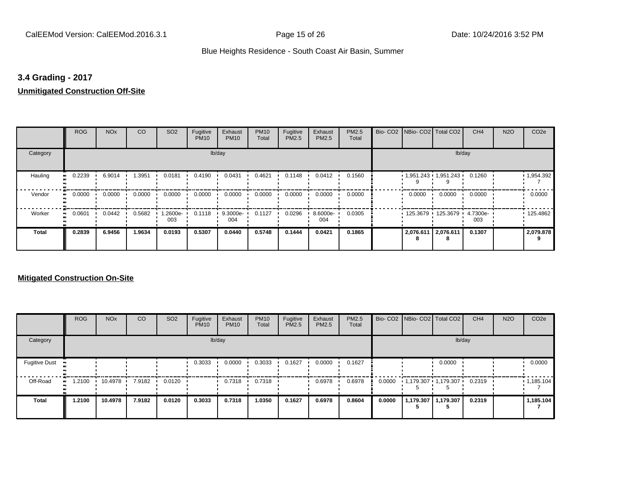# **3.4 Grading - 2017**

# **Unmitigated Construction Off-Site**

|                             | <b>ROG</b> | <b>NO<sub>x</sub></b> | CO     | SO <sub>2</sub> | Fugitive<br><b>PM10</b> | Exhaust<br><b>PM10</b> | <b>PM10</b><br>Total | Fugitive<br>PM2.5 | Exhaust<br>PM2.5 | PM2.5<br>Total | Bio- CO2   NBio- CO2   Total CO2 |                            | CH <sub>4</sub> | <b>N2O</b> | CO <sub>2e</sub> |
|-----------------------------|------------|-----------------------|--------|-----------------|-------------------------|------------------------|----------------------|-------------------|------------------|----------------|----------------------------------|----------------------------|-----------------|------------|------------------|
| Category                    |            |                       |        |                 |                         | lb/day                 |                      |                   |                  |                |                                  |                            | lb/day          |            |                  |
| Hauling<br>$\bullet\bullet$ | 0.2239     | 6.9014                | 1.3951 | 0.0181          | 0.4190                  | 0.0431                 | 0.4621               | 0.1148            | 0.0412           | 0.1560         | 1,951.243 1,951.243              |                            | 0.1260          |            | 1,954.392        |
| Vendor<br>$\bullet\bullet$  | 0.0000     | 0.0000                | 0.0000 | 0.0000          | 0.0000                  | 0.0000                 | 0.0000               | 0.0000            | 0.0000           | 0.0000         | 0.0000                           | 0.0000                     | 0.0000          |            | 0.0000           |
| Worker<br>$\bullet\bullet$  | 0.0601     | 0.0442                | 0.5682 | 1.2600e-<br>003 | 0.1118                  | 9.3000e-<br>004        | 0.1127               | 0.0296            | 8.6000e-<br>004  | 0.0305         |                                  | 125.3679 125.3679 4.7300e- | 003             |            | 125.4862         |
| Total                       | 0.2839     | 6.9456                | 1.9634 | 0.0193          | 0.5307                  | 0.0440                 | 0.5748               | 0.1444            | 0.0421           | 0.1865         | 2,076.611                        | 2,076.611                  | 0.1307          |            | 2,079.878        |

|                      | <b>ROG</b>           | <b>NO<sub>x</sub></b> | <b>CO</b> | SO <sub>2</sub> | Fugitive<br><b>PM10</b> | Exhaust<br><b>PM10</b> | <b>PM10</b><br>Total | Fugitive<br>PM2.5 | Exhaust<br><b>PM2.5</b> | PM2.5<br>Total |        | Bio- CO2 NBio- CO2 Total CO2 | CH <sub>4</sub> | <b>N2O</b> | CO <sub>2e</sub> |
|----------------------|----------------------|-----------------------|-----------|-----------------|-------------------------|------------------------|----------------------|-------------------|-------------------------|----------------|--------|------------------------------|-----------------|------------|------------------|
| Category             |                      |                       |           |                 |                         | lb/day                 |                      |                   |                         |                |        | lb/day                       |                 |            |                  |
| <b>Fugitive Dust</b> |                      |                       |           |                 | 0.3033                  | 0.0000                 | 0.3033               | 0.1627            | 0.0000                  | 0.1627         |        | 0.0000                       |                 |            | 0.0000           |
| Off-Road             | 1.2100<br><b>ALC</b> | 10.4978 7.9182        |           | 0.0120          |                         | 0.7318                 | 0.7318               |                   | 0.6978                  | 0.6978         | 0.0000 | 1,179.307 1,179.307          | 0.2319          |            | 1,185.104        |
| Total                | 1.2100               | 10.4978               | 7.9182    | 0.0120          | 0.3033                  | 0.7318                 | .0350                | 0.1627            | 0.6978                  | 0.8604         | 0.0000 | 1,179.307   1,179.307        | 0.2319          |            | 1,185.104        |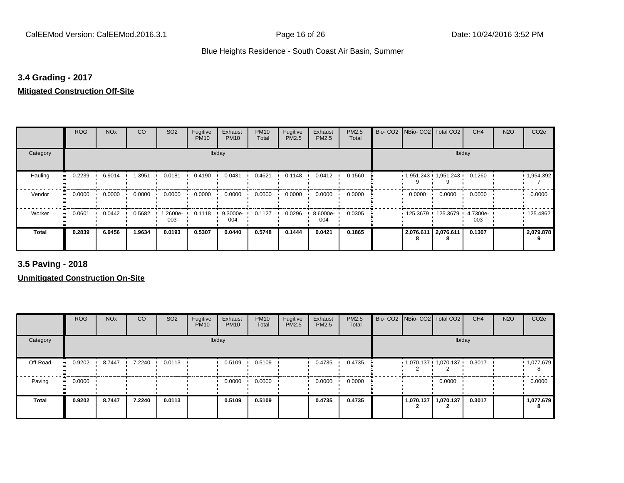# **3.4 Grading - 2017**

## **Mitigated Construction Off-Site**

|                            | <b>ROG</b>   | <b>NO<sub>x</sub></b> | CO     | SO <sub>2</sub> | Fugitive<br><b>PM10</b> | Exhaust<br><b>PM10</b> | <b>PM10</b><br>Total | Fugitive<br>PM2.5 | Exhaust<br>PM2.5 | PM2.5<br>Total | Bio- CO2   NBio- CO2   Total CO2 |           | CH <sub>4</sub> | <b>N2O</b> | CO <sub>2e</sub> |
|----------------------------|--------------|-----------------------|--------|-----------------|-------------------------|------------------------|----------------------|-------------------|------------------|----------------|----------------------------------|-----------|-----------------|------------|------------------|
| Category                   |              |                       |        |                 |                         | lb/day                 |                      |                   |                  |                |                                  |           | lb/day          |            |                  |
| Hauling                    | 0.2239<br>ш. | 6.9014                | 1.3951 | 0.0181          | 0.4190                  | 0.0431                 | 0.4621               | 0.1148            | 0.0412           | 0.1560         | $1,951.243$ $1,951.243$          |           | 0.1260          |            | 1,954.392        |
| Vendor<br>$\bullet$        | 0.0000       | 0.0000                | 0.0000 | 0.0000          | 0.0000                  | 0.0000                 | 0.0000               | 0.0000            | 0.0000           | 0.0000         | 0.0000                           | 0.0000    | 0.0000          |            | 0.0000           |
| Worker<br>$\bullet\bullet$ | 0.0601       | 0.0442                | 0.5682 | 1.2600e-<br>003 | 0.1118                  | 9.3000e-<br>004        | 0.1127               | 0.0296            | 8.6000e-<br>004  | 0.0305         | 125.3679 125.3679                |           | 4.7300e-<br>003 |            | 125.4862         |
| <b>Total</b>               | 0.2839       | 6.9456                | 1.9634 | 0.0193          | 0.5307                  | 0.0440                 | 0.5748               | 0.1444            | 0.0421           | 0.1865         | 2,076.611                        | 2,076.611 | 0.1307          |            | 2,079.878        |

**3.5 Paving - 2018**

|              | <b>ROG</b> | <b>NO<sub>x</sub></b> | CO     | SO <sub>2</sub> | Fugitive<br><b>PM10</b> | Exhaust<br><b>PM10</b> | <b>PM10</b><br>Total | Fugitive<br><b>PM2.5</b> | Exhaust<br>PM2.5 | <b>PM2.5</b><br>Total |           | Bio- CO2   NBio- CO2   Total CO2 | CH <sub>4</sub> | <b>N2O</b> | CO <sub>2e</sub> |
|--------------|------------|-----------------------|--------|-----------------|-------------------------|------------------------|----------------------|--------------------------|------------------|-----------------------|-----------|----------------------------------|-----------------|------------|------------------|
| Category     |            |                       |        |                 |                         | lb/day                 |                      |                          |                  |                       |           | lb/day                           |                 |            |                  |
| Off-Road     | 0.9202     | 8.7447                | 7.2240 | 0.0113          |                         | 0.5109                 | 0.5109               |                          | 0.4735           | 0.4735                |           | $1,070.137$ $1,070.137$ $\cdot$  | 0.3017          |            | 1,077.679<br>8   |
| Paving       | 0.0000     |                       |        |                 |                         | 0.0000                 | 0.0000               |                          | 0.0000           | 0.0000                |           | 0.0000                           |                 |            | 0.0000           |
| <b>Total</b> | 0.9202     | 8.7447                | 7.2240 | 0.0113          |                         | 0.5109                 | 0.5109               |                          | 0.4735           | 0.4735                | 1,070.137 | 1,070.137                        | 0.3017          |            | 1,077.679<br>8   |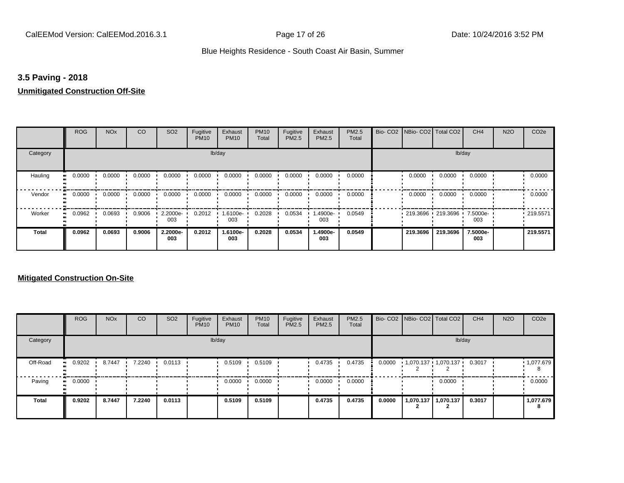# **3.5 Paving - 2018**

#### **Unmitigated Construction Off-Site**

|                      | <b>ROG</b>                 | <b>NO<sub>x</sub></b> | CO     | SO <sub>2</sub> | Fugitive<br><b>PM10</b> | Exhaust<br><b>PM10</b> | <b>PM10</b><br>Total | Fugitive<br>PM2.5 | Exhaust<br>PM2.5 | PM2.5<br>Total | Bio- CO2   NBio- CO2   Total CO2 |                   | CH <sub>4</sub> | <b>N2O</b> | CO <sub>2e</sub> |
|----------------------|----------------------------|-----------------------|--------|-----------------|-------------------------|------------------------|----------------------|-------------------|------------------|----------------|----------------------------------|-------------------|-----------------|------------|------------------|
| Category             |                            |                       |        |                 |                         | lb/day                 |                      |                   |                  |                |                                  |                   | lb/day          |            |                  |
| Hauling<br>$\bullet$ | 0.0000                     | 0.0000                | 0.0000 | 0.0000          | 0.0000                  | 0.0000                 | 0.0000               | 0.0000            | 0.0000           | 0.0000         | 0.0000                           | 0.0000            | 0.0000          |            | 0.0000           |
| Vendor               | 0.0000<br>$\bullet$        | 0.0000                | 0.0000 | 0.0000          | 0.0000                  | 0.0000                 | 0.0000               | 0.0000            | 0.0000           | 0.0000         | 0.0000                           | 0.0000            | 0.0000          |            | 0.0000           |
| Worker               | 0.0962<br>$\bullet\bullet$ | 0.0693                | 0.9006 | 2.2000e-<br>003 | 0.2012                  | 1.6100e-<br>003        | 0.2028               | 0.0534            | .4900e-<br>003   | 0.0549         |                                  | 219.3696 219.3696 | 7.5000e-<br>003 |            | .219.5571        |
| <b>Total</b>         | 0.0962                     | 0.0693                | 0.9006 | 2.2000e-<br>003 | 0.2012                  | 1.6100e-<br>003        | 0.2028               | 0.0534            | -.4900e<br>003   | 0.0549         | 219.3696                         | 219.3696          | 7.5000e-<br>003 |            | 219,5571         |

|              | <b>ROG</b>                 | <b>NO<sub>x</sub></b> | CO     | SO <sub>2</sub> | Fugitive<br><b>PM10</b> | Exhaust<br><b>PM10</b> | <b>PM10</b><br>Total | Fugitive<br><b>PM2.5</b> | Exhaust<br>PM2.5 | PM2.5<br>Total |        |           | Bio- CO2   NBio- CO2   Total CO2 | CH <sub>4</sub> | <b>N2O</b> | CO <sub>2e</sub> |
|--------------|----------------------------|-----------------------|--------|-----------------|-------------------------|------------------------|----------------------|--------------------------|------------------|----------------|--------|-----------|----------------------------------|-----------------|------------|------------------|
| Category     |                            |                       |        |                 |                         | lb/day                 |                      |                          |                  |                |        |           |                                  | lb/day          |            |                  |
| Off-Road     | 0.9202                     | 8.7447                | 7.2240 | 0.0113          |                         | 0.5109                 | 0.5109               |                          | 0.4735           | 0.4735         | 0.0000 |           | 1,070.137 1,070.137 '            | 0.3017          |            | 1,077.679<br>8   |
| Paving       | 0.0000<br>$\bullet\bullet$ |                       |        |                 |                         | 0.0000                 | 0.0000               |                          | 0.0000           | 0.0000         |        |           | 0.0000                           |                 |            | 0.0000           |
| <b>Total</b> | 0.9202                     | 8.7447                | 7.2240 | 0.0113          |                         | 0.5109                 | 0.5109               |                          | 0.4735           | 0.4735         | 0.0000 | 1,070.137 | 1,070.137                        | 0.3017          |            | 1,077.679<br>8   |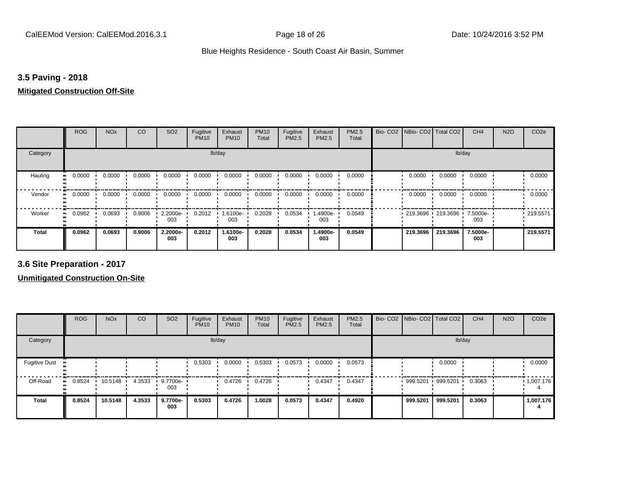# **3.5 Paving - 2018**

#### **Mitigated Construction Off-Site**

|              | <b>ROG</b>          | <b>NO<sub>x</sub></b> | CO     | SO <sub>2</sub> | Fugitive<br><b>PM10</b> | Exhaust<br><b>PM10</b> | <b>PM10</b><br>Total | Fugitive<br>PM2.5 | Exhaust<br>PM2.5 | PM2.5<br>Total | Bio- CO2   NBio- CO2   Total CO2 |          | CH <sub>4</sub> | <b>N2O</b> | CO <sub>2e</sub> |
|--------------|---------------------|-----------------------|--------|-----------------|-------------------------|------------------------|----------------------|-------------------|------------------|----------------|----------------------------------|----------|-----------------|------------|------------------|
| Category     |                     |                       |        |                 | lb/day                  |                        |                      |                   |                  |                |                                  |          | lb/day          |            |                  |
| Hauling      | 0.0000              | 0.0000                | 0.0000 | 0.0000          | 0.0000                  | 0.0000                 | 0.0000               | 0.0000            | 0.0000           | 0.0000         | 0.0000                           | 0.0000   | 0.0000          |            | 0.0000           |
| Vendor       | 0.0000<br>$\bullet$ | 0.0000                | 0.0000 | 0.0000          | 0.0000                  | 0.0000                 | 0.0000               | 0.0000            | 0.0000           | 0.0000         | 0.0000                           | 0.0000   | 0.0000          |            | 0.0000           |
| Worker       | 0.0962              | 0.0693                | 0.9006 | 2.2000e-<br>003 | 0.2012                  | 1.6100e-<br>003        | 0.2028               | 0.0534            | .4900e-<br>003   | 0.0549         | 219.3696 219.3696                |          | 7.5000e-<br>003 |            | .219.5571        |
| <b>Total</b> | 0.0962              | 0.0693                | 0.9006 | 2.2000e-<br>003 | 0.2012                  | 1.6100e-<br>003        | 0.2028               | 0.0534            | 1.4900e-<br>003  | 0.0549         | 219.3696                         | 219.3696 | 7.5000e-<br>003 |            | 219,5571         |

**3.6 Site Preparation - 2017**

|                      | <b>ROG</b>          | <b>NO<sub>x</sub></b> | CO     | SO <sub>2</sub> | Fugitive<br><b>PM10</b> | Exhaust<br><b>PM10</b> | <b>PM10</b><br>Total | Fugitive<br><b>PM2.5</b> | Exhaust<br>PM2.5 | PM2.5<br>Total | Bio- CO2 NBio- CO2 Total CO2 |          | CH <sub>4</sub> | <b>N2O</b> | CO <sub>2e</sub> |
|----------------------|---------------------|-----------------------|--------|-----------------|-------------------------|------------------------|----------------------|--------------------------|------------------|----------------|------------------------------|----------|-----------------|------------|------------------|
| Category             |                     |                       |        |                 |                         | lb/day                 |                      |                          |                  |                |                              | lb/day   |                 |            |                  |
| <b>Fugitive Dust</b> |                     |                       |        |                 | 0.5303                  | 0.0000                 | 0.5303               | 0.0573                   | 0.0000           | 0.0573         |                              | 0.0000   |                 |            | 0.0000           |
| Off-Road             | 0.8524<br>$\bullet$ | 10.5148               | 4.3533 | 9.7700e-<br>003 |                         | 0.4726                 | 0.4726               |                          | 0.4347           | 0.4347         | 999.5201 999.5201            |          | 0.3063          |            | .1,007.176       |
| <b>Total</b>         | 0.8524              | 10.5148               | 4.3533 | 9.7700e-<br>003 | 0.5303                  | 0.4726                 | 1.0028               | 0.0573                   | 0.4347           | 0.4920         | 999.5201                     | 999.5201 | 0.3063          |            | 1,007.176        |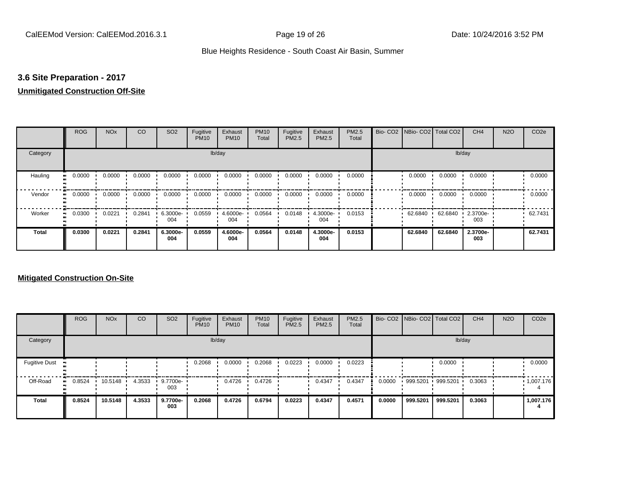# **3.6 Site Preparation - 2017**

# **Unmitigated Construction Off-Site**

|                             | <b>ROG</b> | <b>NO<sub>x</sub></b> | CO     | SO <sub>2</sub> | Fugitive<br><b>PM10</b> | Exhaust<br><b>PM10</b> | <b>PM10</b><br>Total | Fugitive<br>PM2.5 | Exhaust<br>PM2.5 | PM2.5<br>Total | Bio- CO2   NBio- CO2   Total CO2 |         | CH <sub>4</sub> | <b>N2O</b> | CO <sub>2e</sub> |
|-----------------------------|------------|-----------------------|--------|-----------------|-------------------------|------------------------|----------------------|-------------------|------------------|----------------|----------------------------------|---------|-----------------|------------|------------------|
| Category                    |            |                       |        |                 |                         | lb/day                 |                      |                   |                  |                |                                  | lb/day  |                 |            |                  |
| Hauling<br>$\bullet\bullet$ | 0.0000     | 0.0000                | 0.0000 | 0.0000          | 0.0000                  | 0.0000                 | 0.0000               | 0.0000            | 0.0000           | 0.0000         | 0.0000                           | 0.0000  | 0.0000          |            | 0.0000           |
| Vendor<br>$\bullet\bullet$  | 0.0000     | 0.0000                | 0.0000 | 0.0000          | 0.0000                  | 0.0000                 | 0.0000               | 0.0000            | 0.0000           | 0.0000         | 0.0000                           | 0.0000  | 0.0000          |            | 0.0000           |
| Worker<br>$\bullet\bullet$  | 0.0300     | 0.0221                | 0.2841 | 6.3000e-<br>004 | 0.0559                  | 4.6000e-<br>004        | 0.0564               | 0.0148            | 4.3000e-<br>004  | 0.0153         | 62.6840                          | 62.6840 | 2.3700e-<br>003 |            | 62.7431          |
| <b>Total</b>                | 0.0300     | 0.0221                | 0.2841 | 6.3000e-<br>004 | 0.0559                  | 4.6000e-<br>004        | 0.0564               | 0.0148            | 4.3000e-<br>004  | 0.0153         | 62.6840                          | 62.6840 | 2.3700e-<br>003 |            | 62.7431          |

|                      | <b>ROG</b>   | <b>NO<sub>x</sub></b> | CO     | SO <sub>2</sub> | Fugitive<br><b>PM10</b> | Exhaust<br><b>PM10</b> | <b>PM10</b><br>Total | Fugitive<br>PM2.5 | Exhaust<br><b>PM2.5</b> | PM2.5<br>Total |        | Bio- CO2   NBio- CO2   Total CO2 |          | CH <sub>4</sub> | <b>N2O</b> | CO <sub>2e</sub> |
|----------------------|--------------|-----------------------|--------|-----------------|-------------------------|------------------------|----------------------|-------------------|-------------------------|----------------|--------|----------------------------------|----------|-----------------|------------|------------------|
| Category             |              |                       |        |                 |                         | lb/day                 |                      |                   |                         |                |        |                                  | lb/day   |                 |            |                  |
| <b>Fugitive Dust</b> |              |                       |        |                 | 0.2068                  | 0.0000                 | 0.2068               | 0.0223            | 0.0000                  | 0.0223         |        |                                  | 0.0000   |                 |            | 0.0000           |
| Off-Road             | 0.8524<br>ш. | 10.5148               | 4.3533 | 9.7700e-<br>003 |                         | 0.4726                 | 0.4726               |                   | 0.4347                  | 0.4347         | 0.0000 | 999.5201 999.5201                |          | 0.3063          |            | 1,007.176        |
| Total                | 0.8524       | 10.5148               | 4.3533 | 9.7700e-<br>003 | 0.2068                  | 0.4726                 | 0.6794               | 0.0223            | 0.4347                  | 0.4571         | 0.0000 | 999.5201                         | 999.5201 | 0.3063          |            | 1,007.176        |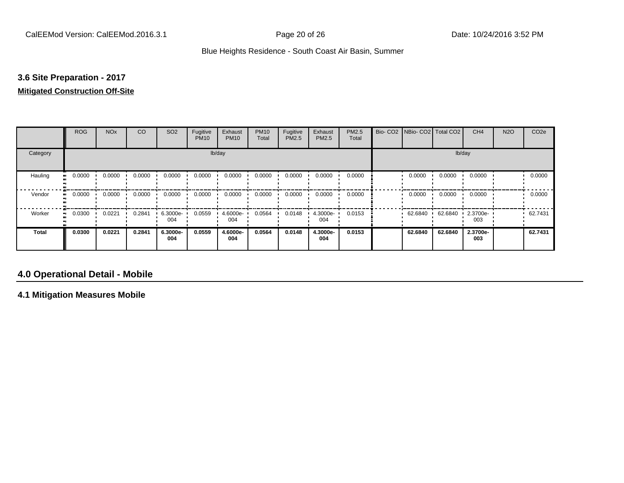# **3.6 Site Preparation - 2017**

#### **Mitigated Construction Off-Site**

|                            | <b>ROG</b>          | <b>NO<sub>x</sub></b> | CO     | SO <sub>2</sub> | Fugitive<br><b>PM10</b> | Exhaust<br><b>PM10</b> | <b>PM10</b><br>Total | Fugitive<br>PM2.5 | Exhaust<br>PM2.5 | PM2.5<br>Total | Bio- CO2   NBio- CO2   Total CO2 |         | CH <sub>4</sub> | <b>N2O</b> | CO <sub>2e</sub> |
|----------------------------|---------------------|-----------------------|--------|-----------------|-------------------------|------------------------|----------------------|-------------------|------------------|----------------|----------------------------------|---------|-----------------|------------|------------------|
| Category                   |                     |                       |        |                 |                         | lb/day                 |                      |                   |                  |                |                                  |         | lb/day          |            |                  |
| Hauling<br>$\bullet$       | 0.0000              | 0.0000                | 0.0000 | 0.0000          | 0.0000                  | 0.0000                 | 0.0000               | 0.0000            | 0.0000           | 0.0000         | 0.0000                           | 0.0000  | 0.0000          |            | 0.0000           |
| Vendor                     | 0.0000<br>$\bullet$ | 0.0000                | 0.0000 | 0.0000          | 0.0000                  | 0.0000                 | 0.0000               | 0.0000            | 0.0000           | 0.0000         | 0.0000                           | 0.0000  | 0.0000          |            | 0.0000           |
| Worker<br>$\bullet\bullet$ | 0.0300              | 0.0221                | 0.2841 | 6.3000e-<br>004 | 0.0559                  | 4.6000e-<br>004        | 0.0564               | 0.0148            | 4.3000e-<br>004  | 0.0153         | 62.6840                          | 62.6840 | 2.3700e-<br>003 |            | 62.7431          |
| <b>Total</b>               | 0.0300              | 0.0221                | 0.2841 | 6.3000e-<br>004 | 0.0559                  | 4.6000e-<br>004        | 0.0564               | 0.0148            | 4.3000e-<br>004  | 0.0153         | 62.6840                          | 62.6840 | 2.3700e-<br>003 |            | 62.7431          |

# **4.0 Operational Detail - Mobile**

**4.1 Mitigation Measures Mobile**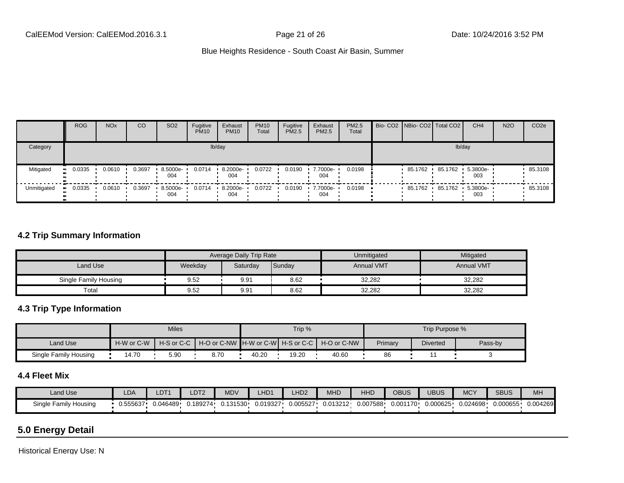|             | <b>ROG</b> | <b>NO<sub>x</sub></b> | CO     | SO <sub>2</sub>  | Fugitive<br><b>PM10</b> | Exhaust<br><b>PM10</b> | <b>PM10</b><br>Total | Fugitive<br><b>PM2.5</b> | Exhaust<br>PM2.5 | <b>PM2.5</b><br>Total | Bio- CO2 NBio- CO2 Total CO2 | CH <sub>4</sub>         | <b>N2O</b> | CO <sub>2e</sub> |
|-------------|------------|-----------------------|--------|------------------|-------------------------|------------------------|----------------------|--------------------------|------------------|-----------------------|------------------------------|-------------------------|------------|------------------|
| Category    |            |                       |        |                  |                         | lb/day                 |                      |                          |                  |                       |                              | lb/day                  |            |                  |
| Mitigated   | 0.0335     | 0.0610                | 0.3697 | 8.5000e-<br>004  | 0.0714                  | 8.2000e-<br>004        | 0.0722               | 0.0190                   | 7.7000e-<br>004  | 0.0198                | 85.1762                      | 85.1762 5.3800e-<br>003 |            | $-85.3108$       |
| Unmitigated | 0.0335     | 0.0610                | 0.3697 | $.5000e-$<br>004 | 0.0714                  | 8.2000e-<br>004        | 0.0722               | 0.0190                   | 7.7000e-<br>004  | 0.0198                | 85.1762                      | 85.1762 5.3800e-<br>003 |            | 85.3108          |

## **4.2 Trip Summary Information**

|                       |         | <b>Average Daily Trip Rate</b> |        | Unmitigated       | Mitigated         |
|-----------------------|---------|--------------------------------|--------|-------------------|-------------------|
| Land Use              | Weekday | Saturday                       | Sunday | <b>Annual VMT</b> | <b>Annual VMT</b> |
| Single Family Housing | 9.52    | 9.91                           | 8.62   | 32,282            | 32,282            |
| Total                 | 9.52    | 9.91                           | 8.62   | 32,282            | 32,282            |

# **4.3 Trip Type Information**

|                       |            | <b>Miles</b>               |                                                     |       | Trip % |       |         | Trip Purpose %  |         |
|-----------------------|------------|----------------------------|-----------------------------------------------------|-------|--------|-------|---------|-----------------|---------|
| Land Use              | H-W or C-W | $H-S$ or $C-C$ $\parallel$ | │ H-O or C-NW ┃H-W or C-W┃ H-S or C-C ┃ H-O or C-NW |       |        |       | Primary | <b>Diverted</b> | Pass-by |
| Single Family Housing | 4.70       | 5.90                       | 8.70                                                | 40.20 | 19.20  | 40.60 | 86      |                 |         |

## **4.4 Fleet Mix**

| Land Use                     | LDA      | LDT1     | LDT <sub>2</sub> | <b>MDV</b> | HD <sup>2</sup> | LHD <sub>2</sub> | AA1<br>MHD | HHD      | OBUS      | <b>UBUS</b> | <b>MCY</b> | <b>SBUS</b> | MH       |
|------------------------------|----------|----------|------------------|------------|-----------------|------------------|------------|----------|-----------|-------------|------------|-------------|----------|
| Single Family I<br>/ Housing | J.555637 | 0.046489 | 0.189274         | .131530    | 0.019327        | 0.005527         | J.013212   | 0.007588 | י0.001170 | 0.000625    | 024698.ر   | 0.000655    | 0.004269 |

# **5.0 Energy Detail**

Historical Energy Use: N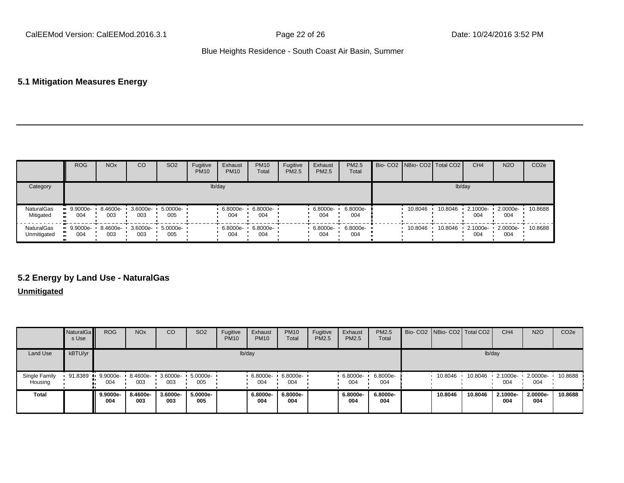## **5.1 Mitigation Measures Energy**

|                           | <b>ROG</b>                         | <b>NO<sub>x</sub></b> | CO  | SO <sub>2</sub>                     | Fugitive<br><b>PM10</b> | Exhaust<br><b>PM10</b> | <b>PM10</b><br>Total | Fugitive<br><b>PM2.5</b> | Exhaust<br><b>PM2.5</b> | <b>PM2.5</b><br>Total | Bio- CO2   NBio- CO2   Total CO2 |         | CH <sub>4</sub> | <b>N2O</b>      | CO <sub>2e</sub> |
|---------------------------|------------------------------------|-----------------------|-----|-------------------------------------|-------------------------|------------------------|----------------------|--------------------------|-------------------------|-----------------------|----------------------------------|---------|-----------------|-----------------|------------------|
| Category                  |                                    |                       |     |                                     |                         | lb/day                 |                      |                          |                         |                       |                                  | lb/day  |                 |                 |                  |
| NaturalGas<br>Mitigated   | $9.9000e-$<br>.<br>004             | 003                   | 003 | 8.4600e- 3.6000e- 5.0000e- 1<br>005 |                         | 6.8000e-<br>004        | 6.8000e-<br>004      |                          | 6.8000e-<br>004         | 6.8000e-<br>004       | 10.8046                          | 10.8046 | 2.1000e-<br>004 | 2.0000e-<br>004 | 10.8688          |
| NaturalGas<br>Unmitigated | $-9.9000e-$<br>004<br>$\mathbf{u}$ | 8.4600e-<br>003       | 003 | 3.6000e- 5.0000e- '<br>005          |                         | 6.8000e-<br>004        | 6.8000e-<br>004      |                          | 6.8000e-<br>004         | 6.8000e-<br>004       | 10.8046                          | 10.8046 | 2.1000e-<br>004 | 2.0000e-<br>004 | 10.8688          |

# **5.2 Energy by Land Use - NaturalGas**

## **Unmitigated**

|                          | <b>NaturalGa</b><br>s Use | <b>ROG</b>        | <b>NO<sub>x</sub></b> | <sub>CO</sub>   | SO <sub>2</sub> | Fugitive<br><b>PM10</b> | Exhaust<br><b>PM10</b> | <b>PM10</b><br>Total | Fugitive<br>PM2.5 | Exhaust<br>PM2.5 | <b>PM2.5</b><br>Total |         | Bio- CO2   NBio- CO2   Total CO2 | CH <sub>4</sub>    | <b>N2O</b>      | CO <sub>2e</sub> |
|--------------------------|---------------------------|-------------------|-----------------------|-----------------|-----------------|-------------------------|------------------------|----------------------|-------------------|------------------|-----------------------|---------|----------------------------------|--------------------|-----------------|------------------|
| <b>Land Use</b>          | kBTU/yr                   |                   |                       |                 |                 |                         | lb/day                 |                      |                   |                  |                       |         | lb/day                           |                    |                 |                  |
| Single Family<br>Housing | 91.8389                   | $9.9000e-$<br>004 | 8.4600e-<br>003       | 3.6000e-<br>003 | 5.0000e-<br>005 |                         | 6.8000e-<br>004        | 6.8000e-<br>004      |                   | 6.8000e-<br>004  | 6.8000e-<br>004       | 10.8046 | 10.8046                          | $-2.1000e-$<br>004 | 2.0000e-<br>004 | 10.8688          |
| <b>Total</b>             |                           | 9.9000e-<br>004   | 8.4600e-<br>003       | 3.6000e-<br>003 | 5.0000e-<br>005 |                         | 6.8000e-<br>004        | 6.8000e-<br>004      |                   | 6.8000e-<br>004  | 6.8000e-<br>004       | 10.8046 | 10.8046                          | 2.1000e-<br>004    | 2.0000e-<br>004 | 10.8688          |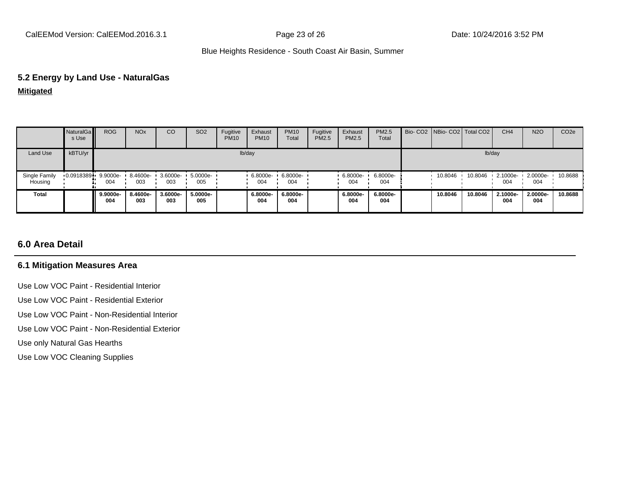#### **5.2 Energy by Land Use - NaturalGas**

**Mitigated**

|                          | NaturalGa<br>s Use | <b>ROG</b>      | <b>NO<sub>x</sub></b> | CO                 | SO <sub>2</sub> | Fugitive<br><b>PM10</b> | Exhaust<br><b>PM10</b> | <b>PM10</b><br>Total | Fugitive<br>PM2.5 | Exhaust<br>PM2.5 | <b>PM2.5</b><br>Total | Bio- CO2 NBio- CO2 Total CO2 |         | CH <sub>4</sub> | <b>N2O</b>        | CO <sub>2</sub> e |
|--------------------------|--------------------|-----------------|-----------------------|--------------------|-----------------|-------------------------|------------------------|----------------------|-------------------|------------------|-----------------------|------------------------------|---------|-----------------|-------------------|-------------------|
| Land Use                 | kBTU/yr            |                 |                       |                    |                 |                         | lb/day                 |                      |                   |                  |                       |                              |         | lb/day          |                   |                   |
| Single Family<br>Housing | 0.0918389          | 9.9000e-<br>004 | 8.4600e ·<br>003      | $3.6000e -$<br>003 | 5.0000e-<br>005 |                         | 6.8000e-<br>004        | 6.8000e-<br>004      |                   | 6.8000e-<br>004  | 6.8000e-<br>004       | 10.8046                      | 10.8046 | 2.1000e-<br>004 | $.20000e-$<br>004 | 10.8688           |
| <b>Total</b>             |                    | 9.9000e-<br>004 | 8.4600e-<br>003       | 3.6000e-<br>003    | 5.0000e-<br>005 |                         | 6.8000e-<br>004        | 6.8000e-<br>004      |                   | 6.8000e-<br>004  | 6.8000e-<br>004       | 10.8046                      | 10.8046 | 2.1000e-<br>004 | 2.0000e-<br>004   | 10.8688           |

# **6.0 Area Detail**

#### **6.1 Mitigation Measures Area**

Use Low VOC Paint - Residential Interior

Use Low VOC Paint - Residential Exterior

Use Low VOC Paint - Non-Residential Interior

Use Low VOC Paint - Non-Residential Exterior

Use only Natural Gas Hearths

Use Low VOC Cleaning Supplies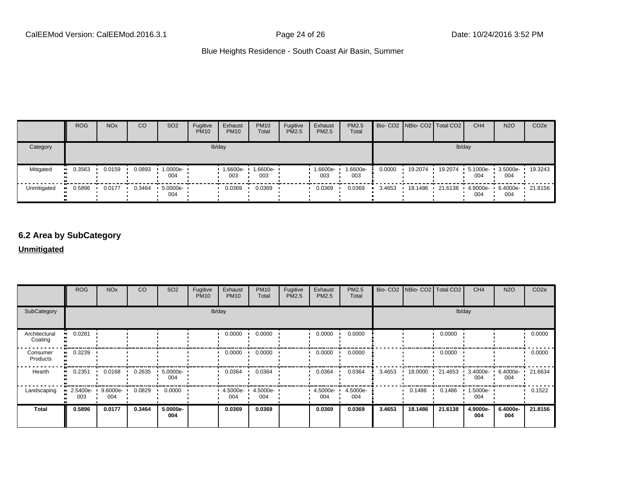|             | <b>ROG</b>            | <b>NO<sub>x</sub></b> | CO     | SO <sub>2</sub> | Fugitive<br><b>PM10</b> | Exhaust<br><b>PM10</b> | <b>PM10</b><br>Total | Fugitive<br>PM2.5 | Exhaust<br>PM2.5 | <b>PM2.5</b><br>Total |        | Bio- CO2   NBio- CO2   Total CO2 |         | CH <sub>4</sub>          | <b>N2O</b>      | CO <sub>2</sub> e |
|-------------|-----------------------|-----------------------|--------|-----------------|-------------------------|------------------------|----------------------|-------------------|------------------|-----------------------|--------|----------------------------------|---------|--------------------------|-----------------|-------------------|
| Category    |                       |                       |        |                 |                         | lb/day                 |                      |                   |                  |                       |        |                                  | lb/day  |                          |                 |                   |
| Mitigated   | $\blacksquare$ 0.3563 | 0.0159                | 0.0893 | 1.0000e-<br>004 |                         | 1.6600e-<br>003        | 1.6600e-<br>003      |                   | 1.6600e-<br>003  | 1.6600e-<br>003       | 0.0000 | 19.2074                          | 19.2074 | 5.1000e-<br>004          | 3.5000e-<br>004 | 19.3243           |
| Unmitigated | 0.5896<br>            | 0.0177                | 0.3464 | 5.0000e-<br>004 |                         | 0.0369                 | 0.0369               |                   | 0.0369           | 0.0369                | 3.4653 | 18.1486 ·                        |         | 21.6138  4.9000e-<br>004 | 6.4000e-<br>004 | ▪ 21.8156         |

# **6.2 Area by SubCategory**

## **Unmitigated**

|                          | <b>ROG</b>      | <b>NO<sub>x</sub></b> | CO     | SO <sub>2</sub> | Fugitive<br><b>PM10</b> | Exhaust<br><b>PM10</b> | <b>PM10</b><br>Total       | Fugitive<br>PM2.5 | Exhaust<br>PM2.5 | PM2.5<br>Total  |        | Bio- CO2   NBio- CO2   Total CO2 |         | CH <sub>4</sub>    | <b>N2O</b>      | CO <sub>2e</sub> |
|--------------------------|-----------------|-----------------------|--------|-----------------|-------------------------|------------------------|----------------------------|-------------------|------------------|-----------------|--------|----------------------------------|---------|--------------------|-----------------|------------------|
| SubCategory              |                 |                       |        |                 |                         | lb/day                 |                            |                   |                  |                 |        |                                  |         | lb/day             |                 |                  |
| Architectural<br>Coating | 0.0281          |                       |        |                 |                         | 0.0000                 | 0.0000                     |                   | 0.0000           | 0.0000          |        |                                  | 0.0000  |                    |                 | 0.0000           |
| Consumer<br>Products     | 0.3239          |                       |        |                 |                         | 0.0000                 | 0.0000                     |                   | 0.0000           | 0.0000          |        |                                  | 0.0000  |                    |                 | 0.0000           |
| Hearth                   | 0.2351          | 0.0168                | 0.2635 | 5.0000e-<br>004 |                         | 0.0364                 | 0.0364                     |                   | 0.0364           | 0.0364          | 3.4653 | 18.0000                          | 21.4653 | $3.4000e -$<br>004 | 6.4000e-<br>004 | 21.6634          |
| Landscaping              | 2.5400e-<br>003 | 9.6000e-<br>004       | 0.0829 | 0.0000          |                         | 004                    | 4.5000e- 1 4.5000e-<br>004 |                   | 4.5000e-<br>004  | 4.5000e-<br>004 |        | 0.1486                           | 0.1486  | 1.5000e-<br>004    |                 | 0.1522           |
| <b>Total</b>             | 0.5896          | 0.0177                | 0.3464 | 5.0000e-<br>004 |                         | 0.0369                 | 0.0369                     |                   | 0.0369           | 0.0369          | 3.4653 | 18.1486                          | 21.6138 | 4.9000e-<br>004    | 6.4000e-<br>004 | 21.8156          |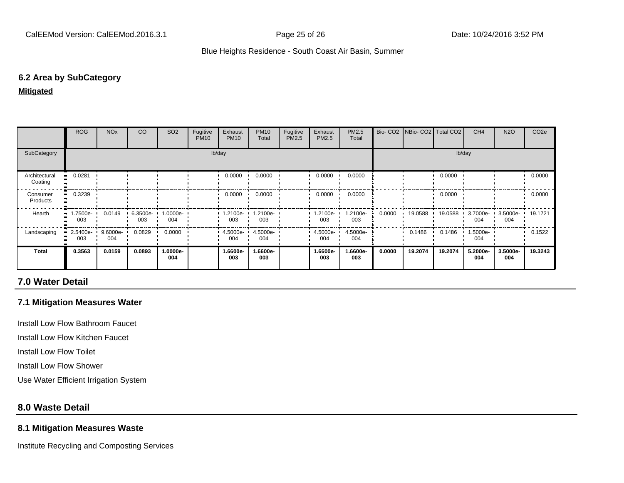#### **6.2 Area by SubCategory**

#### **Mitigated**

|                          | <b>ROG</b>                                    | <b>NO<sub>x</sub></b> | CO              | SO <sub>2</sub> | Fugitive<br><b>PM10</b> | Exhaust<br><b>PM10</b> | <b>PM10</b><br>Total     | Fugitive<br>PM2.5 | Exhaust<br>PM2.5  | <b>PM2.5</b><br>Total |        | Bio- CO2   NBio- CO2   Total CO2 |         | CH <sub>4</sub>    | <b>N2O</b>      | CO <sub>2e</sub> |
|--------------------------|-----------------------------------------------|-----------------------|-----------------|-----------------|-------------------------|------------------------|--------------------------|-------------------|-------------------|-----------------------|--------|----------------------------------|---------|--------------------|-----------------|------------------|
| SubCategory              |                                               |                       |                 |                 |                         | lb/day                 |                          |                   |                   |                       |        |                                  |         | lb/day             |                 |                  |
| Architectural<br>Coating | 0.0281<br>                                    |                       |                 |                 |                         | 0.0000                 | 0.0000                   |                   | 0.0000            | 0.0000                |        |                                  | 0.0000  |                    |                 | 0.0000           |
| Consumer<br>Products     | 0.3239                                        |                       |                 |                 |                         | 0.0000                 | 0.0000                   |                   | 0.0000            | 0.0000                |        |                                  | 0.0000  |                    |                 | 0.0000           |
| Hearth                   | $\blacksquare$ 1.7500e- $\blacksquare$<br>003 | 0.0149                | 6.3500e-<br>003 | --0000e<br>004  |                         | 003                    | 1.2100e- 1.2100e-<br>003 |                   | $.2100e -$<br>003 | 1.2100e-<br>003       | 0.0000 | 19.0588 ·                        | 19.0588 | $3.7000e -$<br>004 | 3.5000e-<br>004 | 19.1721          |
| Landscaping              | 2.5400e- ·<br>003                             | 9.6000e-<br>004       | 0.0829          | 0.0000          |                         | $4.5000e -$<br>004     | 4.5000e-<br>004          |                   | 4.5000e-<br>004   | 4.5000e-<br>004       |        | 0.1486                           | 0.1486  | 1.5000e-<br>004    |                 | 0.1522           |
| <b>Total</b>             | 0.3563                                        | 0.0159                | 0.0893          | -.0000e<br>004  |                         | 1.6600e-<br>003        | 1.6600e-<br>003          |                   | 1.6600e-<br>003   | 1.6600e-<br>003       | 0.0000 | 19.2074                          | 19.2074 | 5.2000e-<br>004    | 3.5000e-<br>004 | 19.3243          |

# **7.0 Water Detail**

## **7.1 Mitigation Measures Water**

Install Low Flow Bathroom Faucet

Install Low Flow Kitchen Faucet

Install Low Flow Toilet

Install Low Flow Shower

Use Water Efficient Irrigation System

## **8.0 Waste Detail**

#### **8.1 Mitigation Measures Waste**

Institute Recycling and Composting Services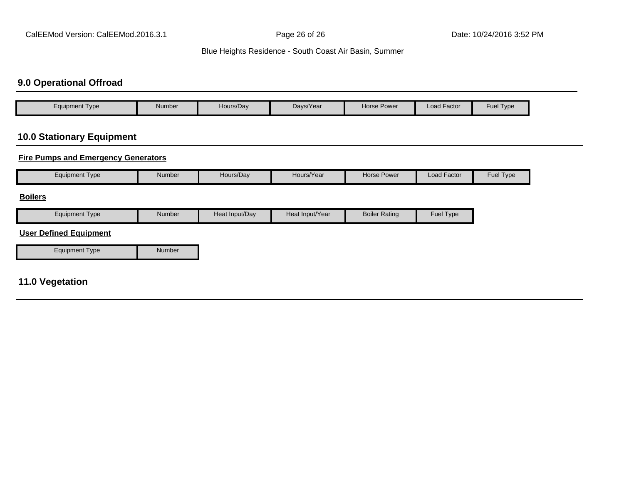# **9.0 Operational Offroad**

| $\epsilon$ quipment Type | Number | Hours/Day | Davs/Year | <b>Horse Power</b> | Load Factor | <b>Fuel Type</b> |
|--------------------------|--------|-----------|-----------|--------------------|-------------|------------------|

# **10.0 Stationary Equipment**

## **Fire Pumps and Emergency Generators**

| <b>Equipment Type</b>         | Number | Hours/Day      | Hours/Year      | <b>Horse Power</b>   | Load Factor | Fuel Type |
|-------------------------------|--------|----------------|-----------------|----------------------|-------------|-----------|
| <b>Boilers</b>                |        |                |                 |                      |             |           |
| <b>Equipment Type</b>         | Number | Heat Input/Day | Heat Input/Year | <b>Boiler Rating</b> | Fuel Type   |           |
| <b>User Defined Equipment</b> |        |                |                 |                      |             |           |
| <b>Equipment Type</b>         | Number |                |                 |                      |             |           |
| <b>11.0 Vegetation</b>        |        |                |                 |                      |             |           |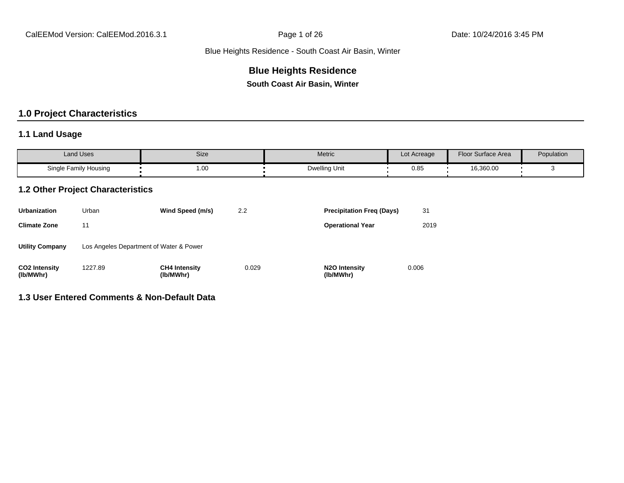# **Blue Heights Residence**

**South Coast Air Basin, Winter**

# **1.0 Project Characteristics**

## **1.1 Land Usage**

| Land Uses             | Size | Metric        | Lot Acreage | Floor Surface Area | Population |
|-----------------------|------|---------------|-------------|--------------------|------------|
| Single Family Housing | 1.00 | Dwelling Unit | 0.85        | 16,360.00          |            |

#### **1.2 Other Project Characteristics**

| <b>Urbanization</b>               | Urban                                   | Wind Speed (m/s)                  | 2.2   | <b>Precipitation Freg (Days)</b>        | 31    |
|-----------------------------------|-----------------------------------------|-----------------------------------|-------|-----------------------------------------|-------|
| <b>Climate Zone</b>               | 11                                      |                                   |       | <b>Operational Year</b>                 | 2019  |
| <b>Utility Company</b>            | Los Angeles Department of Water & Power |                                   |       |                                         |       |
| <b>CO2 Intensity</b><br>(lb/MWhr) | 1227.89                                 | <b>CH4 Intensity</b><br>(lb/MWhr) | 0.029 | N <sub>2</sub> O Intensity<br>(lb/MWhr) | 0.006 |

### **1.3 User Entered Comments & Non-Default Data**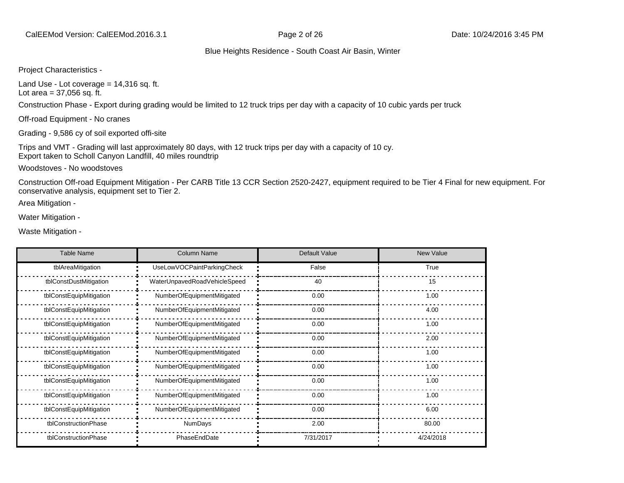Project Characteristics -

Land Use - Lot coverage  $= 14,316$  sq. ft. Lot area  $= 37,056$  sq. ft.

Construction Phase - Export during grading would be limited to 12 truck trips per day with a capacity of 10 cubic yards per truck

Off-road Equipment - No cranes

Grading - 9,586 cy of soil exported offi-site

Trips and VMT - Grading will last approximately 80 days, with 12 truck trips per day with a capacity of 10 cy. Export taken to Scholl Canyon Landfill, 40 miles roundtrip

Woodstoves - No woodstoves

Construction Off-road Equipment Mitigation - Per CARB Title 13 CCR Section 2520-2427, equipment required to be Tier 4 Final for new equipment. For conservative analysis, equipment set to Tier 2.

Area Mitigation -

Water Mitigation -

Waste Mitigation -

| <b>Table Name</b>       | <b>Column Name</b>           | Default Value | <b>New Value</b> |
|-------------------------|------------------------------|---------------|------------------|
| tblAreaMitigation       | UseLowVOCPaintParkingCheck   | False         | True             |
| tblConstDustMitigation  | WaterUnpavedRoadVehicleSpeed | 40            | 15               |
| tblConstEquipMitigation | NumberOfEquipmentMitigated   | 0.00          | 1.00             |
| tblConstEquipMitigation | NumberOfEquipmentMitigated   | 0.00          | 4.00             |
| tblConstEquipMitigation | NumberOfEquipmentMitigated   | 0.00          | 1.00             |
| tblConstEquipMitigation | NumberOfEquipmentMitigated   | 0.00          | 2.00             |
| tblConstEquipMitigation | NumberOfEquipmentMitigated   | 0.00          | 1.00             |
| tblConstEquipMitigation | NumberOfEquipmentMitigated   | 0.00          | 1.00             |
| tblConstEquipMitigation | NumberOfEquipmentMitigated   | 0.00          | 1.00             |
| tblConstEquipMitigation | NumberOfEquipmentMitigated   | 0.00          | 1.00             |
| tblConstEquipMitigation | NumberOfEquipmentMitigated   | 0.00          | 6.00             |
| tblConstructionPhase    | <b>NumDays</b>               | 2.00          | 80.00            |
| tblConstructionPhase    | PhaseEndDate                 | 7/31/2017     | 4/24/2018        |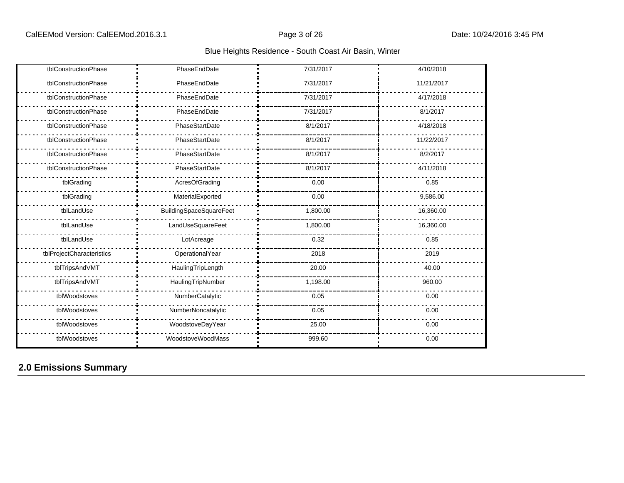| tblConstructionPhase      | PhaseEndDate                   | 7/31/2017 | 4/10/2018  |
|---------------------------|--------------------------------|-----------|------------|
| tblConstructionPhase      | PhaseEndDate                   | 7/31/2017 | 11/21/2017 |
| tblConstructionPhase      | PhaseEndDate                   | 7/31/2017 | 4/17/2018  |
| tblConstructionPhase      | PhaseEndDate                   | 7/31/2017 | 8/1/2017   |
| tblConstructionPhase      | PhaseStartDate                 | 8/1/2017  | 4/18/2018  |
| tblConstructionPhase      | PhaseStartDate                 | 8/1/2017  | 11/22/2017 |
| tblConstructionPhase      | PhaseStartDate                 | 8/1/2017  | 8/2/2017   |
| tblConstructionPhase      | PhaseStartDate                 | 8/1/2017  | 4/11/2018  |
| tblGrading                | AcresOfGrading                 | 0.00      | 0.85       |
| tblGrading                | MaterialExported               | 0.00      | 9,586.00   |
| tblLandUse                | <b>BuildingSpaceSquareFeet</b> | 1,800.00  | 16,360.00  |
| tblLandUse                | LandUseSquareFeet              | 1,800.00  | 16,360.00  |
| tblLandUse                | LotAcreage                     | 0.32      | 0.85       |
| tblProjectCharacteristics | OperationalYear                | 2018      | 2019       |
| tblTripsAndVMT            | HaulingTripLength              | 20.00     | 40.00      |
| tblTripsAndVMT            | HaulingTripNumber              | 1,198.00  | 960.00     |
| tblWoodstoves             | NumberCatalytic                | 0.05      | 0.00       |
| tblWoodstoves             | NumberNoncatalytic             | 0.05      | 0.00       |
| tblWoodstoves             | WoodstoveDayYear               | 25.00     | 0.00       |
| tblWoodstoves             | WoodstoveWoodMass              | 999.60    | 0.00       |

# **2.0 Emissions Summary**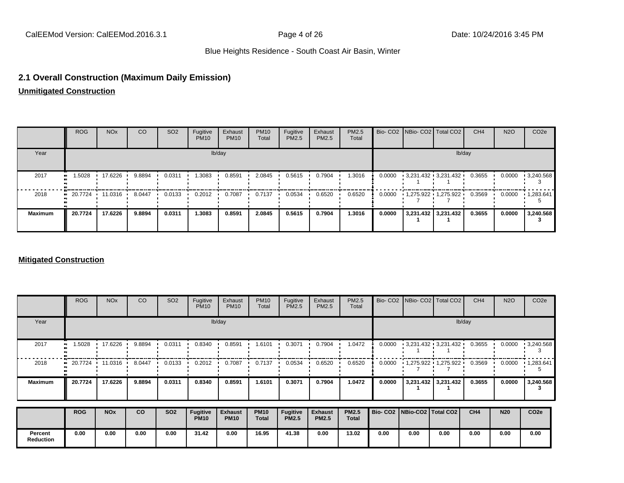## **2.1 Overall Construction (Maximum Daily Emission)**

**Unmitigated Construction**

|                | <b>ROG</b>                                                   | <b>NO<sub>x</sub></b> | CO     | SO <sub>2</sub> | Fugitive<br><b>PM10</b> | Exhaust<br><b>PM10</b> | <b>PM10</b><br>Total | Fugitive<br><b>PM2.5</b> | Exhaust<br>PM2.5 | PM2.5<br>Total |        | Bio- CO2   NBio- CO2   Total CO2 | CH <sub>4</sub> | <b>N2O</b> | CO <sub>2e</sub>  |
|----------------|--------------------------------------------------------------|-----------------------|--------|-----------------|-------------------------|------------------------|----------------------|--------------------------|------------------|----------------|--------|----------------------------------|-----------------|------------|-------------------|
| Year           |                                                              |                       |        |                 |                         | lb/day                 |                      |                          |                  |                |        | lb/day                           |                 |            |                   |
| 2017           | 1.5028<br>ш.                                                 | 17.6226               | 9.8894 | 0.0311          | 1.3083                  | 0.8591                 | 2.0845               | 0.5615                   | 0.7904           | 1.3016         | 0.0000 | $-3,231.432 - 3,231.432$         | 0.3655          | 0.0000     | $\cdot$ 3,240.568 |
| 2018           | $\blacksquare$ 20.7724 $\blacksquare$ 11.0316 $\blacksquare$ |                       | 8.0447 | 0.0133          | 0.2012                  | 0.7087                 | 0.7137               | 0.0534                   | 0.6520           | 0.6520         | 0.0000 | $1,275.922$ $1,275.922$          | 0.3569          | 0.0000     | $\cdot$ 1,283.641 |
| <b>Maximum</b> | 20.7724                                                      | 17.6226               | 9.8894 | 0.0311          | 1.3083                  | 0.8591                 | 2.0845               | 0.5615                   | 0.7904           | 1.3016         | 0.0000 | 3,231.432 3,231.432              | 0.3655          | 0.0000     | 3,240.568         |

#### **Mitigated Construction**

|                             | <b>ROG</b> | <b>NO<sub>x</sub></b> | CO        | SO <sub>2</sub> | Fugitive<br><b>PM10</b>        | Exhaust<br><b>PM10</b>        | <b>PM10</b><br>Total | Fugitive<br>PM2.5        | Exhaust<br><b>PM2.5</b>        | PM2.5<br>Total               |                                 | Bio- CO2 NBio- CO2 Total CO2 |                     | CH <sub>4</sub> | <b>N2O</b> | CO <sub>2</sub> e |
|-----------------------------|------------|-----------------------|-----------|-----------------|--------------------------------|-------------------------------|----------------------|--------------------------|--------------------------------|------------------------------|---------------------------------|------------------------------|---------------------|-----------------|------------|-------------------|
| Year                        |            |                       |           |                 |                                | lb/day                        |                      |                          |                                |                              |                                 |                              |                     | lb/day          |            |                   |
| 2017                        | 1.5028     | 17.6226               | 9.8894    | 0.0311          | 0.8340                         | 0.8591                        | 1.6101               | 0.3071                   | 0.7904                         | 1.0472                       | 0.0000                          | $-3,231.432 - 3,231.432$     |                     | 0.3655          | 0.0000     | $\cdot$ 3,240.568 |
| 2018                        |            | 20.7724 11.0316       | 8.0447    | 0.0133          | 0.2012                         | 0.7087                        | 0.7137               | 0.0534                   | 0.6520                         | 0.6520                       | 0.0000                          | $1,275.922$ $1,275.922$      |                     | 0.3569          | 0.0000     | 1,283.641         |
| <b>Maximum</b>              | 20.7724    | 17.6226               | 9.8894    | 0.0311          | 0.8340                         | 0.8591                        | 1.6101               | 0.3071                   | 0.7904                         | 1.0472                       | 0.0000                          |                              | 3,231.432 3,231.432 | 0.3655          | 0.0000     | 3,240.568         |
|                             | <b>ROG</b> | <b>NO<sub>x</sub></b> | <b>CO</b> | <b>SO2</b>      | <b>Fugitive</b><br><b>PM10</b> | <b>Exhaust</b><br><b>PM10</b> | <b>PM10</b><br>Total | Fugitive<br><b>PM2.5</b> | <b>Exhaust</b><br><b>PM2.5</b> | <b>PM2.5</b><br><b>Total</b> | Bio- CO2   NBio-CO2   Total CO2 |                              |                     | CH <sub>4</sub> | <b>N20</b> | CO <sub>2e</sub>  |
| Percent<br><b>Reduction</b> | 0.00       | 0.00                  | 0.00      | 0.00            | 31.42                          | 0.00                          | 16.95                | 41.38                    | 0.00                           | 13.02                        | 0.00                            | 0.00                         | 0.00                | 0.00            | 0.00       | 0.00              |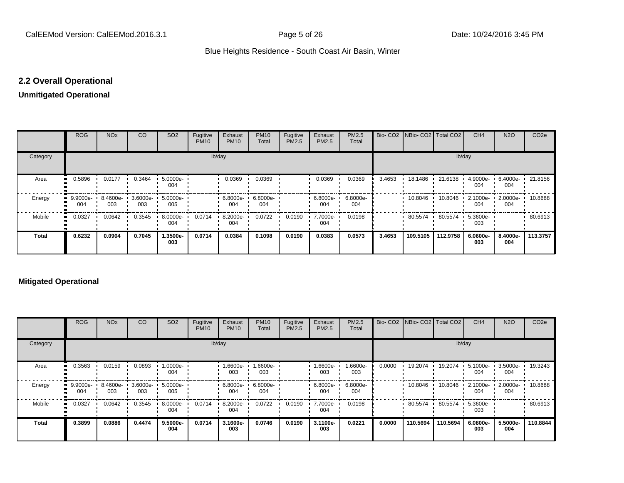# **2.2 Overall Operational**

# **Unmitigated Operational**

|              | <b>ROG</b>      | <b>NO<sub>x</sub></b> | CO                       | SO <sub>2</sub>  | Fugitive<br><b>PM10</b> | Exhaust<br><b>PM10</b> | <b>PM10</b><br>Total | Fugitive<br>PM2.5 | Exhaust<br>PM2.5   | PM2.5<br>Total  |        | Bio- CO2   NBio- CO2   Total CO2 |          | CH <sub>4</sub>    | <b>N2O</b>      | CO <sub>2e</sub> |
|--------------|-----------------|-----------------------|--------------------------|------------------|-------------------------|------------------------|----------------------|-------------------|--------------------|-----------------|--------|----------------------------------|----------|--------------------|-----------------|------------------|
| Category     |                 | lb/day                |                          |                  |                         |                        |                      |                   |                    |                 |        |                                  | lb/day   |                    |                 |                  |
| Area         | 0.5896          | 0.0177                | 0.3464                   | 5.0000e-<br>004  |                         | 0.0369                 | 0.0369               |                   | 0.0369             | 0.0369          | 3.4653 | 18.1486 ·                        | 21.6138  | 4.9000e-<br>004    | 6.4000e-<br>004 | 21.8156          |
| Energy       | 9.9000e-<br>004 | 003                   | 8.4600e- 3.6000e-<br>003 | 5.0000e ·<br>005 |                         | 6.8000e- '<br>004      | 6.8000e-<br>004      |                   | $6.8000e -$<br>004 | 6.8000e-<br>004 |        | $10.8046$ $\cdot$                | 10.8046  | $2.1000e -$<br>004 | 2.0000e-<br>004 | 10.8688          |
| Mobile       | 0.0327          | 0.0642                | 0.3545                   | 8.0000e-<br>004  | 0.0714                  | 8.2000e-<br>004        | 0.0722               | 0.0190            | 7.7000e-<br>004    | 0.0198          |        | 80.5574                          | 80.5574  | $5.3600e -$<br>003 |                 | 80.6913          |
| <b>Total</b> | 0.6232          | 0.0904                | 0.7045                   | 1.3500e-<br>003  | 0.0714                  | 0.0384                 | 0.1098               | 0.0190            | 0.0383             | 0.0573          | 3.4653 | 109.5105                         | 112.9758 | 6.0600e-<br>003    | 8.4000e-<br>004 | 113,3757         |

# **Mitigated Operational**

|              | <b>ROG</b>         | <b>NO<sub>x</sub></b> | CO     | SO <sub>2</sub>          | Fugitive<br><b>PM10</b> | Exhaust<br><b>PM10</b> | <b>PM10</b><br>Total | Fugitive<br>PM2.5 | Exhaust<br>PM2.5   | PM2.5<br>Total  |        |          | Bio- CO2 NBio- CO2 Total CO2 | CH <sub>4</sub> | <b>N2O</b>      | CO <sub>2e</sub> |
|--------------|--------------------|-----------------------|--------|--------------------------|-------------------------|------------------------|----------------------|-------------------|--------------------|-----------------|--------|----------|------------------------------|-----------------|-----------------|------------------|
| Category     |                    |                       |        |                          |                         | lb/day                 |                      |                   |                    |                 |        |          | lb/day                       |                 |                 |                  |
| Area         | 0.3563<br>         | 0.0159                | 0.0893 | 1.0000e-<br>004          |                         | 1.6600e-<br>003        | 1.6600e-<br>003      |                   | $1.6600e -$<br>003 | 1.6600e-<br>003 | 0.0000 | 19.2074  | 19.2074                      | 5.1000e-<br>004 | 3.5000e-<br>004 | 19.3243          |
| Energy       | $-9.9000e-$<br>004 | 8.4600e-<br>003       | 003    | 3.6000e- 5.0000e-<br>005 |                         | ∪ 6.8000e- ∪<br>004    | 6.8000e-<br>004      |                   | 6.8000e-<br>004    | 6.8000e-<br>004 |        | 10.8046  | 10.8046                      | 2.1000e-<br>004 | 2.0000e-<br>004 | 10.8688          |
| Mobile       | 0.0327             | 0.0642                | 0.3545 | 8.0000e-<br>004          | 0.0714                  | 8.2000e-<br>004        | 0.0722               | 0.0190            | 7.7000e-<br>004    | 0.0198          |        | 80.5574  | 80.5574                      | 5.3600e-<br>003 |                 | 80.6913          |
| <b>Total</b> | 0.3899             | 0.0886                | 0.4474 | $9.5000e-$<br>004        | 0.0714                  | 3.1600e-<br>003        | 0.0746               | 0.0190            | 3.1100e-<br>003    | 0.0221          | 0.0000 | 110.5694 | 110.5694                     | 6.0800e-<br>003 | 5.5000e-<br>004 | 110.8844         |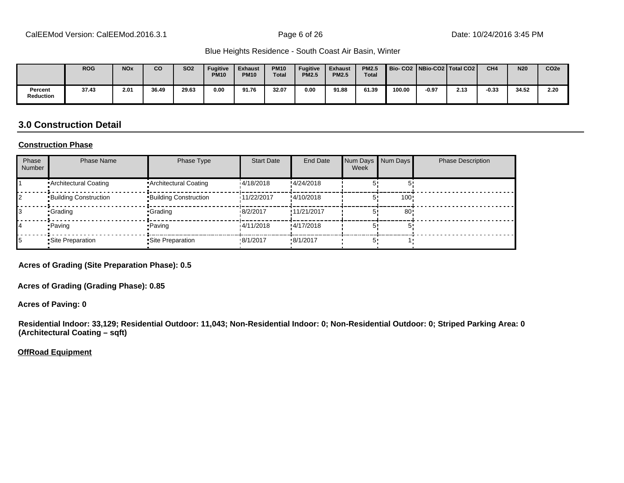|                      | <b>ROG</b> | <b>NO<sub>x</sub></b> | <b>CO</b> | <b>SO2</b> | <b>Fugitive</b><br><b>PM10</b> | <b>Exhaust</b><br><b>PM10</b> | <b>PM10</b><br><b>Total</b> | <b>Fugitive</b><br><b>PM2.5</b> | <b>Exhaust</b><br><b>PM2.5</b> | <b>PM2.5</b><br><b>Total</b> |        |         | Bio-CO2   NBio-CO2   Total CO2 | CH <sub>4</sub> | <b>N20</b> | CO <sub>2e</sub> |
|----------------------|------------|-----------------------|-----------|------------|--------------------------------|-------------------------------|-----------------------------|---------------------------------|--------------------------------|------------------------------|--------|---------|--------------------------------|-----------------|------------|------------------|
| Percent<br>Reduction | 37.43      | 2.01                  | 36.49     | 29.63      | 0.00                           | 91.76                         | 32.07                       | 0.00                            | 91.88                          | 61.39                        | 100.00 | $-0.97$ | 2.13                           | $-0.33$         | 34.52      | 2.20             |

# **3.0 Construction Detail**

#### **Construction Phase**

| Phase<br><b>Number</b> | <b>Phase Name</b>            | Phase Type                    | <b>Start Date</b> | <b>End Date</b>  | Num Days<br>Week | Num Days | <b>Phase Description</b> |
|------------------------|------------------------------|-------------------------------|-------------------|------------------|------------------|----------|--------------------------|
|                        | • Architectural Coating      | Architectural Coating         | 14/18/2018        | !4/24/2018       |                  |          |                          |
|                        | <b>Building Construction</b> | <b>•Building Construction</b> | 11/22/2017        | !4/10/2018       |                  | 100!     |                          |
|                        | •Grading                     | •Grading                      | 18/2/2017         | !11/21/2017      |                  | 80       |                          |
|                        | • Paving                     | • Paving                      | 14/11/2018        | !4/17/2018       |                  |          |                          |
|                        | Site Preparation             | • Site Preparation            | .8/1/2017         | $\cdot$ 8/1/2017 |                  |          |                          |

**Acres of Grading (Site Preparation Phase): 0.5**

**Acres of Grading (Grading Phase): 0.85**

**Acres of Paving: 0**

**Residential Indoor: 33,129; Residential Outdoor: 11,043; Non-Residential Indoor: 0; Non-Residential Outdoor: 0; Striped Parking Area: 0 (Architectural Coating – sqft)**

**OffRoad Equipment**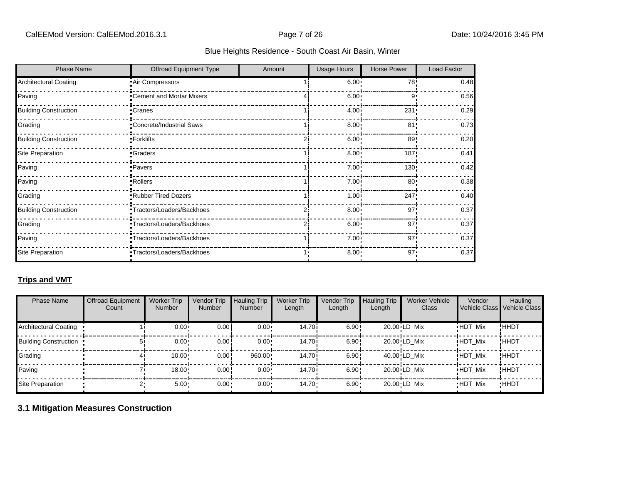| <b>Phase Name</b>            | Offroad Equipment Type     | Amount | <b>Usage Hours</b> | <b>Horse Power</b> | Load Factor |
|------------------------------|----------------------------|--------|--------------------|--------------------|-------------|
| <b>Architectural Coating</b> | Air Compressors            |        | $6.00 -$           | 78!                | 0.48        |
| Paving                       | Cement and Mortar Mixers   |        | 6.00               | 9'                 | 0.56        |
| <b>Building Construction</b> | •Cranes                    |        | $4.00 -$           | 231                | 0.29        |
| Grading                      | *Concrete/Industrial Saws  |        | $8.00 -$           | 81'                | 0.73        |
| <b>Building Construction</b> | •Forklifts                 |        | 6.00               | 89                 | 0.20        |
| <b>Site Preparation</b>      | •Graders                   |        | $8.00 -$           | 187!               | 0.41        |
| Paving                       | ·Pavers                    |        | $7.00 \cdot$       | 130!               | 0.42        |
| Paving                       | <b>Rollers</b>             |        | $7.00 \cdot$       | 80                 | 0.38        |
| Grading                      | Rubber Tired Dozers        |        | $1.00 -$           | 247!               | 0.40        |
| <b>Building Construction</b> | -Tractors/Loaders/Backhoes |        | $8.00 -$           | 97'                | 0.37        |
| Grading                      | Tractors/Loaders/Backhoes  |        | $6.00 -$           | 97'                | 0.37        |
| Paving                       | "Tractors/Loaders/Backhoes |        | $7.00 \cdot$       | 97'                | 0.37        |
| Site Preparation             | *Tractors/Loaders/Backhoes |        | $8.00 -$           | 97'                | 0.37        |

# **Trips and VMT**

| <b>Phase Name</b>            | <b>Offroad Equipment</b><br>Count | <b>Worker Trip</b><br><b>Number</b> | Vendor Trip<br><b>Number</b> | <b>Hauling Trip</b><br><b>Number</b> | <b>Worker Trip</b><br>Length | Vendor Trip<br>Length | <b>Hauling Trip</b><br>Length | <b>Worker Vehicle</b><br>Class           | Vendor         | Hauling<br>Vehicle Class Vehicle Class |
|------------------------------|-----------------------------------|-------------------------------------|------------------------------|--------------------------------------|------------------------------|-----------------------|-------------------------------|------------------------------------------|----------------|----------------------------------------|
| <b>Architectural Coating</b> |                                   | 0.00 <sub>1</sub>                   | 0.00                         | $0.00 \cdot$                         | 14.70i                       | 6.90!                 |                               | 20.00 LD Mix                             | <b>HDT Mix</b> | !HHDT                                  |
| <b>Building Construction</b> |                                   | 0.00 <sub>1</sub>                   | 0.00                         | $0.00 \cdot$                         | 14.70i                       | 6.90!                 |                               | 20.00 LD Mix                             | <b>HDT Mix</b> | ! ННОТ                                 |
| Grading                      |                                   | 10.00                               | 0.00                         | 960.00                               | 14.70i                       | 6.90!                 |                               | $40.00$ <sup><math>i</math></sup> LD Mix | <b>HDT Mix</b> | !HHDT                                  |
| Paving                       |                                   | 18.00                               | 0.00                         | 0.00                                 | 14.70i                       | 6.90!                 |                               | 20.00 LD Mix                             | <b>HDT Mix</b> | !HHDT                                  |
| Site Preparation             |                                   | $5.00 -$                            | $0.00 \cdot$                 | $0.00 \cdot$                         | 14.70                        | $6.90 \cdot$          |                               | 20.00 LD Mix                             | <b>HDT Mix</b> | <b>HHDT</b>                            |

# **3.1 Mitigation Measures Construction**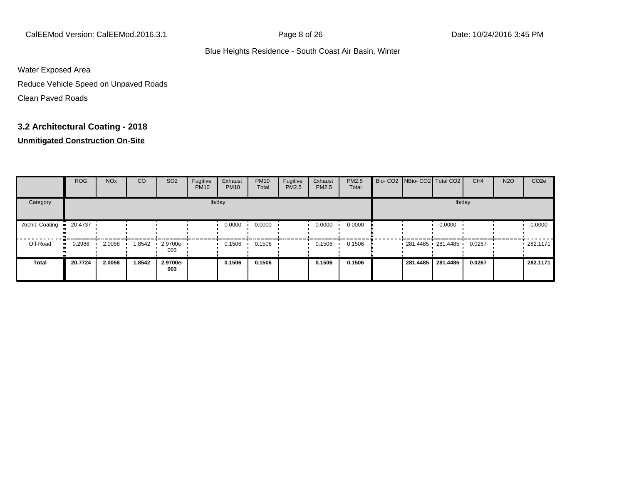CalEEMod Version: CalEEMod.2016.3.1 Page 8 of 26 Date: 10/24/2016 3:45 PM

#### Blue Heights Residence - South Coast Air Basin, Winter

Water Exposed Area

Reduce Vehicle Speed on Unpaved Roads

Clean Paved Roads

# **3.2 Architectural Coating - 2018**

|                 | <b>ROG</b> | <b>NO<sub>x</sub></b> | CO     | SO <sub>2</sub>    | Fugitive<br><b>PM10</b> | Exhaust<br><b>PM10</b> | <b>PM10</b><br>Total | Fugitive<br>PM2.5 | Exhaust<br>PM2.5 | PM2.5<br>Total |  | Bio- CO2 NBio- CO2 Total CO2 |          | CH <sub>4</sub> | <b>N2O</b> | CO <sub>2e</sub> |  |  |
|-----------------|------------|-----------------------|--------|--------------------|-------------------------|------------------------|----------------------|-------------------|------------------|----------------|--|------------------------------|----------|-----------------|------------|------------------|--|--|
| Category        | lb/day     |                       |        |                    |                         |                        |                      |                   |                  |                |  | lb/day                       |          |                 |            |                  |  |  |
| Archit. Coating | 20.4737    |                       |        |                    |                         | 0.0000                 | 0.0000               |                   | 0.0000           | 0.0000         |  |                              | 0.0000   |                 |            | 0.0000           |  |  |
| Off-Road        | 0.2986     | 2.0058                | 1.8542 | $-2.9700e-$<br>003 |                         | 0.1506                 | 0.1506               |                   | 0.1506           | 0.1506         |  | $-281.4485 - 281.4485$       |          | 0.0267          |            | 282.1171         |  |  |
| <b>Total</b>    | 20.7724    | 2.0058                | 1.8542 | 2.9700e-<br>003    |                         | 0.1506                 | 0.1506               |                   | 0.1506           | 0.1506         |  | 281.4485                     | 281.4485 | 0.0267          |            | 282.1171         |  |  |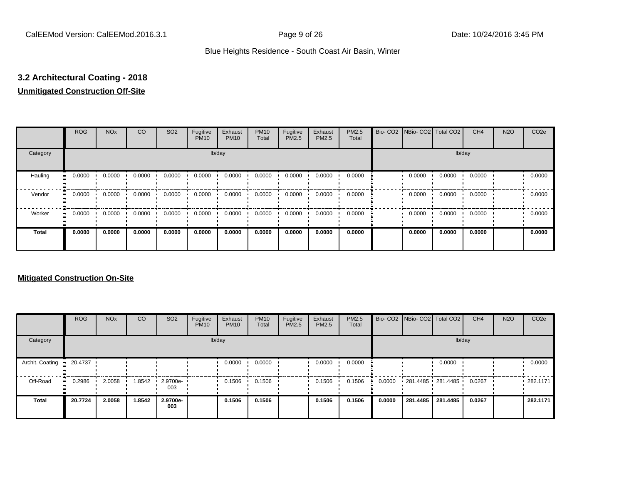# **3.2 Architectural Coating - 2018**

# **Unmitigated Construction Off-Site**

|                             | <b>ROG</b> | <b>NO<sub>x</sub></b> | CO     | SO <sub>2</sub> | Fugitive<br><b>PM10</b> | Exhaust<br><b>PM10</b> | <b>PM10</b><br>Total | Fugitive<br><b>PM2.5</b> | Exhaust<br>PM2.5 | <b>PM2.5</b><br>Total | Bio- CO2   NBio- CO2   Total CO2 |        | CH <sub>4</sub> | <b>N2O</b> | CO <sub>2e</sub> |
|-----------------------------|------------|-----------------------|--------|-----------------|-------------------------|------------------------|----------------------|--------------------------|------------------|-----------------------|----------------------------------|--------|-----------------|------------|------------------|
| Category                    |            |                       |        |                 | lb/day                  |                        |                      |                          |                  |                       |                                  |        |                 |            |                  |
| Hauling<br>$\bullet\bullet$ | 0.0000     | 0.0000                | 0.0000 | 0.0000          | 0.0000                  | 0.0000                 | 0.0000               | 0.0000                   | 0.0000           | 0.0000                | 0.0000                           | 0.0000 | 0.0000          |            | 0.0000           |
| Vendor<br>$\bullet\bullet$  | 0.0000     | 0.0000                | 0.0000 | 0.0000          | 0.0000                  | 0.0000                 | 0.0000               | 0.0000                   | 0.0000           | 0.0000                | 0.0000                           | 0.0000 | 0.0000          |            | 0.0000           |
| Worker<br>$\bullet\bullet$  | 0.0000     | 0.0000                | 0.0000 | 0.0000          | 0.0000                  | 0.0000                 | 0.0000               | 0.0000                   | 0.0000           | 0.0000                | 0.0000                           | 0.0000 | 0.0000          |            | 0.0000           |
| Total                       | 0.0000     | 0.0000                | 0.0000 | 0.0000          | 0.0000                  | 0.0000                 | 0.0000               | 0.0000                   | 0.0000           | 0.0000                | 0.0000                           | 0.0000 | 0.0000          |            | 0.0000           |

|                 | <b>ROG</b> | <b>NO<sub>x</sub></b> | CO     | SO <sub>2</sub>                 | Fugitive<br><b>PM10</b> | Exhaust<br><b>PM10</b> | <b>PM10</b><br>Total | Fugitive<br><b>PM2.5</b> | Exhaust<br><b>PM2.5</b> | PM2.5<br>Total |        |          | Bio- CO2   NBio- CO2   Total CO2 | CH <sub>4</sub> | <b>N2O</b> | CO <sub>2e</sub> |
|-----------------|------------|-----------------------|--------|---------------------------------|-------------------------|------------------------|----------------------|--------------------------|-------------------------|----------------|--------|----------|----------------------------------|-----------------|------------|------------------|
| Category        |            |                       |        |                                 |                         | lb/day                 |                      |                          |                         |                |        |          | lb/day                           |                 |            |                  |
| Archit. Coating | 20.4737    |                       |        |                                 |                         | 0.0000                 | 0.0000               |                          | 0.0000                  | 0.0000         |        |          | 0.0000                           |                 |            | 0.0000           |
| Off-Road        | 0.2986     | 2.0058                | 1.8542 | $\cdot$ 2.9700e- $\cdot$<br>003 |                         | 0.1506                 | 0.1506               |                          | 0.1506                  | 0.1506         | 0.0000 |          | 281.4485 281.4485                | 0.0267          |            | .282.1171        |
| Total           | 20.7724    | 2.0058                | 1.8542 | 2.9700e-<br>003                 |                         | 0.1506                 | 0.1506               |                          | 0.1506                  | 0.1506         | 0.0000 | 281.4485 | 281.4485                         | 0.0267          |            | 282.1171         |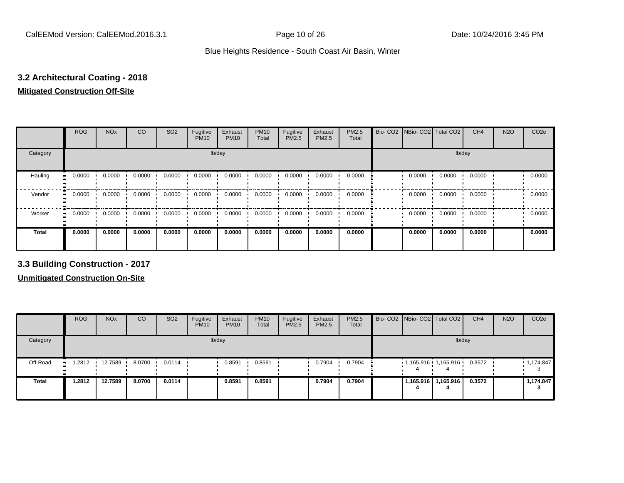# **3.2 Architectural Coating - 2018**

#### **Mitigated Construction Off-Site**

|                             | <b>ROG</b>                 | <b>NO<sub>x</sub></b> | CO     | SO <sub>2</sub> | Fugitive<br><b>PM10</b> | Exhaust<br><b>PM10</b> | <b>PM10</b><br>Total | Fugitive<br>PM2.5 | Exhaust<br>PM2.5 | PM2.5<br>Total |  | Bio- CO2   NBio- CO2   Total CO2 |        | CH <sub>4</sub> | <b>N2O</b> | CO <sub>2e</sub> |
|-----------------------------|----------------------------|-----------------------|--------|-----------------|-------------------------|------------------------|----------------------|-------------------|------------------|----------------|--|----------------------------------|--------|-----------------|------------|------------------|
| Category                    |                            |                       |        |                 | lb/day                  | lb/day                 |                      |                   |                  |                |  |                                  |        |                 |            |                  |
| Hauling<br>$\bullet\bullet$ | 0.0000                     | 0.0000                | 0.0000 | 0.0000          | 0.0000                  | 0.0000                 | 0.0000               | 0.0000            | 0.0000           | 0.0000         |  | 0.0000                           | 0.0000 | 0.0000          |            | 0.0000           |
| Vendor                      | 0.0000<br>$\bullet\bullet$ | 0.0000                | 0.0000 | 0.0000          | 0.0000                  | 0.0000                 | 0.0000               | 0.0000            | 0.0000           | 0.0000         |  | 0.0000                           | 0.0000 | 0.0000          |            | 0.0000           |
| Worker                      | 0.0000<br>$\bullet\bullet$ | 0.0000                | 0.0000 | 0.0000          | 0.0000                  | 0.0000                 | 0.0000               | 0.0000            | 0.0000           | 0.0000         |  | 0.0000                           | 0.0000 | 0.0000          |            | 0.0000           |
| <b>Total</b>                | 0.0000                     | 0.0000                | 0.0000 | 0.0000          | 0.0000                  | 0.0000                 | 0.0000               | 0.0000            | 0.0000           | 0.0000         |  | 0.0000                           | 0.0000 | 0.0000          |            | 0.0000           |

**3.3 Building Construction - 2017**

|              | <b>ROG</b>   | <b>NO<sub>x</sub></b> | <b>CO</b> | SO <sub>2</sub>  | Fugitive<br><b>PM10</b> | Exhaust<br><b>PM10</b> | <b>PM10</b><br>Total | Fugitive<br><b>PM2.5</b> | Exhaust<br>PM2.5 | <b>PM2.5</b><br>Total |  |  | Bio- CO2 NBio- CO2 Total CO2 | CH <sub>4</sub> | <b>N2O</b> | CO <sub>2e</sub> |
|--------------|--------------|-----------------------|-----------|------------------|-------------------------|------------------------|----------------------|--------------------------|------------------|-----------------------|--|--|------------------------------|-----------------|------------|------------------|
| Category     |              | lb/day                |           |                  |                         |                        |                      |                          |                  |                       |  |  | lb/day                       |                 |            |                  |
| Off-Road     | 1.2812<br>ш. | 12.7589               | 8.0700    | $0.0114$ $\cdot$ |                         | 0.8591                 | 0.8591               |                          | 0.7904           | 0.7904                |  |  | $1,165.916$ $1,165.916$      | 0.3572          |            | 1,174.847        |
| <b>Total</b> | 1.2812       | 12.7589               | 8.0700    | 0.0114           |                         | 0.8591                 | 0.8591               |                          | 0.7904           | 0.7904                |  |  | 1,165.916   1,165.916        | 0.3572          |            | 1,174.847        |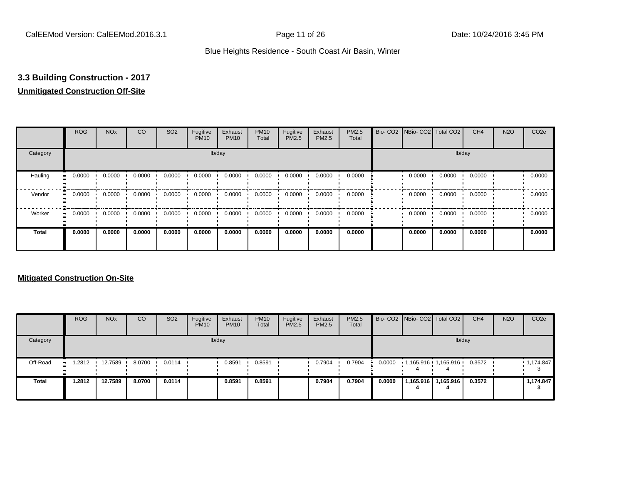## **3.3 Building Construction - 2017**

## **Unmitigated Construction Off-Site**

|                             | <b>ROG</b>                 | <b>NO<sub>x</sub></b> | CO     | SO <sub>2</sub> | Fugitive<br><b>PM10</b> | Exhaust<br><b>PM10</b> | <b>PM10</b><br>Total | Fugitive<br><b>PM2.5</b> | Exhaust<br>PM2.5 | <b>PM2.5</b><br>Total | Bio- CO2   NBio- CO2   Total CO2 |        | CH <sub>4</sub> | <b>N2O</b> | CO <sub>2e</sub> |
|-----------------------------|----------------------------|-----------------------|--------|-----------------|-------------------------|------------------------|----------------------|--------------------------|------------------|-----------------------|----------------------------------|--------|-----------------|------------|------------------|
| Category                    |                            |                       |        |                 | lb/day                  |                        |                      |                          |                  |                       |                                  | lb/day |                 |            |                  |
| Hauling<br>$\bullet\bullet$ | 0.0000                     | 0.0000                | 0.0000 | 0.0000          | 0.0000                  | 0.0000                 | 0.0000               | 0.0000                   | 0.0000           | 0.0000                | 0.0000                           | 0.0000 | 0.0000          |            | 0.0000           |
| Vendor                      | 0.0000<br>$\bullet\bullet$ | 0.0000                | 0.0000 | 0.0000          | 0.0000                  | 0.0000                 | 0.0000               | 0.0000                   | 0.0000           | 0.0000                | 0.0000                           | 0.0000 | 0.0000          |            | 0.0000           |
| Worker                      | 0.0000<br>$\bullet$        | 0.0000                | 0.0000 | 0.0000          | 0.0000                  | 0.0000                 | 0.0000               | 0.0000                   | 0.0000           | 0.0000                | 0.0000                           | 0.0000 | 0.0000          |            | 0.0000           |
| Total                       | 0.0000                     | 0.0000                | 0.0000 | 0.0000          | 0.0000                  | 0.0000                 | 0.0000               | 0.0000                   | 0.0000           | 0.0000                | 0.0000                           | 0.0000 | 0.0000          |            | 0.0000           |

|              | <b>ROG</b>          | <b>NO<sub>x</sub></b> | CO     | SO <sub>2</sub> | Fugitive<br><b>PM10</b> | Exhaust<br><b>PM10</b> | <b>PM10</b><br>Total | Fugitive<br><b>PM2.5</b> | Exhaust<br><b>PM2.5</b> | <b>PM2.5</b><br>Total |        | Bio- CO2 NBio- CO2 Total CO2 | CH <sub>4</sub> | <b>N2O</b> | CO <sub>2e</sub> |
|--------------|---------------------|-----------------------|--------|-----------------|-------------------------|------------------------|----------------------|--------------------------|-------------------------|-----------------------|--------|------------------------------|-----------------|------------|------------------|
| Category     |                     |                       |        |                 |                         | lb/day                 |                      |                          |                         |                       |        |                              | lb/day          |            |                  |
| Off-Road     | 1.2812<br>$\bullet$ | 12.7589               | 8.0700 | 0.0114          |                         | 0.8591                 | 0.8591               |                          | 0.7904                  | 0.7904                | 0.0000 | 1,165.916 1,165.916          | 0.3572          |            | 1,174.847        |
| <b>Total</b> | 1.2812              | 12.7589               | 8.0700 | 0.0114          |                         | 0.8591                 | 0.8591               |                          | 0.7904                  | 0.7904                | 0.0000 | 1,165.916   1,165.916        | 0.3572          |            | 1,174.847        |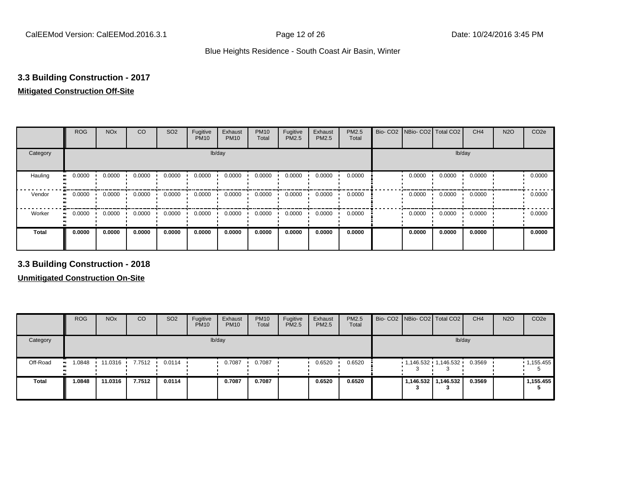## **3.3 Building Construction - 2017**

#### **Mitigated Construction Off-Site**

|              | <b>ROG</b>          | <b>NO<sub>x</sub></b> | CO     | SO <sub>2</sub> | Fugitive<br><b>PM10</b> | Exhaust<br><b>PM10</b> | <b>PM10</b><br>Total | Fugitive<br>PM2.5 | Exhaust<br>PM2.5 | PM2.5<br>Total | Bio- CO2   NBio- CO2   Total CO2 |        | CH <sub>4</sub> | <b>N2O</b> | CO <sub>2e</sub> |
|--------------|---------------------|-----------------------|--------|-----------------|-------------------------|------------------------|----------------------|-------------------|------------------|----------------|----------------------------------|--------|-----------------|------------|------------------|
| Category     |                     |                       |        |                 | lb/day                  |                        |                      |                   |                  |                |                                  | lb/day |                 |            |                  |
| Hauling      | 0.0000<br>ш.        | 0.0000                | 0.0000 | 0.0000          | 0.0000                  | 0.0000                 | 0.0000               | 0.0000            | 0.0000           | 0.0000         | 0.0000                           | 0.0000 | 0.0000          |            | 0.0000           |
| Vendor       | 0.0000<br>$\bullet$ | 0.0000                | 0.0000 | 0.0000          | 0.0000                  | 0.0000                 | 0.0000               | 0.0000            | 0.0000           | 0.0000         | 0.0000                           | 0.0000 | 0.0000          |            | 0.0000           |
| Worker       | 0.0000<br>ш.        | 0.0000                | 0.0000 | 0.0000          | 0.0000                  | 0.0000                 | 0.0000               | 0.0000            | 0.0000           | 0.0000         | 0.0000                           | 0.0000 | 0.0000          |            | 0.0000           |
| <b>Total</b> | 0.0000              | 0.0000                | 0.0000 | 0.0000          | 0.0000                  | 0.0000                 | 0.0000               | 0.0000            | 0.0000           | 0.0000         | 0.0000                           | 0.0000 | 0.0000          |            | 0.0000           |

**3.3 Building Construction - 2018**

|              | <b>ROG</b>   | <b>NO<sub>x</sub></b> | <b>CO</b> | SO <sub>2</sub> | Fugitive<br><b>PM10</b> | Exhaust<br><b>PM10</b> | <b>PM10</b><br>Total | Fugitive<br>PM2.5 | Exhaust<br>PM2.5 | <b>PM2.5</b><br>Total | Bio- CO2 NBio- CO2 Total CO2 |                     | CH <sub>4</sub> | <b>N2O</b> | CO <sub>2e</sub> |
|--------------|--------------|-----------------------|-----------|-----------------|-------------------------|------------------------|----------------------|-------------------|------------------|-----------------------|------------------------------|---------------------|-----------------|------------|------------------|
| Category     |              |                       |           |                 |                         | lb/day                 |                      |                   |                  |                       |                              | lb/day              |                 |            |                  |
| Off-Road     | 1.0848<br>ш. | 11.0316               | 7.7512    | 0.0114          |                         | 0.7087                 | 0.7087               |                   | 0.6520           | 0.6520                | $1,146.532$ $1,146.532$      |                     | 0.3569          |            | 1,155.455        |
| <b>Total</b> | 1.0848       | 11.0316               | 7.7512    | 0.0114          |                         | 0.7087                 | 0.7087               |                   | 0.6520           | 0.6520                |                              | 1,146.532 1,146.532 | 0.3569          |            | 1,155.455        |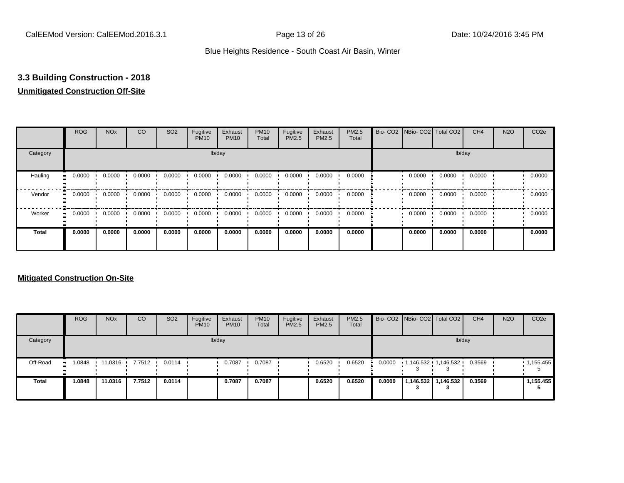## **3.3 Building Construction - 2018**

## **Unmitigated Construction Off-Site**

|                      | <b>ROG</b>          | <b>NO<sub>x</sub></b> | CO     | SO <sub>2</sub> | Fugitive<br><b>PM10</b> | Exhaust<br><b>PM10</b> | <b>PM10</b><br>Total | Fugitive<br><b>PM2.5</b> | Exhaust<br>PM2.5 | PM2.5<br>Total | Bio- CO2   NBio- CO2   Total CO2 |        | CH <sub>4</sub> | <b>N2O</b> | CO <sub>2e</sub> |
|----------------------|---------------------|-----------------------|--------|-----------------|-------------------------|------------------------|----------------------|--------------------------|------------------|----------------|----------------------------------|--------|-----------------|------------|------------------|
| Category             |                     |                       |        |                 |                         | lb/day                 |                      |                          |                  |                |                                  |        | lb/day          |            |                  |
| Hauling<br>$\bullet$ | 0.0000              | 0.0000                | 0.0000 | 0.0000          | 0.0000                  | 0.0000                 | 0.0000               | 0.0000                   | 0.0000           | 0.0000         | 0.0000                           | 0.0000 | 0.0000          |            | 0.0000           |
| Vendor               | 0.0000<br>$\bullet$ | 0.0000                | 0.0000 | 0.0000          | 0.0000                  | 0.0000                 | 0.0000               | 0.0000                   | 0.0000           | 0.0000         | 0.0000                           | 0.0000 | 0.0000          |            | 0.0000           |
| Worker<br>$\bullet$  | 0.0000              | 0.0000                | 0.0000 | 0.0000          | 0.0000                  | 0.0000                 | 0.0000               | 0.0000                   | 0.0000           | 0.0000         | 0.0000                           | 0.0000 | 0.0000          |            | 0.0000           |
| Total                | 0.0000              | 0.0000                | 0.0000 | 0.0000          | 0.0000                  | 0.0000                 | 0.0000               | 0.0000                   | 0.0000           | 0.0000         | 0.0000                           | 0.0000 | 0.0000          |            | 0.0000           |

|              | <b>ROG</b> | <b>NO<sub>x</sub></b> | CO               | SO <sub>2</sub>  | Fugitive<br><b>PM10</b> | Exhaust<br><b>PM10</b> | <b>PM10</b><br>Total | Fugitive<br>PM2.5 | Exhaust<br><b>PM2.5</b> | <b>PM2.5</b><br>Total |        | Bio- CO2 NBio- CO2 Total CO2 | CH <sub>4</sub> | <b>N2O</b> | CO <sub>2e</sub> |
|--------------|------------|-----------------------|------------------|------------------|-------------------------|------------------------|----------------------|-------------------|-------------------------|-----------------------|--------|------------------------------|-----------------|------------|------------------|
| Category     |            |                       |                  |                  |                         | lb/day                 |                      |                   |                         |                       |        | lb/day                       |                 |            |                  |
| Off-Road     | 1.0848     | 11.0316               | $7.7512$ $\cdot$ | $0.0114$ $\cdot$ |                         | 0.7087                 | 0.7087               |                   | 0.6520                  | 0.6520                | 0.0000 | 1,146.532 1,146.532          | 0.3569          |            | 1,155.455        |
| <b>Total</b> | 1.0848     | 11.0316               | 7.7512           | 0.0114           |                         | 0.7087                 | 0.7087               |                   | 0.6520                  | 0.6520                | 0.0000 | 1,146.532   1,146.532        | 0.3569          |            | 1.155.455        |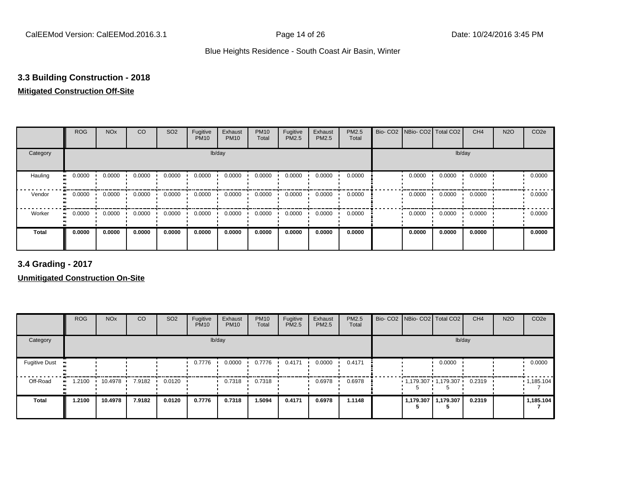## **3.3 Building Construction - 2018**

## **Mitigated Construction Off-Site**

|              | <b>ROG</b>                 | <b>NO<sub>x</sub></b> | CO     | SO <sub>2</sub> | Fugitive<br><b>PM10</b> | Exhaust<br><b>PM10</b> | <b>PM10</b><br>Total | Fugitive<br>PM2.5 | Exhaust<br>PM2.5 | PM2.5<br>Total | Bio- CO2   NBio- CO2   Total CO2 |        | CH <sub>4</sub> | <b>N2O</b> | CO <sub>2e</sub> |
|--------------|----------------------------|-----------------------|--------|-----------------|-------------------------|------------------------|----------------------|-------------------|------------------|----------------|----------------------------------|--------|-----------------|------------|------------------|
| Category     |                            |                       |        |                 | lb/day                  |                        |                      |                   |                  |                |                                  |        | lb/day          |            |                  |
| Hauling      | 0.0000<br>$\bullet\bullet$ | 0.0000                | 0.0000 | 0.0000          | 0.0000                  | 0.0000                 | 0.0000               | 0.0000            | 0.0000           | 0.0000         | 0.0000                           | 0.0000 | 0.0000          |            | 0.0000           |
| Vendor       | 0.0000<br>$\bullet\bullet$ | 0.0000                | 0.0000 | 0.0000          | 0.0000                  | 0.0000                 | 0.0000               | 0.0000            | 0.0000           | 0.0000         | 0.0000                           | 0.0000 | 0.0000          |            | 0.0000           |
| Worker       | 0.0000<br>$\bullet$        | 0.0000                | 0.0000 | 0.0000          | 0.0000                  | 0.0000                 | 0.0000               | 0.0000            | 0.0000           | 0.0000         | 0.0000                           | 0.0000 | 0.0000          |            | 0.0000           |
| <b>Total</b> | 0.0000                     | 0.0000                | 0.0000 | 0.0000          | 0.0000                  | 0.0000                 | 0.0000               | 0.0000            | 0.0000           | 0.0000         | 0.0000                           | 0.0000 | 0.0000          |            | 0.0000           |

**3.4 Grading - 2017**

|                      | <b>ROG</b>       | <b>NO<sub>x</sub></b> | CO     | SO <sub>2</sub> | Fugitive<br><b>PM10</b> | Exhaust<br><b>PM10</b> | <b>PM10</b><br>Total | Fugitive<br>PM2.5 | Exhaust<br><b>PM2.5</b> | <b>PM2.5</b><br>Total |  | Bio- CO2 NBio- CO2 Total CO2 | CH <sub>4</sub> | <b>N2O</b> | CO <sub>2e</sub> |
|----------------------|------------------|-----------------------|--------|-----------------|-------------------------|------------------------|----------------------|-------------------|-------------------------|-----------------------|--|------------------------------|-----------------|------------|------------------|
| Category             |                  |                       |        |                 |                         | lb/day                 |                      |                   |                         |                       |  | lb/day                       |                 |            |                  |
| <b>Fugitive Dust</b> | $\bullet\bullet$ |                       |        |                 | 0.7776                  | 0.0000                 | 0.7776               | 0.4171            | 0.0000                  | 0.4171                |  | 0.0000                       |                 |            | 0.0000           |
| Off-Road             | 1.2100<br>ш.     | 10.4978 ·             | 7.9182 | 0.0120          |                         | 0.7318                 | 0.7318               |                   | 0.6978                  | 0.6978                |  | 1,179.307 1,179.307 0.2319   |                 |            | 1,185.104        |
| <b>Total</b>         | 1.2100           | 10.4978               | 7.9182 | 0.0120          | 0.7776                  | 0.7318                 | 1.5094               | 0.4171            | 0.6978                  | 1.1148                |  | 1,179.307   1,179.307        | 0.2319          |            | 1,185.104        |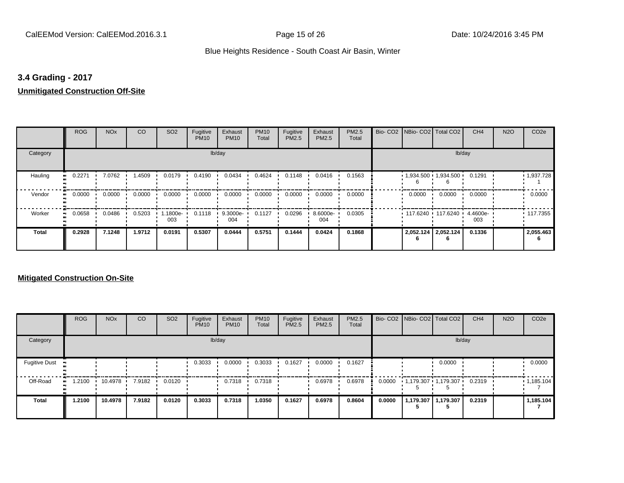## **3.4 Grading - 2017**

## **Unmitigated Construction Off-Site**

|              | <b>ROG</b>                 | <b>NO<sub>x</sub></b> | CO     | SO <sub>2</sub> | Fugitive<br><b>PM10</b> | Exhaust<br><b>PM10</b> | <b>PM10</b><br>Total | Fugitive<br>PM2.5 | Exhaust<br>PM2.5 | PM2.5<br>Total | Bio- CO2   NBio- CO2   Total CO2 |        | CH <sub>4</sub> | <b>N2O</b> | CO <sub>2e</sub> |
|--------------|----------------------------|-----------------------|--------|-----------------|-------------------------|------------------------|----------------------|-------------------|------------------|----------------|----------------------------------|--------|-----------------|------------|------------------|
| Category     |                            |                       |        |                 |                         | lb/day                 |                      |                   |                  |                |                                  |        | lb/day          |            |                  |
| Hauling      | 0.2271<br>$\bullet\bullet$ | 7.0762                | 1.4509 | 0.0179          | 0.4190                  | 0.0434                 | 0.4624               | 0.1148            | 0.0416           | 0.1563         | $1,934.500$ $1,934.500$          |        | 0.1291          |            | 1,937.728        |
| Vendor       | 0.0000<br>$\bullet\bullet$ | 0.0000                | 0.0000 | 0.0000          | 0.0000                  | 0.0000                 | 0.0000               | 0.0000            | 0.0000           | 0.0000         | 0.0000                           | 0.0000 | 0.0000          |            | 0.0000           |
| Worker       | 0.0658<br>$\bullet\bullet$ | 0.0486                | 0.5203 | 1.1800e-<br>003 | 0.1118                  | 9.3000e-<br>004        | 0.1127               | 0.0296            | 8.6000e-<br>004  | 0.0305         | $117.6240$ 117.6240              |        | 4.4600e-<br>003 |            | $+117.7355$      |
| <b>Total</b> | 0.2928                     | 7.1248                | 1.9712 | 0.0191          | 0.5307                  | 0.0444                 | 0.5751               | 0.1444            | 0.0424           | 0.1868         | 2,052.124 2,052.124              |        | 0.1336          |            | 2,055.463        |

|                      | <b>ROG</b>  | <b>NO<sub>x</sub></b> | CO     | SO <sub>2</sub> | Fugitive<br><b>PM10</b> | Exhaust<br><b>PM10</b> | <b>PM10</b><br>Total | Fugitive<br>PM2.5 | Exhaust<br>PM2.5 | PM2.5<br>Total |        | Bio- CO2   NBio- CO2   Total CO2 |                     | CH <sub>4</sub> | <b>N2O</b> | CO <sub>2e</sub> |
|----------------------|-------------|-----------------------|--------|-----------------|-------------------------|------------------------|----------------------|-------------------|------------------|----------------|--------|----------------------------------|---------------------|-----------------|------------|------------------|
| Category             |             |                       |        |                 |                         | lb/day                 |                      |                   |                  |                |        |                                  | lb/day              |                 |            |                  |
| <b>Fugitive Dust</b> |             |                       |        |                 | 0.3033                  | 0.0000                 | 0.3033               | 0.1627            | 0.0000           | 0.1627         |        |                                  | 0.0000              |                 |            | 0.0000           |
| Off-Road             | .2100<br>ш. | 10.4978               | 7.9182 | 0.0120          |                         | 0.7318                 | 0.7318               |                   | 0.6978           | 0.6978         | 0.0000 | 1,179.307 1,179.307              |                     | 0.2319          |            | 1,185.104        |
| Total                | 1.2100      | 10.4978               | 7.9182 | 0.0120          | 0.3033                  | 0.7318                 | 1.0350               | 0.1627            | 0.6978           | 0.8604         | 0.0000 |                                  | 1,179.307 1,179.307 | 0.2319          |            | 1,185.104        |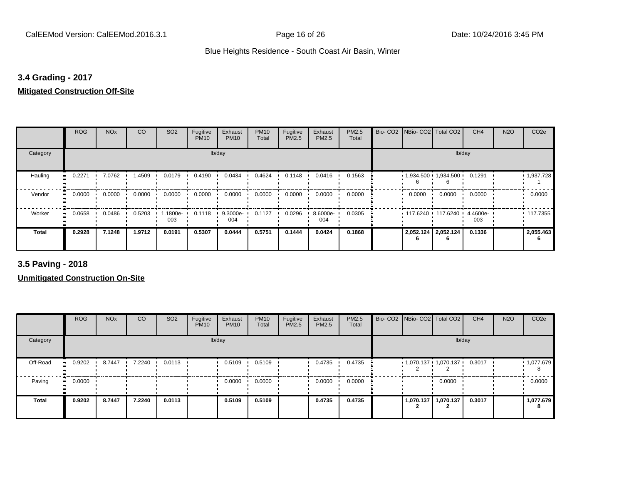## **3.4 Grading - 2017**

### **Mitigated Construction Off-Site**

|                            | <b>ROG</b> | <b>NO<sub>x</sub></b> | CO     | SO <sub>2</sub> | Fugitive<br><b>PM10</b> | Exhaust<br><b>PM10</b> | <b>PM10</b><br>Total | Fugitive<br>PM2.5 | Exhaust<br>PM2.5 | PM2.5<br>Total | Bio- CO2   NBio- CO2   Total CO2 |                     | CH <sub>4</sub> | <b>N2O</b> | CO <sub>2e</sub> |
|----------------------------|------------|-----------------------|--------|-----------------|-------------------------|------------------------|----------------------|-------------------|------------------|----------------|----------------------------------|---------------------|-----------------|------------|------------------|
| Category                   |            |                       |        |                 |                         | lb/day                 |                      |                   |                  |                |                                  |                     | lb/day          |            |                  |
| Hauling<br>$\bullet$       | 0.2271     | 7.0762                | 1.4509 | 0.0179          | 0.4190                  | 0.0434                 | 0.4624               | 0.1148            | 0.0416           | 0.1563         | $1,934.500$ 1,934.500            |                     | 0.1291          |            | 1,937.728        |
| Vendor<br>$\bullet$        | 0.0000     | 0.0000                | 0.0000 | 0.0000          | 0.0000                  | 0.0000                 | 0.0000               | 0.0000            | 0.0000           | 0.0000         | 0.0000                           | 0.0000              | 0.0000          |            | 0.0000           |
| Worker<br>$\bullet\bullet$ | 0.0658     | 0.0486                | 0.5203 | 1.1800e-<br>003 | 0.1118                  | 9.3000e-<br>004        | 0.1127               | 0.0296            | 8.6000e-<br>004  | 0.0305         | 117.6240 117.6240                |                     | 4.4600e-<br>003 |            | $+117.7355$      |
| <b>Total</b>               | 0.2928     | 7.1248                | 1.9712 | 0.0191          | 0.5307                  | 0.0444                 | 0.5751               | 0.1444            | 0.0424           | 0.1868         |                                  | 2,052.124 2,052.124 | 0.1336          |            | 2,055.463        |

**3.5 Paving - 2018**

|              | <b>ROG</b> | <b>NO<sub>x</sub></b> | CO     | SO <sub>2</sub> | Fugitive<br><b>PM10</b> | Exhaust<br><b>PM10</b> | <b>PM10</b><br>Total | Fugitive<br>PM2.5 | Exhaust<br><b>PM2.5</b> | PM2.5<br>Total | Bio- CO2 NBio- CO2 Total CO2   |                       | CH <sub>4</sub> | <b>N2O</b> | CO <sub>2e</sub> |
|--------------|------------|-----------------------|--------|-----------------|-------------------------|------------------------|----------------------|-------------------|-------------------------|----------------|--------------------------------|-----------------------|-----------------|------------|------------------|
| Category     |            |                       |        |                 |                         | lb/day                 |                      |                   |                         |                |                                | lb/day                |                 |            |                  |
| Off-Road     | 0.9202     | 8.7447                | 7.2240 | 0.0113          |                         | 0.5109                 | 0.5109               |                   | 0.4735                  | 0.4735         | $1,070.137$ $1,070.137$ 0.3017 |                       |                 |            | • 1,077.679      |
| Paving       | 0.0000     |                       |        |                 |                         | 0.0000                 | 0.0000               |                   | 0.0000                  | 0.0000         |                                | 0.0000                |                 |            | 0.0000           |
| <b>Total</b> | 0.9202     | 8.7447                | 7.2240 | 0.0113          |                         | 0.5109                 | 0.5109               |                   | 0.4735                  | 0.4735         |                                | 1,070.137   1,070.137 | 0.3017          |            | 1,077.679        |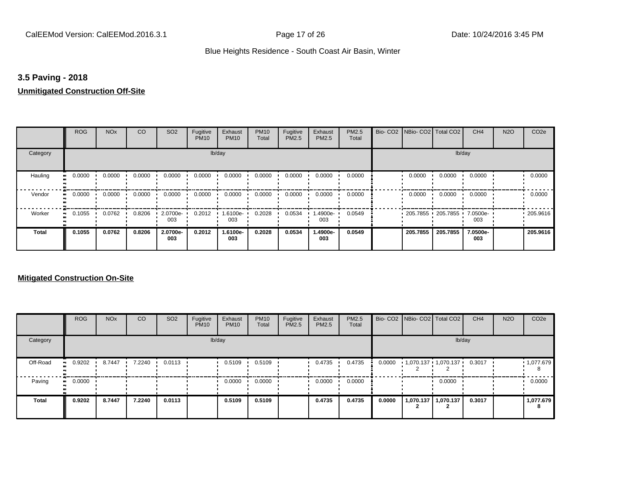## **3.5 Paving - 2018**

#### **Unmitigated Construction Off-Site**

|          | <b>ROG</b>                 | <b>NO<sub>x</sub></b> | CO     | SO <sub>2</sub> | Fugitive<br><b>PM10</b> | Exhaust<br><b>PM10</b> | <b>PM10</b><br>Total | Fugitive<br>PM2.5 | Exhaust<br>PM2.5 | PM2.5<br>Total | Bio- CO2   NBio- CO2   Total CO2 |          | CH <sub>4</sub> | <b>N2O</b> | CO <sub>2e</sub> |
|----------|----------------------------|-----------------------|--------|-----------------|-------------------------|------------------------|----------------------|-------------------|------------------|----------------|----------------------------------|----------|-----------------|------------|------------------|
| Category |                            |                       |        |                 |                         | lb/day                 |                      |                   |                  |                |                                  |          | lb/day          |            |                  |
| Hauling  | 0.0000<br>$\bullet\bullet$ | 0.0000                | 0.0000 | 0.0000          | 0.0000                  | 0.0000                 | 0.0000               | 0.0000            | 0.0000           | 0.0000         | 0.0000                           | 0.0000   | 0.0000          |            | 0.0000           |
| Vendor   | 0.0000<br>$\bullet\bullet$ | 0.0000                | 0.0000 | 0.0000          | 0.0000                  | 0.0000                 | 0.0000               | 0.0000            | 0.0000           | 0.0000         | 0.0000                           | 0.0000   | 0.0000          |            | 0.0000           |
| Worker   | 0.1055<br>$\bullet$        | 0.0762                | 0.8206 | 2.0700e-<br>003 | 0.2012                  | 1.6100e-<br>003        | 0.2028               | 0.0534            | .4900e-<br>003   | 0.0549         | $-205.7855 - 205.7855 - 7.0500e$ |          | 003             |            | .205.9616        |
| Total    | 0.1055                     | 0.0762                | 0.8206 | 2.0700e-<br>003 | 0.2012                  | 1.6100e-<br>003        | 0.2028               | 0.0534            | 1.4900e-<br>003  | 0.0549         | 205.7855                         | 205.7855 | 7.0500e-<br>003 |            | 205.9616         |

|          | <b>ROG</b>   | <b>NO<sub>x</sub></b> | CO     | SO <sub>2</sub> | Fugitive<br><b>PM10</b> | Exhaust<br><b>PM10</b> | <b>PM10</b><br>Total | Fugitive<br>PM2.5 | Exhaust<br><b>PM2.5</b> | PM2.5<br>Total |        | Bio- CO2 NBio- CO2 Total CO2 |           | CH <sub>4</sub> | <b>N2O</b> | CO <sub>2e</sub> |
|----------|--------------|-----------------------|--------|-----------------|-------------------------|------------------------|----------------------|-------------------|-------------------------|----------------|--------|------------------------------|-----------|-----------------|------------|------------------|
| Category |              |                       |        |                 |                         | lb/day                 |                      |                   |                         |                |        |                              |           | lb/day          |            |                  |
| Off-Road | 0.9202<br>ш. | 8.7447                | 7.2240 | 0.0113          |                         | 0.5109                 | 0.5109               |                   | 0.4735                  | 0.4735         | 0.0000 | 1,070.137 1,070.137          |           | 0.3017          |            | 1,077.679<br>-8  |
| Paving   | 0.0000<br>ш. |                       |        |                 |                         | 0.0000                 | 0.0000               |                   | 0.0000                  | 0.0000         |        |                              | 0.0000    |                 |            | 0.0000           |
| Total    | 0.9202       | 8.7447                | 7.2240 | 0.0113          |                         | 0.5109                 | 0.5109               |                   | 0.4735                  | 0.4735         | 0.0000 | 1,070.137                    | 1,070.137 | 0.3017          |            | 1,077.679<br>8   |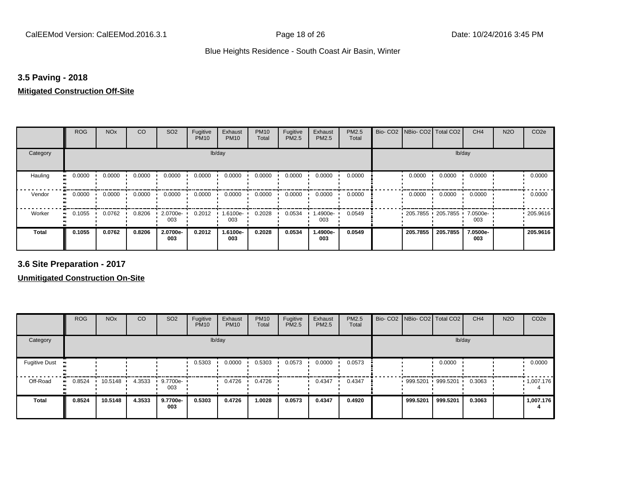## **3.5 Paving - 2018**

#### **Mitigated Construction Off-Site**

|                     | <b>ROG</b> | <b>NO<sub>x</sub></b> | CO     | SO <sub>2</sub> | Fugitive<br><b>PM10</b> | Exhaust<br><b>PM10</b> | <b>PM10</b><br>Total | Fugitive<br>PM2.5 | Exhaust<br>PM2.5 | PM2.5<br>Total | Bio- CO2   NBio- CO2   Total CO2 |          | CH <sub>4</sub> | <b>N2O</b> | CO <sub>2e</sub> |
|---------------------|------------|-----------------------|--------|-----------------|-------------------------|------------------------|----------------------|-------------------|------------------|----------------|----------------------------------|----------|-----------------|------------|------------------|
| Category            |            |                       |        |                 | lb/day                  |                        |                      |                   |                  |                |                                  | lb/day   |                 |            |                  |
| Hauling             | 0.0000     | 0.0000                | 0.0000 | 0.0000          | 0.0000                  | 0.0000                 | 0.0000               | 0.0000            | 0.0000           | 0.0000         | 0.0000                           | 0.0000   | 0.0000          |            | 0.0000           |
| Vendor<br>$\bullet$ | 0.0000     | 0.0000                | 0.0000 | 0.0000          | 0.0000                  | 0.0000                 | 0.0000               | 0.0000            | 0.0000           | 0.0000         | 0.0000                           | 0.0000   | 0.0000          |            | 0.0000           |
| Worker              | 0.1055     | 0.0762                | 0.8206 | 2.0700e-<br>003 | 0.2012                  | 1.6100e-<br>003        | 0.2028               | 0.0534            | .4900e-<br>003   | 0.0549         | 205.7855 205.7855                |          | 7.0500e-<br>003 |            | .205.9616        |
| <b>Total</b>        | 0.1055     | 0.0762                | 0.8206 | 2.0700e-<br>003 | 0.2012                  | 1.6100e-<br>003        | 0.2028               | 0.0534            | 1.4900e-<br>003  | 0.0549         | 205.7855                         | 205.7855 | 7.0500e-<br>003 |            | 205.9616         |

**3.6 Site Preparation - 2017**

|                      | <b>ROG</b>          | <b>NO<sub>x</sub></b> | CO     | SO <sub>2</sub> | Fugitive<br><b>PM10</b> | Exhaust<br><b>PM10</b> | <b>PM10</b><br>Total | Fugitive<br><b>PM2.5</b> | Exhaust<br>PM2.5 | PM2.5<br>Total | Bio- CO2 NBio- CO2 Total CO2 |          | CH <sub>4</sub> | <b>N2O</b> | CO <sub>2e</sub> |
|----------------------|---------------------|-----------------------|--------|-----------------|-------------------------|------------------------|----------------------|--------------------------|------------------|----------------|------------------------------|----------|-----------------|------------|------------------|
| Category             |                     |                       |        |                 |                         | lb/day                 |                      |                          |                  |                |                              | lb/day   |                 |            |                  |
| <b>Fugitive Dust</b> |                     |                       |        |                 | 0.5303                  | 0.0000                 | 0.5303               | 0.0573                   | 0.0000           | 0.0573         |                              | 0.0000   |                 |            | 0.0000           |
| Off-Road             | 0.8524<br>$\bullet$ | 10.5148               | 4.3533 | 9.7700e-<br>003 |                         | 0.4726                 | 0.4726               |                          | 0.4347           | 0.4347         | 999.5201 999.5201            |          | 0.3063          |            | .1,007.176       |
| <b>Total</b>         | 0.8524              | 10.5148               | 4.3533 | 9.7700e-<br>003 | 0.5303                  | 0.4726                 | 1.0028               | 0.0573                   | 0.4347           | 0.4920         | 999.5201                     | 999.5201 | 0.3063          |            | 1,007.176        |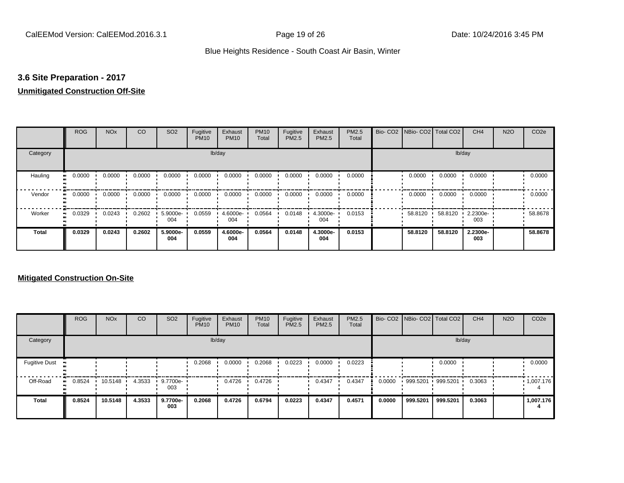## **3.6 Site Preparation - 2017**

## **Unmitigated Construction Off-Site**

|                            | <b>ROG</b> | <b>NO<sub>x</sub></b> | CO     | SO <sub>2</sub> | Fugitive<br><b>PM10</b> | Exhaust<br><b>PM10</b> | <b>PM10</b><br>Total | Fugitive<br>PM2.5 | Exhaust<br>PM2.5 | PM2.5<br>Total | Bio- CO2   NBio- CO2   Total CO2 |         | CH <sub>4</sub> | <b>N2O</b> | CO <sub>2e</sub> |
|----------------------------|------------|-----------------------|--------|-----------------|-------------------------|------------------------|----------------------|-------------------|------------------|----------------|----------------------------------|---------|-----------------|------------|------------------|
| Category                   |            |                       |        |                 |                         | lb/day                 |                      |                   |                  |                |                                  |         | lb/day          |            |                  |
| Hauling<br>$\bullet$       | 0.0000     | 0.0000                | 0.0000 | 0.0000          | 0.0000                  | 0.0000                 | 0.0000               | 0.0000            | 0.0000           | 0.0000         | 0.0000                           | 0.0000  | 0.0000          |            | 0.0000           |
| Vendor<br>$\bullet\bullet$ | 0.0000     | 0.0000                | 0.0000 | 0.0000          | 0.0000                  | 0.0000                 | 0.0000               | 0.0000            | 0.0000           | 0.0000         | 0.0000                           | 0.0000  | 0.0000          |            | 0.0000           |
| Worker<br>$\bullet\bullet$ | 0.0329     | 0.0243                | 0.2602 | 5.9000e-<br>004 | 0.0559                  | 4.6000e-<br>004        | 0.0564               | 0.0148            | 4.3000e-<br>004  | 0.0153         | 58.8120                          | 58.8120 | 2.2300e-<br>003 |            | 58.8678          |
| <b>Total</b>               | 0.0329     | 0.0243                | 0.2602 | 5.9000e-<br>004 | 0.0559                  | 4.6000e-<br>004        | 0.0564               | 0.0148            | 4.3000e-<br>004  | 0.0153         | 58.8120                          | 58.8120 | 2.2300e-<br>003 |            | 58,8678          |

|                      | <b>ROG</b>   | <b>NO<sub>x</sub></b> | <b>CO</b> | SO <sub>2</sub> | Fugitive<br><b>PM10</b> | Exhaust<br><b>PM10</b> | <b>PM10</b><br>Total | Fugitive<br>PM2.5 | Exhaust<br><b>PM2.5</b> | PM2.5<br>Total |        |                   | Bio- CO2   NBio- CO2   Total CO2 | CH <sub>4</sub> | <b>N2O</b> | CO <sub>2e</sub> |
|----------------------|--------------|-----------------------|-----------|-----------------|-------------------------|------------------------|----------------------|-------------------|-------------------------|----------------|--------|-------------------|----------------------------------|-----------------|------------|------------------|
| Category             |              |                       |           |                 |                         | lb/day                 |                      |                   |                         |                |        |                   | lb/day                           |                 |            |                  |
| <b>Fugitive Dust</b> |              |                       |           |                 | 0.2068                  | 0.0000                 | 0.2068               | 0.0223            | 0.0000                  | 0.0223         |        |                   | 0.0000                           |                 |            | 0.0000           |
| Off-Road             | 0.8524<br>ш. | 10.5148               | 4.3533    | 9.7700e-<br>003 |                         | 0.4726                 | 0.4726               |                   | 0.4347                  | 0.4347         | 0.0000 | 999.5201 999.5201 |                                  | 0.3063          |            | 1,007.176        |
| Total                | 0.8524       | 10.5148               | 4.3533    | 9.7700e-<br>003 | 0.2068                  | 0.4726                 | 0.6794               | 0.0223            | 0.4347                  | 0.4571         | 0.0000 | 999.5201          | 999.5201                         | 0.3063          |            | 1,007.176        |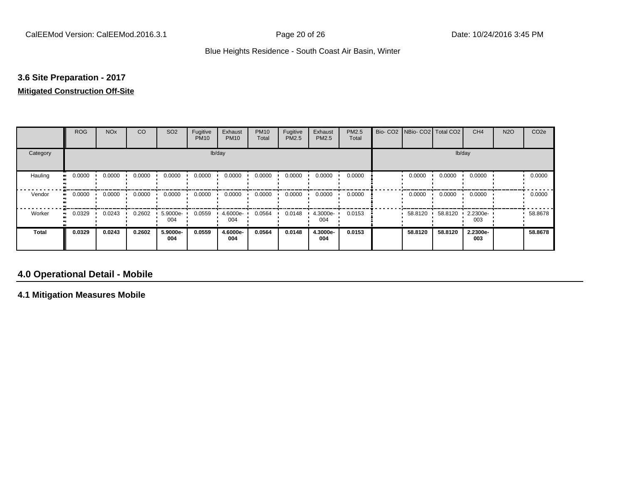## **3.6 Site Preparation - 2017**

#### **Mitigated Construction Off-Site**

|                            | <b>ROG</b>          | <b>NO<sub>x</sub></b> | CO     | SO <sub>2</sub> | Fugitive<br><b>PM10</b> | Exhaust<br><b>PM10</b> | <b>PM10</b><br>Total | Fugitive<br>PM2.5 | Exhaust<br>PM2.5 | PM2.5<br>Total | Bio- CO2   NBio- CO2   Total CO2 |         | CH <sub>4</sub> | <b>N2O</b> | CO <sub>2e</sub> |
|----------------------------|---------------------|-----------------------|--------|-----------------|-------------------------|------------------------|----------------------|-------------------|------------------|----------------|----------------------------------|---------|-----------------|------------|------------------|
| Category                   |                     |                       |        |                 |                         | lb/day                 |                      |                   |                  |                |                                  |         | lb/day          |            |                  |
| Hauling<br>$\bullet$       | 0.0000              | 0.0000                | 0.0000 | 0.0000          | 0.0000                  | 0.0000                 | 0.0000               | 0.0000            | 0.0000           | 0.0000         | 0.0000                           | 0.0000  | 0.0000          |            | 0.0000           |
| Vendor                     | 0.0000<br>$\bullet$ | 0.0000                | 0.0000 | 0.0000          | 0.0000                  | 0.0000                 | 0.0000               | 0.0000            | 0.0000           | 0.0000         | 0.0000                           | 0.0000  | 0.0000          |            | 0.0000           |
| Worker<br>$\bullet\bullet$ | 0.0329              | 0.0243                | 0.2602 | 5.9000e-<br>004 | 0.0559                  | 4.6000e-<br>004        | 0.0564               | 0.0148            | 4.3000e-<br>004  | 0.0153         | 58.8120 ·                        | 58.8120 | 2.2300e-<br>003 |            | 58.8678          |
| <b>Total</b>               | 0.0329              | 0.0243                | 0.2602 | 5.9000e-<br>004 | 0.0559                  | 4.6000e-<br>004        | 0.0564               | 0.0148            | 4.3000e-<br>004  | 0.0153         | 58.8120                          | 58.8120 | 2.2300e-<br>003 |            | 58.8678          |

## **4.0 Operational Detail - Mobile**

**4.1 Mitigation Measures Mobile**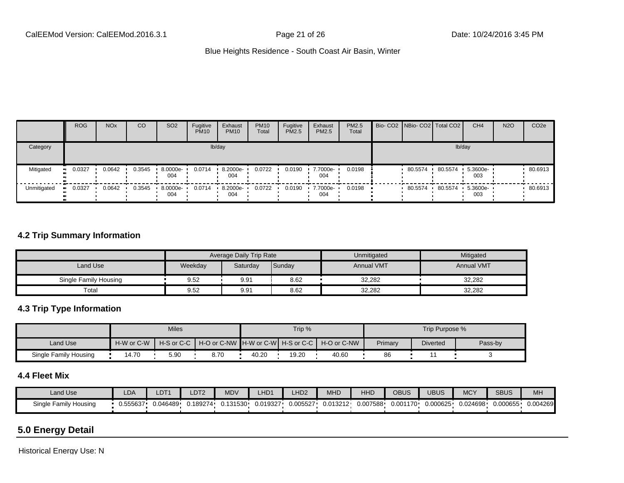|                  | <b>ROG</b>           | <b>NO<sub>x</sub></b> | CO     | SO <sub>2</sub> | Fugitive<br><b>PM10</b> | Exhaust<br><b>PM10</b> | <b>PM10</b><br>Total | Fugitive<br><b>PM2.5</b> | Exhaust<br>PM2.5 | <b>PM2.5</b><br>Total | Bio- CO2 NBio- CO2 Total CO2 |         | CH <sub>4</sub>         | <b>N2O</b> | CO <sub>2e</sub> |
|------------------|----------------------|-----------------------|--------|-----------------|-------------------------|------------------------|----------------------|--------------------------|------------------|-----------------------|------------------------------|---------|-------------------------|------------|------------------|
| Category         |                      |                       |        |                 |                         | lb/day                 |                      |                          |                  |                       |                              |         | lb/day                  |            |                  |
| Mitigated        | 0.0327<br><b>ALC</b> | 0.0642                | 0.3545 | 8.0000e-<br>004 | 0.0714                  | 8.2000e-<br>004        | 0.0722               | 0.0190                   | 7.7000e-<br>004  | 0.0198                | 80.5574                      | 80.5574 | 5.3600e-<br>003         |            | 80.6913          |
| Unmitigated<br>ш | 0.0327               | 0.0642                | 0.3545 | 8.0000e-<br>004 | 0.0714                  | 8.2000e-<br>004        | 0.0722               | 0.0190                   | 7.7000e-<br>004  | 0.0198                | 80.5574                      | 80.5574 | $+ 5.3600e^{-1}$<br>003 |            | 80.6913          |

## **4.2 Trip Summary Information**

|                       |         | <b>Average Daily Trip Rate</b> |        | Unmitigated       | Mitigated         |
|-----------------------|---------|--------------------------------|--------|-------------------|-------------------|
| Land Use              | Weekday | Saturday                       | Sunday | <b>Annual VMT</b> | <b>Annual VMT</b> |
| Single Family Housing | 9.52    | 9.91                           | 8.62   | 32,282            | 32,282            |
| Total                 | 9.52    | 9.91                           | 8.62   | 32,282            | 32,282            |

## **4.3 Trip Type Information**

|                       |            | <b>Miles</b>               |                                                     |       | Trip % |       |         | Trip Purpose %  |         |
|-----------------------|------------|----------------------------|-----------------------------------------------------|-------|--------|-------|---------|-----------------|---------|
| Land Use              | H-W or C-W | $H-S$ or $C-C$ $\parallel$ | │ H-O or C-NW ┃H-W or C-W┃ H-S or C-C ┃ H-O or C-NW |       |        |       | Primary | <b>Diverted</b> | Pass-by |
| Single Family Housing | 4.70       | 5.90                       | 8.70                                                | 40.20 | 19.20  | 40.60 | 86      |                 |         |

#### **4.4 Fleet Mix**

| Land Use                     | LDA      | LDT1     | LDT <sub>2</sub> | <b>MDV</b> | HD <sup>2</sup> | LHD <sub>2</sub> | AA1<br>MHD | HHD      | OBUS      | <b>UBUS</b> | <b>MCY</b> | <b>SBUS</b> | MH       |
|------------------------------|----------|----------|------------------|------------|-----------------|------------------|------------|----------|-----------|-------------|------------|-------------|----------|
| Single Family I<br>/ Housing | J.555637 | 0.046489 | 0.189274         | .131530    | 0.019327        | 0.005527         | J.013212   | 0.007588 | י0.001170 | 0.000625    | 024698.ر   | 0.000655    | 0.004269 |

# **5.0 Energy Detail**

Historical Energy Use: N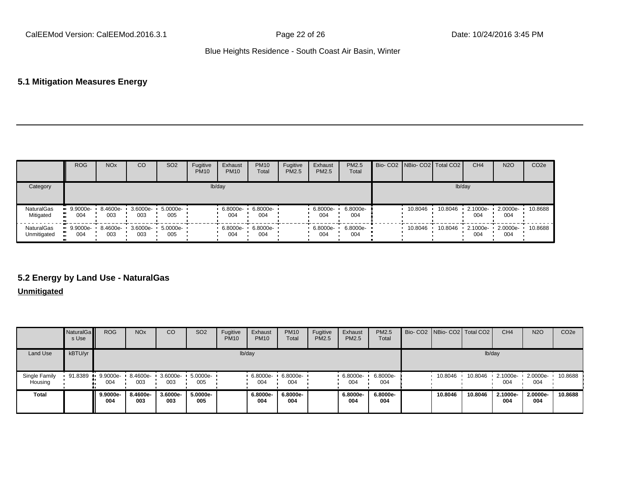## **5.1 Mitigation Measures Energy**

|                                  | <b>ROG</b>         | <b>NO<sub>x</sub></b> | CO  | SO <sub>2</sub>                   | Fugitive<br><b>PM10</b> | Exhaust<br><b>PM10</b> | <b>PM10</b><br>Total | Fugitive<br><b>PM2.5</b> | Exhaust<br>PM2.5 | <b>PM2.5</b><br>Total | Bio- CO2 NBio- CO2 Total CO2 |         | CH <sub>4</sub> | <b>N2O</b>              | CO <sub>2e</sub> |
|----------------------------------|--------------------|-----------------------|-----|-----------------------------------|-------------------------|------------------------|----------------------|--------------------------|------------------|-----------------------|------------------------------|---------|-----------------|-------------------------|------------------|
| Category                         |                    |                       |     |                                   |                         | lb/day                 |                      |                          |                  |                       |                              | lb/day  |                 |                         |                  |
| <b>NaturalGas</b><br>Mitigated   | $9.9000e-$<br>004  | 003                   | 003 | 8.4600e- 3.6000e- 5.0000e-<br>005 |                         | 6.8000e-<br>004        | 6.8000e-<br>004      |                          | 6.8000e-<br>004  | 6.8000e-<br>004       | 10.8046                      | 10.8046 | 2.1000e-<br>004 | $\cdot$ 2.0000e-<br>004 | 10.8688          |
| <b>NaturalGas</b><br>Unmitigated | $-9.9000e-$<br>004 | 8.4600e-<br>003       | 003 | 3.6000e- 5.0000e-<br>005          |                         | 6.8000e-<br>004        | 6.8000e-<br>004      |                          | 6.8000e-<br>004  | $6.8000e-$<br>004     | 10.8046                      | 10.8046 | 2.1000e-<br>004 | $\cdot$ 2.0000e-<br>004 | 10.8688          |

## **5.2 Energy by Land Use - NaturalGas**

### **Unmitigated**

|                          | <b>NaturalGa</b><br>s Use | <b>ROG</b>        | <b>NO<sub>x</sub></b> | <sub>CO</sub>   | SO <sub>2</sub> | Fugitive<br><b>PM10</b> | Exhaust<br><b>PM10</b> | <b>PM10</b><br>Total | Fugitive<br>PM2.5 | Exhaust<br>PM2.5 | <b>PM2.5</b><br>Total |         | Bio- CO2   NBio- CO2   Total CO2 | CH <sub>4</sub>    | <b>N2O</b>      | CO <sub>2e</sub> |
|--------------------------|---------------------------|-------------------|-----------------------|-----------------|-----------------|-------------------------|------------------------|----------------------|-------------------|------------------|-----------------------|---------|----------------------------------|--------------------|-----------------|------------------|
| <b>Land Use</b>          | kBTU/yr                   |                   |                       |                 |                 |                         | lb/day                 |                      |                   |                  |                       |         | lb/day                           |                    |                 |                  |
| Single Family<br>Housing | 91.8389                   | $9.9000e-$<br>004 | 8.4600e-<br>003       | 3.6000e-<br>003 | 5.0000e-<br>005 |                         | 6.8000e-<br>004        | 6.8000e-<br>004      |                   | 6.8000e-<br>004  | 6.8000e-<br>004       | 10.8046 | 10.8046                          | $-2.1000e-$<br>004 | 2.0000e-<br>004 | 10.8688          |
| <b>Total</b>             |                           | 9.9000e-<br>004   | 8.4600e-<br>003       | 3.6000e-<br>003 | 5.0000e-<br>005 |                         | 6.8000e-<br>004        | 6.8000e-<br>004      |                   | 6.8000e-<br>004  | 6.8000e-<br>004       | 10.8046 | 10.8046                          | 2.1000e-<br>004    | 2.0000e-<br>004 | 10.8688          |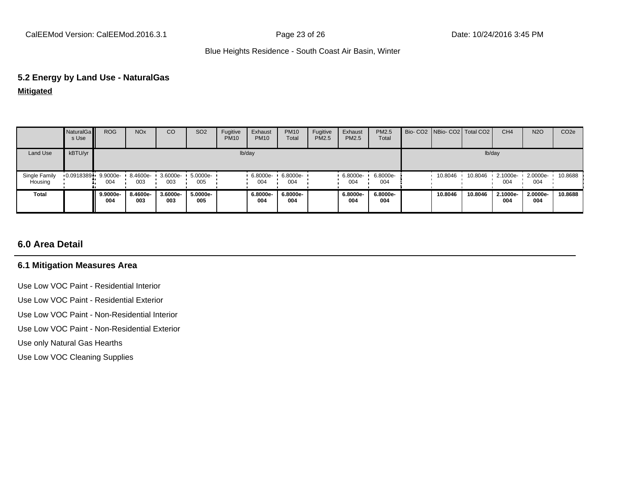#### **5.2 Energy by Land Use - NaturalGas**

**Mitigated**

|                          | NaturalGa<br>s Use | <b>ROG</b>      | <b>NO<sub>x</sub></b> | CO                   | SO <sub>2</sub> | Fugitive<br><b>PM10</b> | Exhaust<br><b>PM10</b> | <b>PM10</b><br>Total | Fugitive<br>PM2.5 | Exhaust<br>PM2.5 | PM2.5<br>Total  | Bio-CO2 NBio-CO2 Total CO2 |         | CH <sub>4</sub> | <b>N2O</b>         | CO <sub>2</sub> e |
|--------------------------|--------------------|-----------------|-----------------------|----------------------|-----------------|-------------------------|------------------------|----------------------|-------------------|------------------|-----------------|----------------------------|---------|-----------------|--------------------|-------------------|
| Land Use                 | kBTU/yr            |                 |                       |                      |                 |                         | lb/day                 |                      |                   |                  |                 |                            |         | lb/day          |                    |                   |
| Single Family<br>Housing | 0.0918389          | 9.9000e-<br>004 | 8.4600e-<br>003       | $3.6000e - 1$<br>003 | 5.0000e-<br>005 |                         | 6.8000e-<br>004        | 6.8000e-<br>004      |                   | 6.8000e-<br>004  | 6.8000e-<br>004 | 10.8046                    | 10.8046 | 2.1000e-<br>004 | $2.0000e -$<br>004 | 10.8688           |
| Total                    |                    | 9.9000e-<br>004 | 8.4600e-<br>003       | 3.6000e-<br>003      | 5.0000e-<br>005 |                         | 6.8000e-<br>004        | 6.8000e-<br>004      |                   | 6.8000e-<br>004  | 6.8000e-<br>004 | 10.8046                    | 10.8046 | 2.1000e-<br>004 | 2.0000e-<br>004    | 10.8688           |

## **6.0 Area Detail**

#### **6.1 Mitigation Measures Area**

Use Low VOC Paint - Residential Interior

Use Low VOC Paint - Residential Exterior

Use Low VOC Paint - Non-Residential Interior

Use Low VOC Paint - Non-Residential Exterior

Use only Natural Gas Hearths

Use Low VOC Cleaning Supplies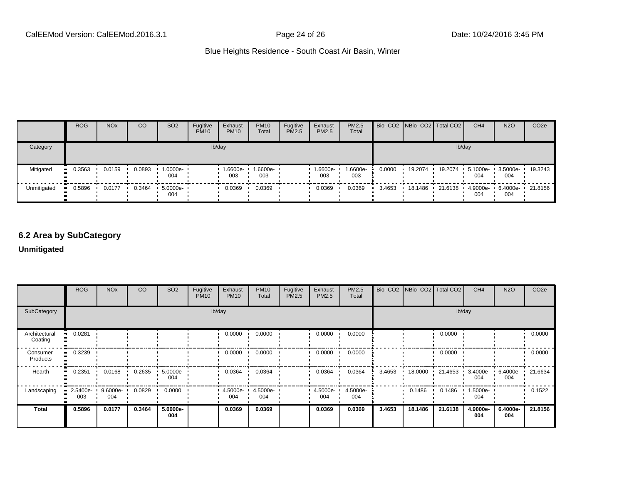|             | <b>ROG</b>            | <b>NO<sub>x</sub></b> | CO     | SO <sub>2</sub>    | Fugitive<br><b>PM10</b> | Exhaust<br><b>PM10</b> | <b>PM10</b><br>Total | Fugitive<br>PM2.5 | Exhaust<br>PM2.5 | <b>PM2.5</b><br>Total |        | Bio- CO2   NBio- CO2   Total CO2 |         | CH <sub>4</sub> | <b>N2O</b>               | CO <sub>2e</sub> |
|-------------|-----------------------|-----------------------|--------|--------------------|-------------------------|------------------------|----------------------|-------------------|------------------|-----------------------|--------|----------------------------------|---------|-----------------|--------------------------|------------------|
| Category    |                       |                       |        |                    |                         | lb/day                 |                      |                   |                  |                       |        |                                  |         | lb/day          |                          |                  |
| Mitigated   | $\blacksquare$ 0.3563 | 0.0159                | 0.0893 | 1.0000e-<br>004    |                         | 1.6600e-<br>003        | 1.6600e-<br>003      |                   | 1.6600e-<br>003  | 1.6600e-<br>003       | 0.0000 | 19.2074                          | 19.2074 | 5.1000e-<br>004 | 3.5000e-<br>004          | 19.3243          |
| Unmitigated | $\blacksquare$ 0.5896 | 0.0177                | 0.3464 | $5.0000e -$<br>004 |                         | 0.0369                 | 0.0369               |                   | 0.0369           | 0.0369                | 3.4653 | 18.1486 •                        | 21.6138 | 004             | 4.9000e- 6.4000e-<br>004 | • 21.8156        |

# **6.2 Area by SubCategory**

### **Unmitigated**

|                          | <b>ROG</b>      | <b>NO<sub>x</sub></b> | CO     | SO <sub>2</sub> | Fugitive<br><b>PM10</b> | Exhaust<br><b>PM10</b> | <b>PM10</b><br>Total       | Fugitive<br>PM2.5 | Exhaust<br>PM2.5 | PM2.5<br>Total  |        | Bio- CO2   NBio- CO2   Total CO2 |         | CH <sub>4</sub>    | <b>N2O</b>      | CO <sub>2e</sub> |
|--------------------------|-----------------|-----------------------|--------|-----------------|-------------------------|------------------------|----------------------------|-------------------|------------------|-----------------|--------|----------------------------------|---------|--------------------|-----------------|------------------|
| SubCategory              |                 |                       |        |                 |                         | lb/day                 |                            |                   |                  |                 |        |                                  |         | lb/day             |                 |                  |
| Architectural<br>Coating | 0.0281          |                       |        |                 |                         | 0.0000                 | 0.0000                     |                   | 0.0000           | 0.0000          |        |                                  | 0.0000  |                    |                 | 0.0000           |
| Consumer<br>Products     | 0.3239          |                       |        |                 |                         | 0.0000                 | 0.0000                     |                   | 0.0000           | 0.0000          |        |                                  | 0.0000  |                    |                 | 0.0000           |
| Hearth                   | 0.2351          | 0.0168                | 0.2635 | 5.0000e-<br>004 |                         | 0.0364                 | 0.0364                     |                   | 0.0364           | 0.0364          | 3.4653 | 18.0000                          | 21.4653 | $3.4000e -$<br>004 | 6.4000e-<br>004 | 21.6634          |
| Landscaping              | 2.5400e-<br>003 | 9.6000e-<br>004       | 0.0829 | 0.0000          |                         | 004                    | 4.5000e- 1 4.5000e-<br>004 |                   | 4.5000e-<br>004  | 4.5000e-<br>004 |        | 0.1486                           | 0.1486  | 1.5000e-<br>004    |                 | 0.1522           |
| <b>Total</b>             | 0.5896          | 0.0177                | 0.3464 | 5.0000e-<br>004 |                         | 0.0369                 | 0.0369                     |                   | 0.0369           | 0.0369          | 3.4653 | 18.1486                          | 21.6138 | 4.9000e-<br>004    | 6.4000e-<br>004 | 21.8156          |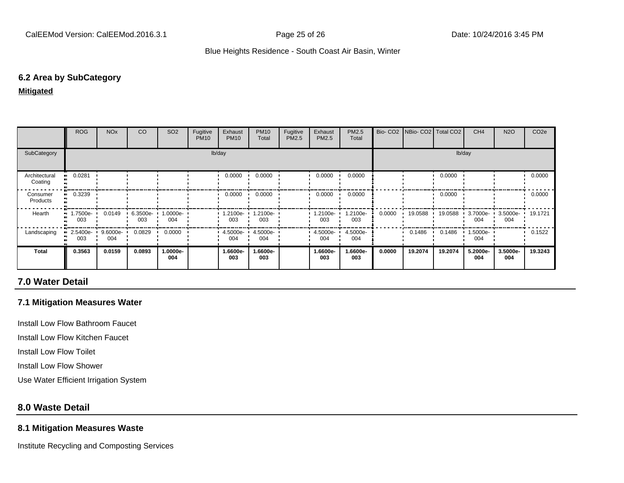#### **6.2 Area by SubCategory**

#### **Mitigated**

|                          | <b>ROG</b>                                    | NO <sub>x</sub>          | CO                 | SO <sub>2</sub> | Fugitive<br><b>PM10</b> | Exhaust<br><b>PM10</b> | <b>PM10</b><br>Total       | Fugitive<br>PM2.5 | Exhaust<br>PM2.5  | PM2.5<br>Total  |        | Bio- CO2   NBio- CO2   Total CO2 |           | CH <sub>4</sub>          | <b>N2O</b>      | CO <sub>2e</sub> |
|--------------------------|-----------------------------------------------|--------------------------|--------------------|-----------------|-------------------------|------------------------|----------------------------|-------------------|-------------------|-----------------|--------|----------------------------------|-----------|--------------------------|-----------------|------------------|
| SubCategory              |                                               |                          |                    |                 |                         | lb/day                 |                            |                   |                   |                 |        |                                  |           | lb/day                   |                 |                  |
| Architectural<br>Coating | 0.0281<br>                                    |                          |                    |                 |                         | 0.0000                 | 0.0000                     |                   | 0.0000            | 0.0000          |        |                                  | 0.0000    |                          |                 | 0.0000           |
| Consumer<br>Products     | 0.3239                                        |                          |                    |                 |                         | 0.0000                 | 0.0000                     |                   | 0.0000            | 0.0000          |        |                                  | 0.0000    |                          |                 | 0.0000           |
| Hearth                   | $\blacksquare$ 1.7500e- $\blacksquare$<br>003 | 0.0149                   | $6.3500e -$<br>003 | 1.0000e-<br>004 |                         | 003                    | 1.2100e- 1.2100e-<br>003   |                   | $.2100e -$<br>003 | 1.2100e-<br>003 | 0.0000 | 19.0588 •                        | 19.0588 · | 3.7000e- 3.5000e-<br>004 | 004             | 19.1721          |
| Landscaping              | 003                                           | 2.5400e- 9.6000e-<br>004 | 0.0829             | 0.0000          |                         | 004                    | 4.5000e- 1 4.5000e-<br>004 |                   | 4.5000e-<br>004   | 4.5000e-<br>004 |        | 0.1486                           | 0.1486    | 1.5000e-<br>004          |                 | 0.1522           |
| <b>Total</b>             | 0.3563                                        | 0.0159                   | 0.0893             | -.0000e<br>004  |                         | 1.6600e-<br>003        | 1.6600e-<br>003            |                   | 1.6600e-<br>003   | 1.6600e-<br>003 | 0.0000 | 19.2074                          | 19.2074   | 5.2000e-<br>004          | 3.5000e-<br>004 | 19.3243          |

## **7.0 Water Detail**

### **7.1 Mitigation Measures Water**

Install Low Flow Bathroom Faucet

Install Low Flow Kitchen Faucet

Install Low Flow Toilet

Install Low Flow Shower

Use Water Efficient Irrigation System

### **8.0 Waste Detail**

#### **8.1 Mitigation Measures Waste**

Institute Recycling and Composting Services